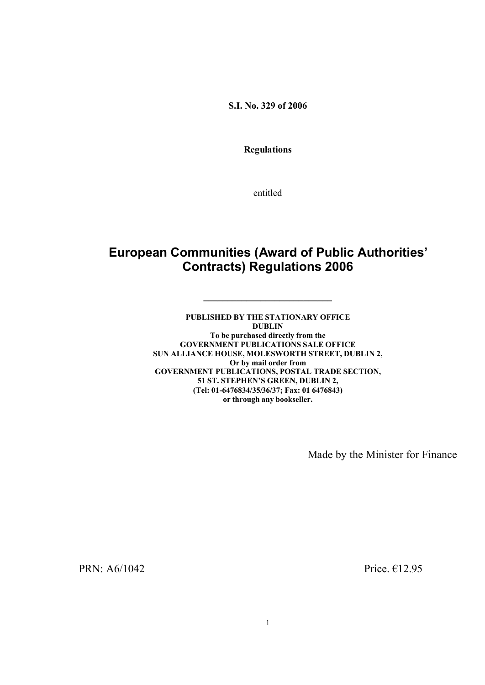**S.I. No. 329 of 2006** 

**Regulations**

entitled

# **European Communities (Award of Public Authorities' Contracts) Regulations 2006**

**\_\_\_\_\_\_\_\_\_\_\_\_\_\_\_\_\_\_\_\_\_\_\_\_\_\_\_**

**PUBLISHED BY THE STATIONARY OFFICE DUBLIN To be purchased directly from the GOVERNMENT PUBLICATIONS SALE OFFICE SUN ALLIANCE HOUSE, MOLESWORTH STREET, DUBLIN 2, Or by mail order from GOVERNMENT PUBLICATIONS, POSTAL TRADE SECTION, 51 ST. STEPHEN'S GREEN, DUBLIN 2, (Tel: 01-6476834/35/36/37; Fax: 01 6476843) or through any bookseller.**

Made by the Minister for Finance

PRN:  $A6/1042$  Price.  $E12.95$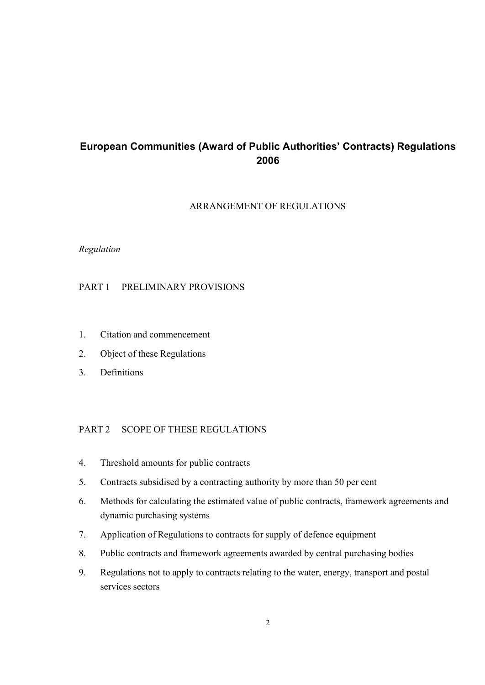# **European Communities (Award of Public Authorities' Contracts) Regulations 2006**

## ARRANGEMENT OF REGULATIONS

## *Regulation*

## PART 1 PRELIMINARY PROVISIONS

- 1. Citation and commencement
- 2. Object of these Regulations
- 3. Definitions

## PART 2 SCOPE OF THESE REGULATIONS

- 4. Threshold amounts for public contracts
- 5. Contracts subsidised by a contracting authority by more than 50 per cent
- 6. Methods for calculating the estimated value of public contracts, framework agreements and dynamic purchasing systems
- 7. Application of Regulations to contracts for supply of defence equipment
- 8. Public contracts and framework agreements awarded by central purchasing bodies
- 9. Regulations not to apply to contracts relating to the water, energy, transport and postal services sectors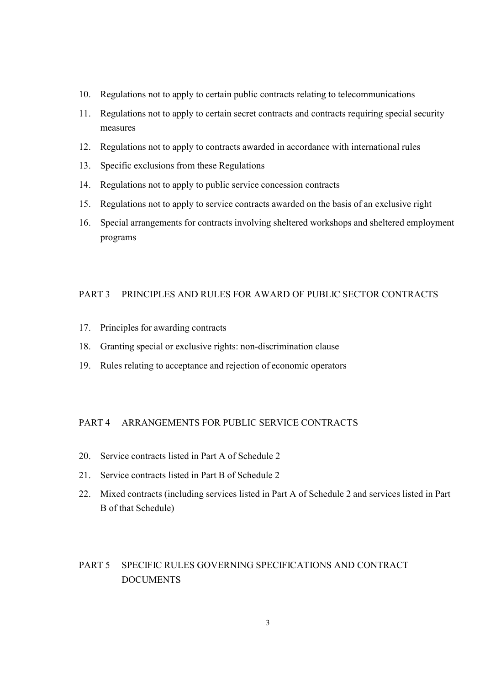- 10. Regulations not to apply to certain public contracts relating to telecommunications
- 11. Regulations not to apply to certain secret contracts and contracts requiring special security measures
- 12. Regulations not to apply to contracts awarded in accordance with international rules
- 13. Specific exclusions from these Regulations
- 14. Regulations not to apply to public service concession contracts
- 15. Regulations not to apply to service contracts awarded on the basis of an exclusive right
- 16. Special arrangements for contracts involving sheltered workshops and sheltered employment programs

#### PART 3 PRINCIPLES AND RULES FOR AWARD OF PUBLIC SECTOR CONTRACTS

- 17. Principles for awarding contracts
- 18. Granting special or exclusive rights: non-discrimination clause
- 19. Rules relating to acceptance and rejection of economic operators

## PART 4 ARRANGEMENTS FOR PUBLIC SERVICE CONTRACTS

- 20. Service contracts listed in Part A of Schedule 2
- 21. Service contracts listed in Part B of Schedule 2
- 22. Mixed contracts (including services listed in Part A of Schedule 2 and services listed in Part B of that Schedule)

# PART 5 SPECIFIC RULES GOVERNING SPECIFICATIONS AND CONTRACT DOCUMENTS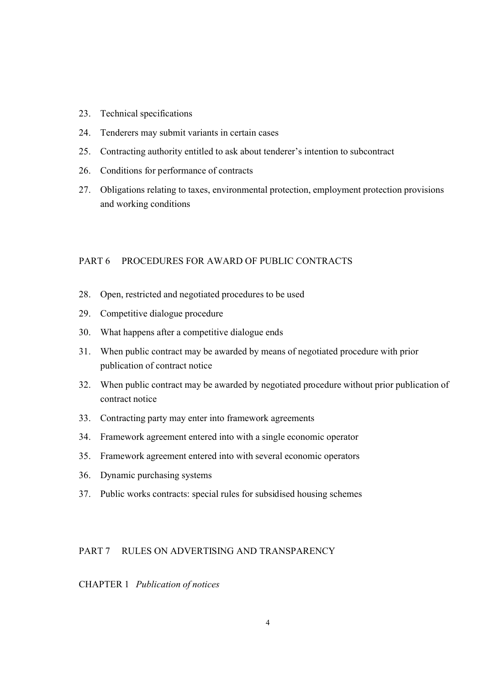- 23. Technical specifications
- 24. Tenderers may submit variants in certain cases
- 25. Contracting authority entitled to ask about tenderer's intention to subcontract
- 26. Conditions for performance of contracts
- 27. Obligations relating to taxes, environmental protection, employment protection provisions and working conditions

## PART 6 PROCEDURES FOR AWARD OF PUBLIC CONTRACTS

- 28. Open, restricted and negotiated procedures to be used
- 29. Competitive dialogue procedure
- 30. What happens after a competitive dialogue ends
- 31. When public contract may be awarded by means of negotiated procedure with prior publication of contract notice
- 32. When public contract may be awarded by negotiated procedure without prior publication of contract notice
- 33. Contracting party may enter into framework agreements
- 34. Framework agreement entered into with a single economic operator
- 35. Framework agreement entered into with several economic operators
- 36. Dynamic purchasing systems
- 37. Public works contracts: special rules for subsidised housing schemes

## PART 7 RULES ON ADVERTISING AND TRANSPARENCY

#### CHAPTER 1 *Publication of notices*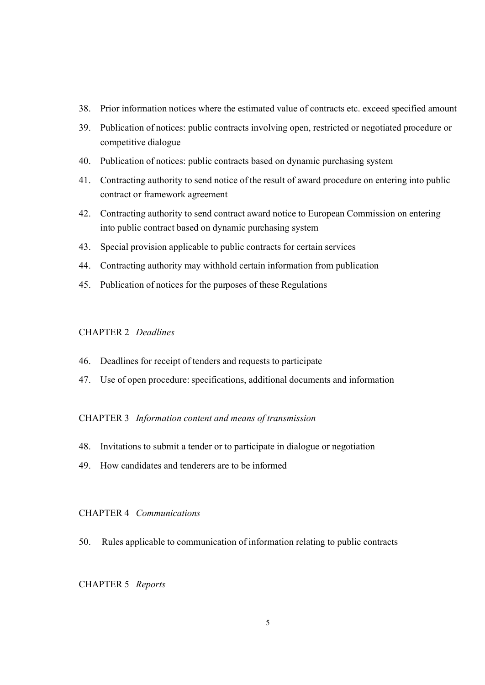- 38. Prior information notices where the estimated value of contracts etc. exceed specified amount
- 39. Publication of notices: public contracts involving open, restricted or negotiated procedure or competitive dialogue
- 40. Publication of notices: public contracts based on dynamic purchasing system
- 41. Contracting authority to send notice of the result of award procedure on entering into public contract or framework agreement
- 42. Contracting authority to send contract award notice to European Commission on entering into public contract based on dynamic purchasing system
- 43. Special provision applicable to public contracts for certain services
- 44. Contracting authority may withhold certain information from publication
- 45. Publication of notices for the purposes of these Regulations

## CHAPTER 2 *Deadlines*

- 46. Deadlines for receipt of tenders and requests to participate
- 47. Use of open procedure: specifications, additional documents and information

#### CHAPTER 3 *Information content and means of transmission*

- 48. Invitations to submit a tender or to participate in dialogue or negotiation
- 49. How candidates and tenderers are to be informed

#### CHAPTER 4 *Communications*

50. Rules applicable to communication of information relating to public contracts

#### CHAPTER 5 *Reports*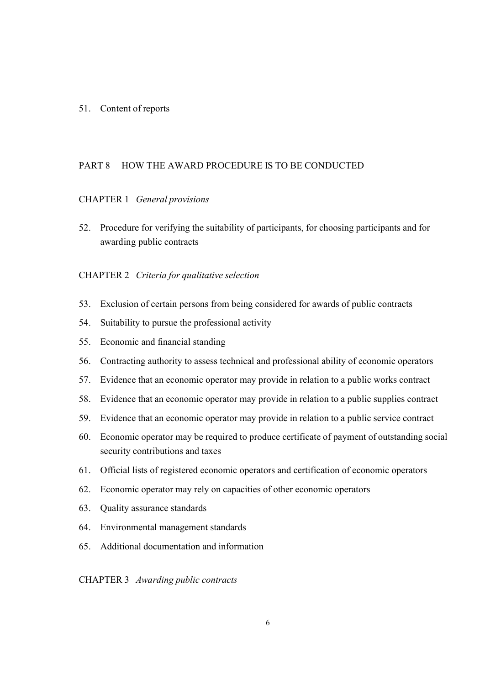#### 51. Content of reports

## PART 8 HOW THE AWARD PROCEDURE IS TO BE CONDUCTED

#### CHAPTER 1 *General provisions*

52. Procedure for verifying the suitability of participants, for choosing participants and for awarding public contracts

#### CHAPTER 2 *Criteria for qualitative selection*

- 53. Exclusion of certain persons from being considered for awards of public contracts
- 54. Suitability to pursue the professional activity
- 55. Economic and financial standing
- 56. Contracting authority to assess technical and professional ability of economic operators
- 57. Evidence that an economic operator may provide in relation to a public works contract
- 58. Evidence that an economic operator may provide in relation to a public supplies contract
- 59. Evidence that an economic operator may provide in relation to a public service contract
- 60. Economic operator may be required to produce certificate of payment of outstanding social security contributions and taxes
- 61. Official lists of registered economic operators and certification of economic operators
- 62. Economic operator may rely on capacities of other economic operators
- 63. Quality assurance standards
- 64. Environmental management standards
- 65. Additional documentation and information

CHAPTER 3 *Awarding public contracts*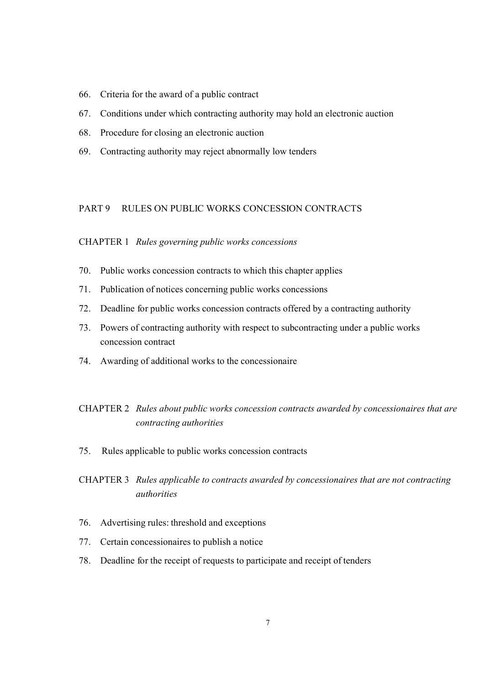- 66. Criteria for the award of a public contract
- 67. Conditions under which contracting authority may hold an electronic auction
- 68. Procedure for closing an electronic auction
- 69. Contracting authority may reject abnormally low tenders

#### PART 9 RULES ON PUBLIC WORKS CONCESSION CONTRACTS

#### CHAPTER 1 *Rules governing public works concessions*

- 70. Public works concession contracts to which this chapter applies
- 71. Publication of notices concerning public works concessions
- 72. Deadline for public works concession contracts offered by a contracting authority
- 73. Powers of contracting authority with respect to subcontracting under a public works concession contract
- 74. Awarding of additional works to the concessionaire

## CHAPTER 2 *Rules about public works concession contracts awarded by concessionaires that are contracting authorities*

75. Rules applicable to public works concession contracts

## CHAPTER 3 *Rules applicable to contracts awarded by concessionaires that are not contracting authorities*

- 76. Advertising rules: threshold and exceptions
- 77. Certain concessionaires to publish a notice
- 78. Deadline for the receipt of requests to participate and receipt of tenders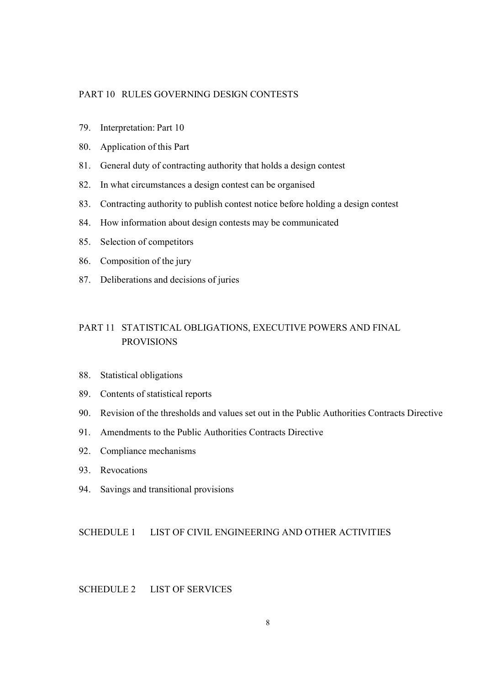## PART 10 RULES GOVERNING DESIGN CONTESTS

- 79. Interpretation: Part 10
- 80. Application of this Part
- 81. General duty of contracting authority that holds a design contest
- 82. In what circumstances a design contest can be organised
- 83. Contracting authority to publish contest notice before holding a design contest
- 84. How information about design contests may be communicated
- 85. Selection of competitors
- 86. Composition of the jury
- 87. Deliberations and decisions of juries

## PART 11 STATISTICAL OBLIGATIONS, EXECUTIVE POWERS AND FINAL PROVISIONS

- 88. Statistical obligations
- 89. Contents of statistical reports
- 90. Revision of the thresholds and values set out in the Public Authorities Contracts Directive
- 91. Amendments to the Public Authorities Contracts Directive
- 92. Compliance mechanisms
- 93. Revocations
- 94. Savings and transitional provisions

#### SCHEDULE 1 LIST OF CIVIL ENGINEERING AND OTHER ACTIVITIES

## SCHEDULE 2 LIST OF SERVICES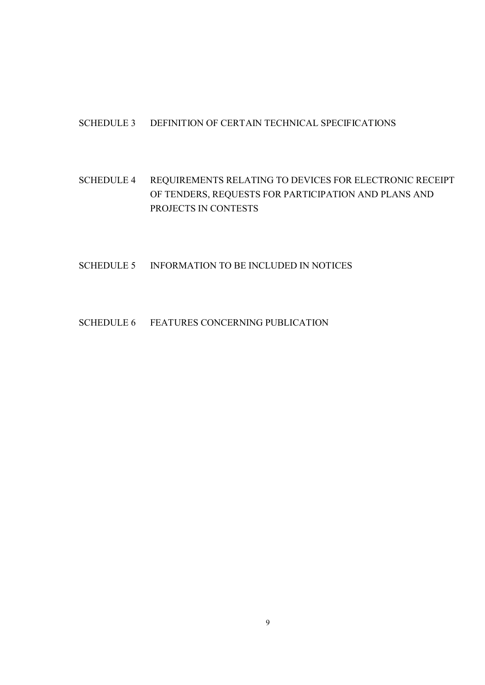## SCHEDULE 3 DEFINITION OF CERTAIN TECHNICAL SPECIFICATIONS

# SCHEDULE 4 REQUIREMENTS RELATING TO DEVICES FOR ELECTRONIC RECEIPT OF TENDERS, REQUESTS FOR PARTICIPATION AND PLANS AND PROJECTS IN CONTESTS

#### SCHEDULE 5 INFORMATION TO BE INCLUDED IN NOTICES

## SCHEDULE 6 FEATURES CONCERNING PUBLICATION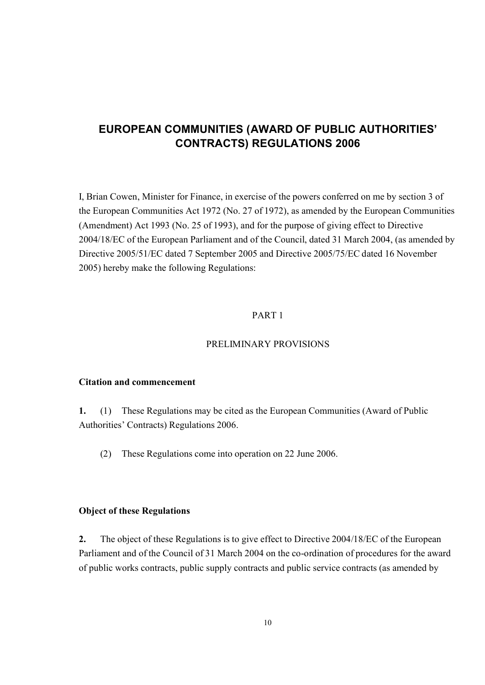# **EUROPEAN COMMUNITIES (AWARD OF PUBLIC AUTHORITIES' CONTRACTS) REGULATIONS 2006**

I, Brian Cowen, Minister for Finance, in exercise of the powers conferred on me by section 3 of the European Communities Act 1972 (No. 27 of 1972), as amended by the European Communities (Amendment) Act 1993 (No. 25 of 1993), and for the purpose of giving effect to Directive 2004/18/EC of the European Parliament and of the Council, dated 31 March 2004, (as amended by Directive 2005/51/EC dated 7 September 2005 and Directive 2005/75/EC dated 16 November 2005) hereby make the following Regulations:

#### PART 1

## PRELIMINARY PROVISIONS

## **Citation and commencement**

**1.** (1) These Regulations may be cited as the European Communities (Award of Public Authorities' Contracts) Regulations 2006.

(2) These Regulations come into operation on 22 June 2006.

## **Object of these Regulations**

**2.** The object of these Regulations is to give effect to Directive 2004/18/EC of the European Parliament and of the Council of 31 March 2004 on the co-ordination of procedures for the award of public works contracts, public supply contracts and public service contracts (as amended by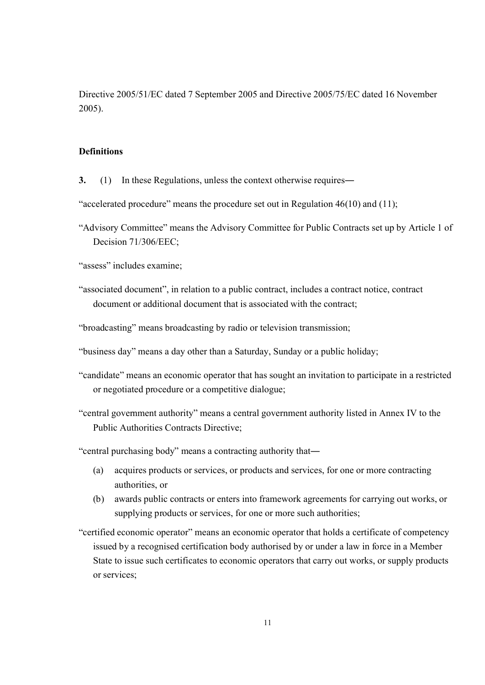Directive 2005/51/EC dated 7 September 2005 and Directive 2005/75/EC dated 16 November 2005).

#### **Definitions**

**3.** (1) In these Regulations, unless the context otherwise requires―

"accelerated procedure" means the procedure set out in Regulation 46(10) and (11);

"Advisory Committee" means the Advisory Committee for Public Contracts set up by Article 1 of Decision 71/306/EEC;

"assess" includes examine;

"associated document", in relation to a public contract, includes a contract notice, contract document or additional document that is associated with the contract;

"broadcasting" means broadcasting by radio or television transmission;

- "business day" means a day other than a Saturday, Sunday or a public holiday;
- "candidate" means an economic operator that has sought an invitation to participate in a restricted or negotiated procedure or a competitive dialogue;
- "central government authority" means a central government authority listed in Annex IV to the Public Authorities Contracts Directive;

"central purchasing body" means a contracting authority that―

- (a) acquires products or services, or products and services, for one or more contracting authorities, or
- (b) awards public contracts or enters into framework agreements for carrying out works, or supplying products or services, for one or more such authorities;
- "certified economic operator" means an economic operator that holds a certificate of competency issued by a recognised certification body authorised by or under a law in force in a Member State to issue such certificates to economic operators that carry out works, or supply products or services;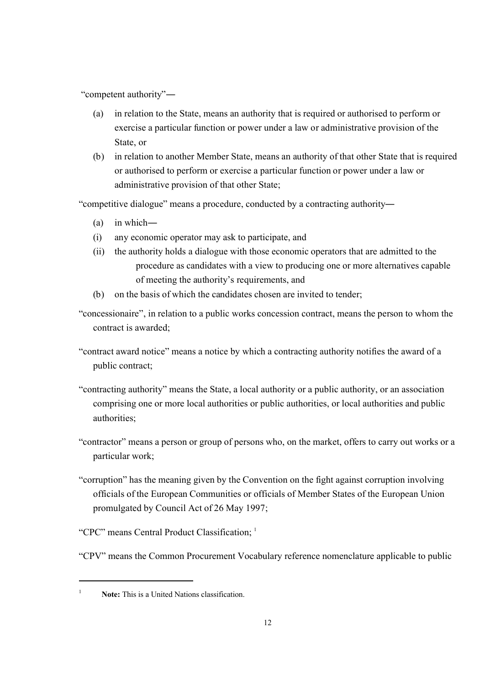"competent authority"―

- (a) in relation to the State, means an authority that is required or authorised to perform or exercise a particular function or power under a law or administrative provision of the State, or
- (b) in relation to another Member State, means an authority of that other State that is required or authorised to perform or exercise a particular function or power under a law or administrative provision of that other State;

"competitive dialogue" means a procedure, conducted by a contracting authority―

- (a) in which―
- (i) any economic operator may ask to participate, and
- (ii) the authority holds a dialogue with those economic operators that are admitted to the procedure as candidates with a view to producing one or more alternatives capable of meeting the authority's requirements, and
- (b) on the basis of which the candidates chosen are invited to tender;
- "concessionaire", in relation to a public works concession contract, means the person to whom the contract is awarded;
- "contract award notice" means a notice by which a contracting authority notifies the award of a public contract;
- "contracting authority" means the State, a local authority or a public authority, or an association comprising one or more local authorities or public authorities, or local authorities and public authorities;
- "contractor" means a person or group of persons who, on the market, offers to carry out works or a particular work;
- "corruption" has the meaning given by the Convention on the fight against corruption involving officials of the European Communities or officials of Member States of the European Union promulgated by Council Act of 26 May 1997;
- "CPC" means Central Product Classification: <sup>1</sup>
- "CPV" means the Common Procurement Vocabulary reference nomenclature applicable to public

<sup>&</sup>lt;sup>1</sup> **Note:** This is a United Nations classification.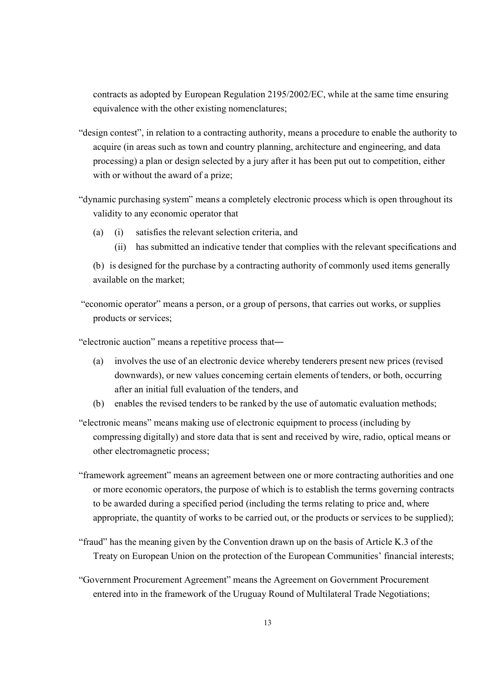contracts as adopted by European Regulation 2195/2002/EC, while at the same time ensuring equivalence with the other existing nomenclatures;

- "design contest", in relation to a contracting authority, means a procedure to enable the authority to acquire (in areas such as town and country planning, architecture and engineering, and data processing) a plan or design selected by a jury after it has been put out to competition, either with or without the award of a prize:
- "dynamic purchasing system" means a completely electronic process which is open throughout its validity to any economic operator that
	- (a) (i) satisfies the relevant selection criteria, and
		- (ii) has submitted an indicative tender that complies with the relevant specifications and
	- (b) is designed for the purchase by a contracting authority of commonly used items generally available on the market;
- "economic operator" means a person, or a group of persons, that carries out works, or supplies products or services;
- "electronic auction" means a repetitive process that―
	- (a) involves the use of an electronic device whereby tenderers present new prices (revised downwards), or new values concerning certain elements of tenders, or both, occurring after an initial full evaluation of the tenders, and
	- (b) enables the revised tenders to be ranked by the use of automatic evaluation methods;
- "electronic means" means making use of electronic equipment to process (including by compressing digitally) and store data that is sent and received by wire, radio, optical means or other electromagnetic process;
- "framework agreement" means an agreement between one or more contracting authorities and one or more economic operators, the purpose of which is to establish the terms governing contracts to be awarded during a specified period (including the terms relating to price and, where appropriate, the quantity of works to be carried out, or the products or services to be supplied);
- "fraud" has the meaning given by the Convention drawn up on the basis of Article K.3 of the Treaty on European Union on the protection of the European Communities' financial interests;
- "Government Procurement Agreement" means the Agreement on Government Procurement entered into in the framework of the Uruguay Round of Multilateral Trade Negotiations;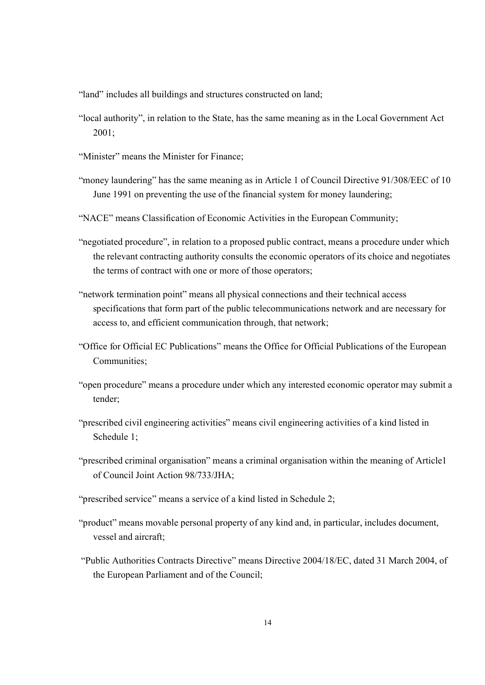"land" includes all buildings and structures constructed on land;

- "local authority", in relation to the State, has the same meaning as in the Local Government Act 2001;
- "Minister" means the Minister for Finance;
- "money laundering" has the same meaning as in Article 1 of Council Directive 91/308/EEC of 10 June 1991 on preventing the use of the financial system for money laundering;
- "NACE" means Classification of Economic Activities in the European Community;
- "negotiated procedure", in relation to a proposed public contract, means a procedure under which the relevant contracting authority consults the economic operators of its choice and negotiates the terms of contract with one or more of those operators;
- "network termination point" means all physical connections and their technical access specifications that form part of the public telecommunications network and are necessary for access to, and efficient communication through, that network;
- "Office for Official EC Publications" means the Office for Official Publications of the European Communities;
- "open procedure" means a procedure under which any interested economic operator may submit a tender;
- "prescribed civil engineering activities" means civil engineering activities of a kind listed in Schedule 1;
- "prescribed criminal organisation" means a criminal organisation within the meaning of Article1 of Council Joint Action 98/733/JHA;
- "prescribed service" means a service of a kind listed in Schedule 2;
- "product" means movable personal property of any kind and, in particular, includes document, vessel and aircraft;
- "Public Authorities Contracts Directive" means Directive 2004/18/EC, dated 31 March 2004, of the European Parliament and of the Council;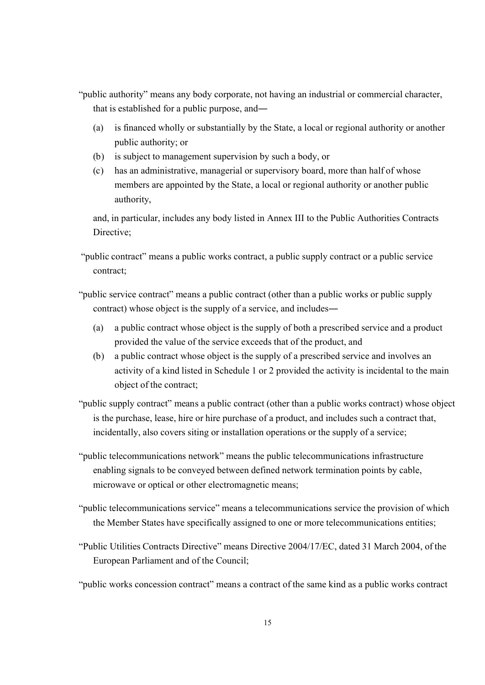- "public authority" means any body corporate, not having an industrial or commercial character, that is established for a public purpose, and―
	- (a) is financed wholly or substantially by the State, a local or regional authority or another public authority; or
	- (b) is subject to management supervision by such a body, or
	- (c) has an administrative, managerial or supervisory board, more than half of whose members are appointed by the State, a local or regional authority or another public authority,

and, in particular, includes any body listed in Annex III to the Public Authorities Contracts Directive;

"public contract" means a public works contract, a public supply contract or a public service contract;

"public service contract" means a public contract (other than a public works or public supply contract) whose object is the supply of a service, and includes―

- (a) a public contract whose object is the supply of both a prescribed service and a product provided the value of the service exceeds that of the product, and
- (b) a public contract whose object is the supply of a prescribed service and involves an activity of a kind listed in Schedule 1 or 2 provided the activity is incidental to the main object of the contract;
- "public supply contract" means a public contract (other than a public works contract) whose object is the purchase, lease, hire or hire purchase of a product, and includes such a contract that, incidentally, also covers siting or installation operations or the supply of a service;
- "public telecommunications network" means the public telecommunications infrastructure enabling signals to be conveyed between defined network termination points by cable, microwave or optical or other electromagnetic means;
- "public telecommunications service" means a telecommunications service the provision of which the Member States have specifically assigned to one or more telecommunications entities;
- "Public Utilities Contracts Directive" means Directive 2004/17/EC, dated 31 March 2004, of the European Parliament and of the Council;

"public works concession contract" means a contract of the same kind as a public works contract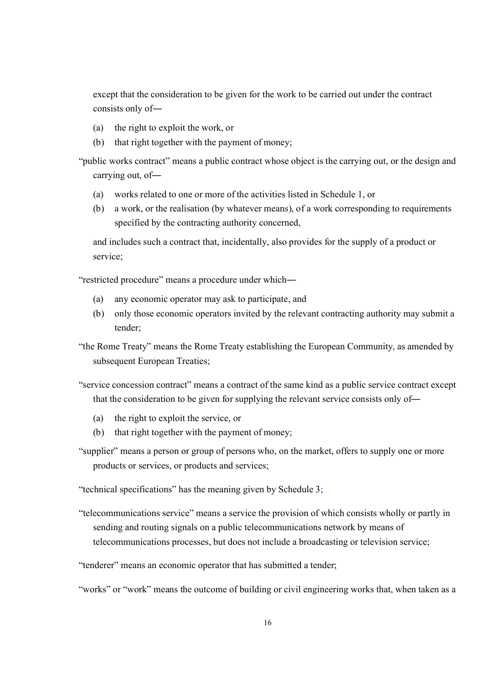except that the consideration to be given for the work to be carried out under the contract consists only of―

- (a) the right to exploit the work, or
- (b) that right together with the payment of money;

"public works contract" means a public contract whose object is the carrying out, or the design and carrying out, of―

- (a) works related to one or more of the activities listed in Schedule 1, or
- (b) a work, or the realisation (by whatever means), of a work corresponding to requirements specified by the contracting authority concerned,

and includes such a contract that, incidentally, also provides for the supply of a product or service;

"restricted procedure" means a procedure under which―

- (a) any economic operator may ask to participate, and
- (b) only those economic operators invited by the relevant contracting authority may submit a tender;

"the Rome Treaty" means the Rome Treaty establishing the European Community, as amended by subsequent European Treaties;

"service concession contract" means a contract of the same kind as a public service contract except that the consideration to be given for supplying the relevant service consists only of―

- (a) the right to exploit the service, or
- (b) that right together with the payment of money;
- "supplier" means a person or group of persons who, on the market, offers to supply one or more products or services, or products and services;

"technical specifications" has the meaning given by Schedule 3;

"telecommunications service" means a service the provision of which consists wholly or partly in sending and routing signals on a public telecommunications network by means of telecommunications processes, but does not include a broadcasting or television service;

"tenderer" means an economic operator that has submitted a tender;

"works" or "work" means the outcome of building or civil engineering works that, when taken as a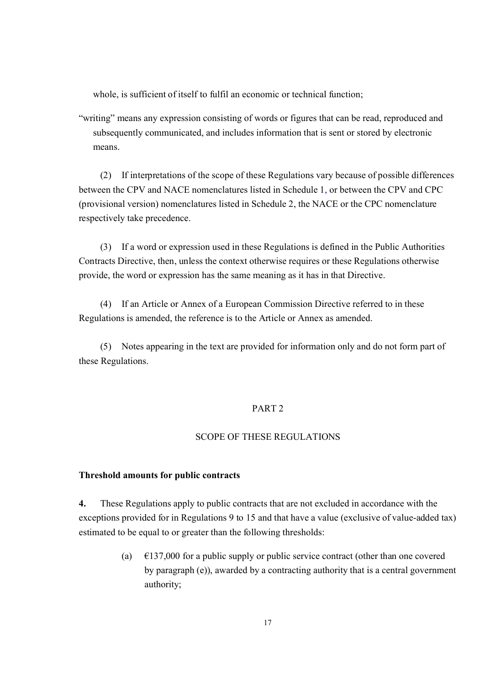whole, is sufficient of itself to fulfil an economic or technical function;

"writing" means any expression consisting of words or figures that can be read, reproduced and subsequently communicated, and includes information that is sent or stored by electronic means.

(2) If interpretations of the scope of these Regulations vary because of possible differences between the CPV and NACE nomenclatures listed in Schedule 1, or between the CPV and CPC (provisional version) nomenclatures listed in Schedule 2, the NACE or the CPC nomenclature respectively take precedence.

(3) If a word or expression used in these Regulations is defined in the Public Authorities Contracts Directive, then, unless the context otherwise requires or these Regulations otherwise provide, the word or expression has the same meaning as it has in that Directive.

(4) If an Article or Annex of a European Commission Directive referred to in these Regulations is amended, the reference is to the Article or Annex as amended.

(5) Notes appearing in the text are provided for information only and do not form part of these Regulations.

## PART 2

## SCOPE OF THESE REGULATIONS

#### **Threshold amounts for public contracts**

**4.** These Regulations apply to public contracts that are not excluded in accordance with the exceptions provided for in Regulations 9 to 15 and that have a value (exclusive of value-added tax) estimated to be equal to or greater than the following thresholds:

> (a)  $\epsilon$ 137,000 for a public supply or public service contract (other than one covered by paragraph (e)), awarded by a contracting authority that is a central government authority;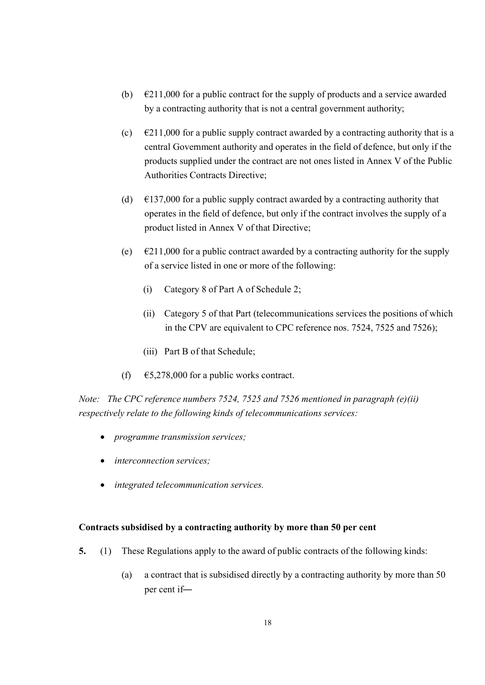- (b)  $\epsilon$ 211,000 for a public contract for the supply of products and a service awarded by a contracting authority that is not a central government authority;
- (c)  $\epsilon$ 211,000 for a public supply contract awarded by a contracting authority that is a central Government authority and operates in the field of defence, but only if the products supplied under the contract are not ones listed in Annex V of the Public Authorities Contracts Directive;
- (d)  $\epsilon$ 137,000 for a public supply contract awarded by a contracting authority that operates in the field of defence, but only if the contract involves the supply of a product listed in Annex V of that Directive;
- (e)  $\epsilon$   $\epsilon$ 211,000 for a public contract awarded by a contracting authority for the supply of a service listed in one or more of the following:
	- (i) Category 8 of Part A of Schedule 2;
	- (ii) Category 5 of that Part (telecommunications services the positions of which in the CPV are equivalent to CPC reference nos. 7524, 7525 and 7526);
	- (iii) Part B of that Schedule;
- (f)  $\epsilon$  65,278,000 for a public works contract.

*Note: The CPC reference numbers 7524, 7525 and 7526 mentioned in paragraph (e)(ii) respectively relate to the following kinds of telecommunications services:*

- · *programme transmission services;*
- · *interconnection services;*
- · *integrated telecommunication services.*

## **Contracts subsidised by a contracting authority by more than 50 per cent**

- **5.** (1) These Regulations apply to the award of public contracts of the following kinds:
	- (a) a contract that is subsidised directly by a contracting authority by more than 50 per cent if―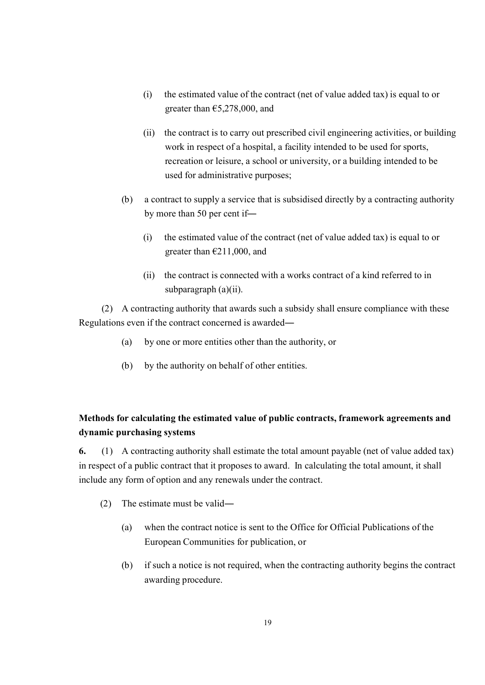- (i) the estimated value of the contract (net of value added tax) is equal to or greater than  $£5,278,000,$  and
- (ii) the contract is to carry out prescribed civil engineering activities, or building work in respect of a hospital, a facility intended to be used for sports, recreation or leisure, a school or university, or a building intended to be used for administrative purposes;
- (b) a contract to supply a service that is subsidised directly by a contracting authority by more than 50 per cent if―
	- (i) the estimated value of the contract (net of value added tax) is equal to or greater than  $\epsilon$ 211,000, and
	- (ii) the contract is connected with a works contract of a kind referred to in subparagraph (a)(ii).

(2) A contracting authority that awards such a subsidy shall ensure compliance with these Regulations even if the contract concerned is awarded―

- (a) by one or more entities other than the authority, or
- (b) by the authority on behalf of other entities.

# **Methods for calculating the estimated value of public contracts, framework agreements and dynamic purchasing systems**

**6.** (1) A contracting authority shall estimate the total amount payable (net of value added tax) in respect of a public contract that it proposes to award. In calculating the total amount, it shall include any form of option and any renewals under the contract.

- (2) The estimate must be valid―
	- (a) when the contract notice is sent to the Office for Official Publications of the European Communities for publication, or
	- (b) if such a notice is not required, when the contracting authority begins the contract awarding procedure.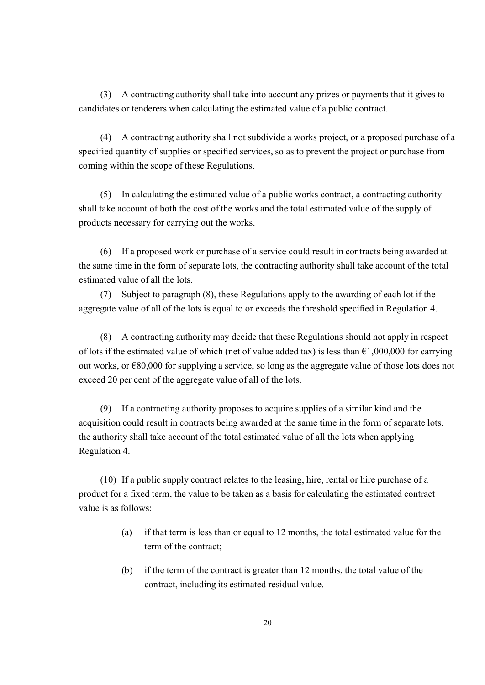(3) A contracting authority shall take into account any prizes or payments that it gives to candidates or tenderers when calculating the estimated value of a public contract.

(4) A contracting authority shall not subdivide a works project, or a proposed purchase of a specified quantity of supplies or specified services, so as to prevent the project or purchase from coming within the scope of these Regulations.

(5) In calculating the estimated value of a public works contract, a contracting authority shall take account of both the cost of the works and the total estimated value of the supply of products necessary for carrying out the works.

(6) If a proposed work or purchase of a service could result in contracts being awarded at the same time in the form of separate lots, the contracting authority shall take account of the total estimated value of all the lots.

(7) Subject to paragraph (8), these Regulations apply to the awarding of each lot if the aggregate value of all of the lots is equal to or exceeds the threshold specified in Regulation 4.

(8) A contracting authority may decide that these Regulations should not apply in respect of lots if the estimated value of which (net of value added tax) is less than  $\epsilon$ 1,000,000 for carrying out works, or  $\epsilon$ 80,000 for supplying a service, so long as the aggregate value of those lots does not exceed 20 per cent of the aggregate value of all of the lots.

(9) If a contracting authority proposes to acquire supplies of a similar kind and the acquisition could result in contracts being awarded at the same time in the form of separate lots, the authority shall take account of the total estimated value of all the lots when applying Regulation 4.

(10) If a public supply contract relates to the leasing, hire, rental or hire purchase of a product for a fixed term, the value to be taken as a basis for calculating the estimated contract value is as follows:

- (a) if that term is less than or equal to 12 months, the total estimated value for the term of the contract;
- (b) if the term of the contract is greater than 12 months, the total value of the contract, including its estimated residual value.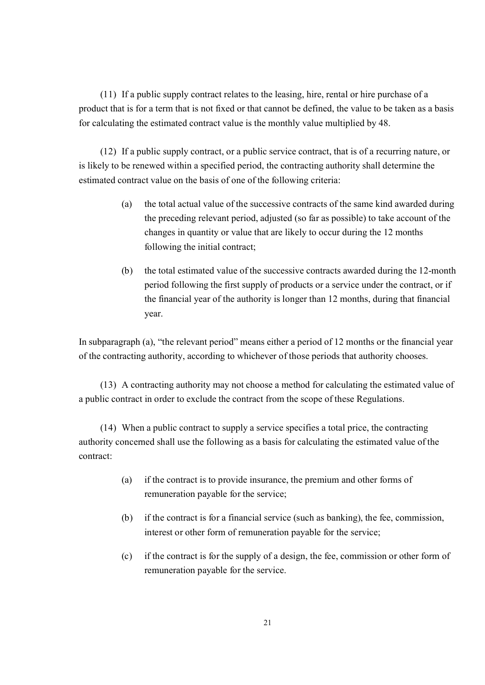(11) If a public supply contract relates to the leasing, hire, rental or hire purchase of a product that is for a term that is not fixed or that cannot be defined, the value to be taken as a basis for calculating the estimated contract value is the monthly value multiplied by 48.

(12) If a public supply contract, or a public service contract, that is of a recurring nature, or is likely to be renewed within a specified period, the contracting authority shall determine the estimated contract value on the basis of one of the following criteria:

- (a) the total actual value of the successive contracts of the same kind awarded during the preceding relevant period, adjusted (so far as possible) to take account of the changes in quantity or value that are likely to occur during the 12 months following the initial contract;
- (b) the total estimated value of the successive contracts awarded during the 12-month period following the first supply of products or a service under the contract, or if the financial year of the authority is longer than 12 months, during that financial year.

In subparagraph (a), "the relevant period" means either a period of 12 months or the financial year of the contracting authority, according to whichever of those periods that authority chooses.

(13) A contracting authority may not choose a method for calculating the estimated value of a public contract in order to exclude the contract from the scope of these Regulations.

(14) When a public contract to supply a service specifies a total price, the contracting authority concerned shall use the following as a basis for calculating the estimated value of the contract:

- (a) if the contract is to provide insurance, the premium and other forms of remuneration payable for the service;
- (b) if the contract is for a financial service (such as banking), the fee, commission, interest or other form of remuneration payable for the service;
- (c) if the contract is for the supply of a design, the fee, commission or other form of remuneration payable for the service.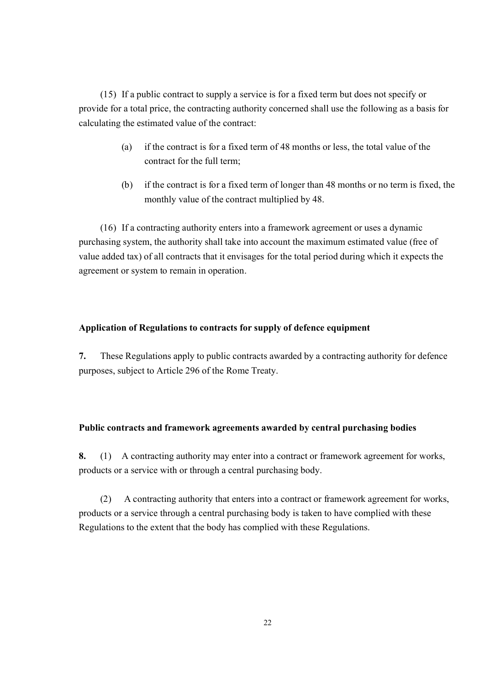(15) If a public contract to supply a service is for a fixed term but does not specify or provide for a total price, the contracting authority concerned shall use the following as a basis for calculating the estimated value of the contract:

- (a) if the contract is for a fixed term of 48 months or less, the total value of the contract for the full term;
- (b) if the contract is for a fixed term of longer than 48 months or no term is fixed, the monthly value of the contract multiplied by 48.

(16) If a contracting authority enters into a framework agreement or uses a dynamic purchasing system, the authority shall take into account the maximum estimated value (free of value added tax) of all contracts that it envisages for the total period during which it expects the agreement or system to remain in operation.

## **Application of Regulations to contracts for supply of defence equipment**

**7.** These Regulations apply to public contracts awarded by a contracting authority for defence purposes, subject to Article 296 of the Rome Treaty.

## **Public contracts and framework agreements awarded by central purchasing bodies**

**8.** (1) A contracting authority may enter into a contract or framework agreement for works, products or a service with or through a central purchasing body.

(2) A contracting authority that enters into a contract or framework agreement for works, products or a service through a central purchasing body is taken to have complied with these Regulations to the extent that the body has complied with these Regulations.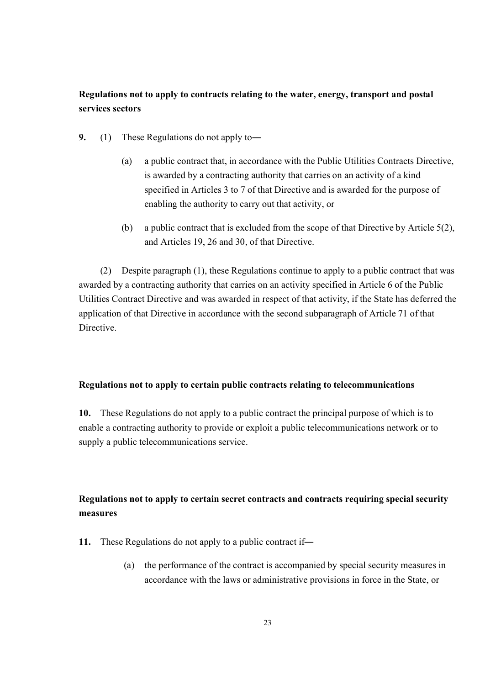## **Regulations not to apply to contracts relating to the water, energy, transport and postal services sectors**

- **9.** (1) These Regulations do not apply to―
	- (a) a public contract that, in accordance with the Public Utilities Contracts Directive, is awarded by a contracting authority that carries on an activity of a kind specified in Articles 3 to 7 of that Directive and is awarded for the purpose of enabling the authority to carry out that activity, or
	- (b) a public contract that is excluded from the scope of that Directive by Article 5(2), and Articles 19, 26 and 30, of that Directive.

(2) Despite paragraph (1), these Regulations continue to apply to a public contract that was awarded by a contracting authority that carries on an activity specified in Article 6 of the Public Utilities Contract Directive and was awarded in respect of that activity, if the State has deferred the application of that Directive in accordance with the second subparagraph of Article 71 of that Directive.

#### **Regulations not to apply to certain public contracts relating to telecommunications**

**10.** These Regulations do not apply to a public contract the principal purpose of which is to enable a contracting authority to provide or exploit a public telecommunications network or to supply a public telecommunications service.

## **Regulations not to apply to certain secret contracts and contracts requiring special security measures**

- **11.** These Regulations do not apply to a public contract if―
	- (a) the performance of the contract is accompanied by special security measures in accordance with the laws or administrative provisions in force in the State, or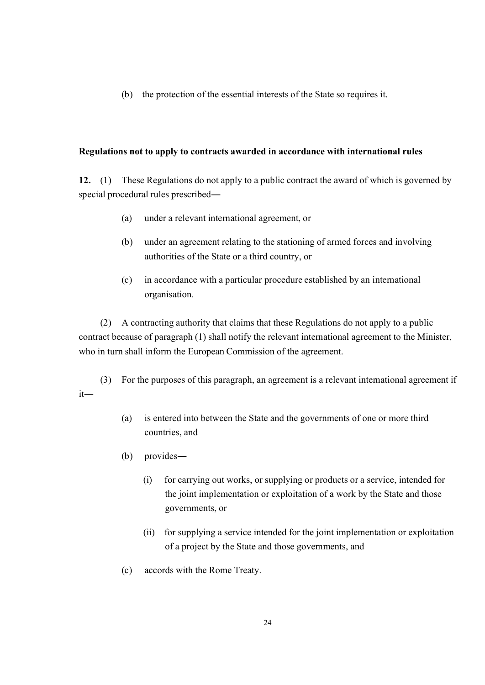(b) the protection of the essential interests of the State so requires it.

#### **Regulations not to apply to contracts awarded in accordance with international rules**

**12.** (1) These Regulations do not apply to a public contract the award of which is governed by special procedural rules prescribed―

- (a) under a relevant international agreement, or
- (b) under an agreement relating to the stationing of armed forces and involving authorities of the State or a third country, or
- (c) in accordance with a particular procedure established by an international organisation.

(2) A contracting authority that claims that these Regulations do not apply to a public contract because of paragraph (1) shall notify the relevant international agreement to the Minister, who in turn shall inform the European Commission of the agreement.

(3) For the purposes of this paragraph, an agreement is a relevant international agreement if it―

- (a) is entered into between the State and the governments of one or more third countries, and
- (b) provides―
	- (i) for carrying out works, or supplying or products or a service, intended for the joint implementation or exploitation of a work by the State and those governments, or
	- (ii) for supplying a service intended for the joint implementation or exploitation of a project by the State and those governments, and
- (c) accords with the Rome Treaty.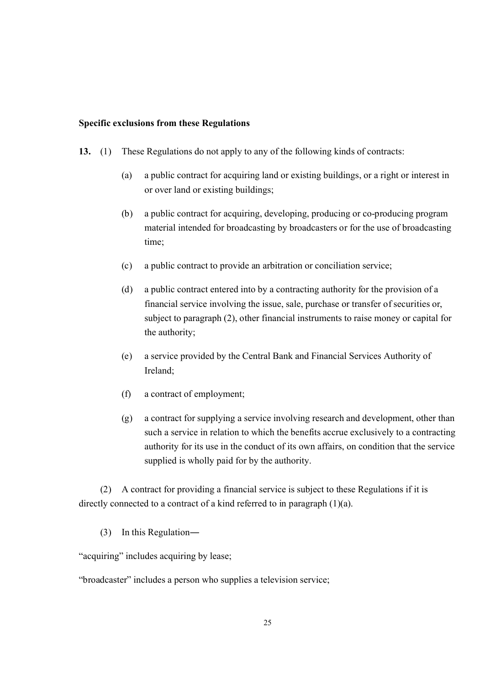#### **Specific exclusions from these Regulations**

- **13.** (1) These Regulations do not apply to any of the following kinds of contracts:
	- (a) a public contract for acquiring land or existing buildings, or a right or interest in or over land or existing buildings;
	- (b) a public contract for acquiring, developing, producing or co-producing program material intended for broadcasting by broadcasters or for the use of broadcasting time;
	- (c) a public contract to provide an arbitration or conciliation service;
	- (d) a public contract entered into by a contracting authority for the provision of a financial service involving the issue, sale, purchase or transfer of securities or, subject to paragraph (2), other financial instruments to raise money or capital for the authority;
	- (e) a service provided by the Central Bank and Financial Services Authority of Ireland;
	- (f) a contract of employment;
	- (g) a contract for supplying a service involving research and development, other than such a service in relation to which the benefits accrue exclusively to a contracting authority for its use in the conduct of its own affairs, on condition that the service supplied is wholly paid for by the authority.

(2) A contract for providing a financial service is subject to these Regulations if it is directly connected to a contract of a kind referred to in paragraph (1)(a).

(3) In this Regulation―

"acquiring" includes acquiring by lease;

<sup>&</sup>quot;broadcaster" includes a person who supplies a television service;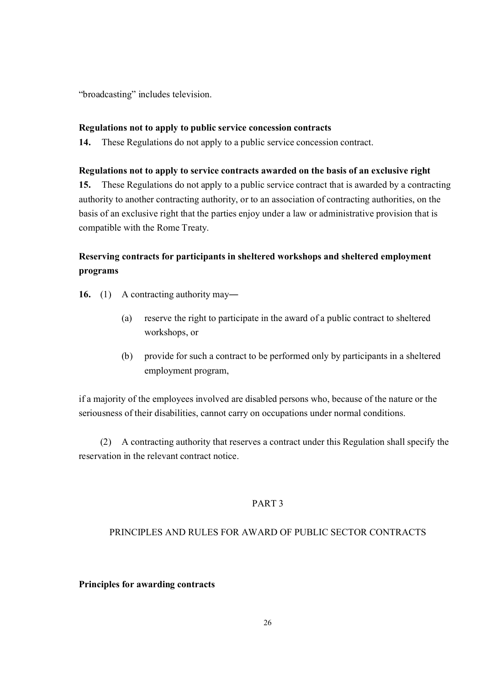"broadcasting" includes television.

#### **Regulations not to apply to public service concession contracts**

**14.** These Regulations do not apply to a public service concession contract.

#### **Regulations not to apply to service contracts awarded on the basis of an exclusive right**

**15.** These Regulations do not apply to a public service contract that is awarded by a contracting authority to another contracting authority, or to an association of contracting authorities, on the basis of an exclusive right that the parties enjoy under a law or administrative provision that is compatible with the Rome Treaty.

# **Reserving contracts for participants in sheltered workshops and sheltered employment programs**

- **16.** (1) A contracting authority may―
	- (a) reserve the right to participate in the award of a public contract to sheltered workshops, or
	- (b) provide for such a contract to be performed only by participants in a sheltered employment program,

if a majority of the employees involved are disabled persons who, because of the nature or the seriousness of their disabilities, cannot carry on occupations under normal conditions.

(2) A contracting authority that reserves a contract under this Regulation shall specify the reservation in the relevant contract notice.

## PART 3

## PRINCIPLES AND RULES FOR AWARD OF PUBLIC SECTOR CONTRACTS

#### **Principles for awarding contracts**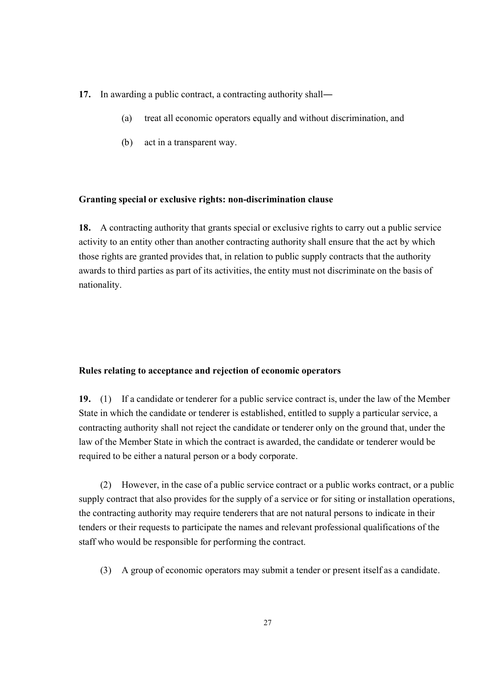- 17. In awarding a public contract, a contracting authority shall—
	- (a) treat all economic operators equally and without discrimination, and
	- (b) act in a transparent way.

#### **Granting special or exclusive rights: non-discrimination clause**

**18.** A contracting authority that grants special or exclusive rights to carry out a public service activity to an entity other than another contracting authority shall ensure that the act by which those rights are granted provides that, in relation to public supply contracts that the authority awards to third parties as part of its activities, the entity must not discriminate on the basis of nationality.

#### **Rules relating to acceptance and rejection of economic operators**

**19.** (1) If a candidate or tenderer for a public service contract is, under the law of the Member State in which the candidate or tenderer is established, entitled to supply a particular service, a contracting authority shall not reject the candidate or tenderer only on the ground that, under the law of the Member State in which the contract is awarded, the candidate or tenderer would be required to be either a natural person or a body corporate.

(2) However, in the case of a public service contract or a public works contract, or a public supply contract that also provides for the supply of a service or for siting or installation operations, the contracting authority may require tenderers that are not natural persons to indicate in their tenders or their requests to participate the names and relevant professional qualifications of the staff who would be responsible for performing the contract.

(3) A group of economic operators may submit a tender or present itself as a candidate.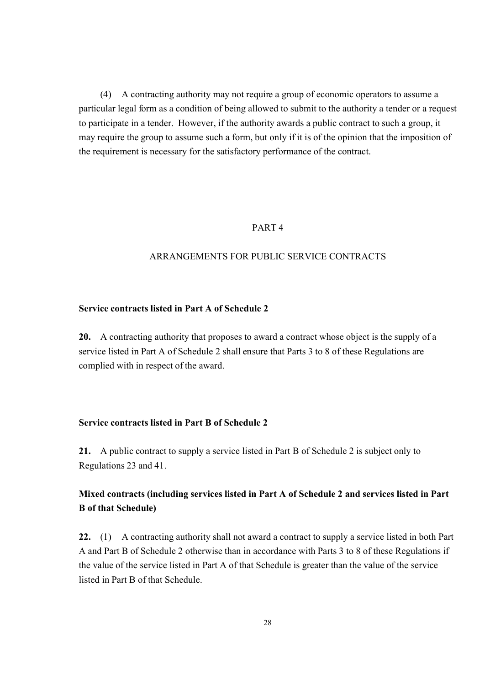(4) A contracting authority may not require a group of economic operators to assume a particular legal form as a condition of being allowed to submit to the authority a tender or a request to participate in a tender. However, if the authority awards a public contract to such a group, it may require the group to assume such a form, but only if it is of the opinion that the imposition of the requirement is necessary for the satisfactory performance of the contract.

## PART 4

#### ARRANGEMENTS FOR PUBLIC SERVICE CONTRACTS

#### **Service contracts listed in Part A of Schedule 2**

**20.** A contracting authority that proposes to award a contract whose object is the supply of a service listed in Part A of Schedule 2 shall ensure that Parts 3 to 8 of these Regulations are complied with in respect of the award.

## **Service contracts listed in Part B of Schedule 2**

**21.** A public contract to supply a service listed in Part B of Schedule 2 is subject only to Regulations 23 and 41.

## **Mixed contracts (including services listed in Part A of Schedule 2 and services listed in Part B of that Schedule)**

**22.** (1) A contracting authority shall not award a contract to supply a service listed in both Part A and Part B of Schedule 2 otherwise than in accordance with Parts 3 to 8 of these Regulations if the value of the service listed in Part A of that Schedule is greater than the value of the service listed in Part B of that Schedule.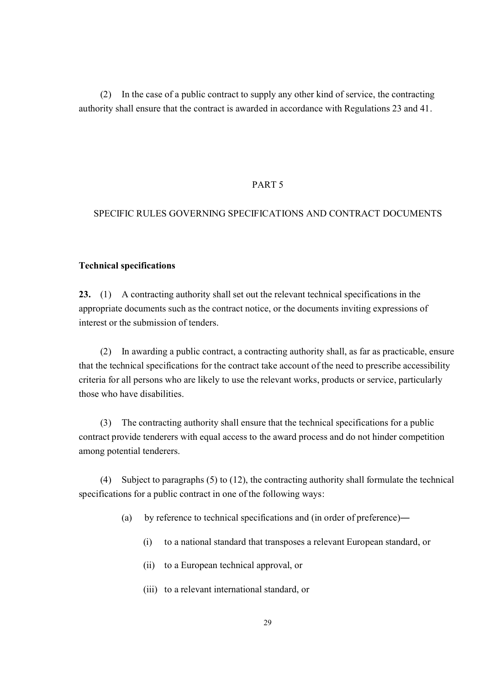(2) In the case of a public contract to supply any other kind of service, the contracting authority shall ensure that the contract is awarded in accordance with Regulations 23 and 41.

#### PART 5

## SPECIFIC RULES GOVERNING SPECIFICATIONS AND CONTRACT DOCUMENTS

#### **Technical specifications**

**23.** (1) A contracting authority shall set out the relevant technical specifications in the appropriate documents such as the contract notice, or the documents inviting expressions of interest or the submission of tenders.

(2) In awarding a public contract, a contracting authority shall, as far as practicable, ensure that the technical specifications for the contract take account of the need to prescribe accessibility criteria for all persons who are likely to use the relevant works, products or service, particularly those who have disabilities.

(3) The contracting authority shall ensure that the technical specifications for a public contract provide tenderers with equal access to the award process and do not hinder competition among potential tenderers.

(4) Subject to paragraphs (5) to (12), the contracting authority shall formulate the technical specifications for a public contract in one of the following ways:

- (a) by reference to technical specifications and (in order of preference)―
	- (i) to a national standard that transposes a relevant European standard, or
	- (ii) to a European technical approval, or
	- (iii) to a relevant international standard, or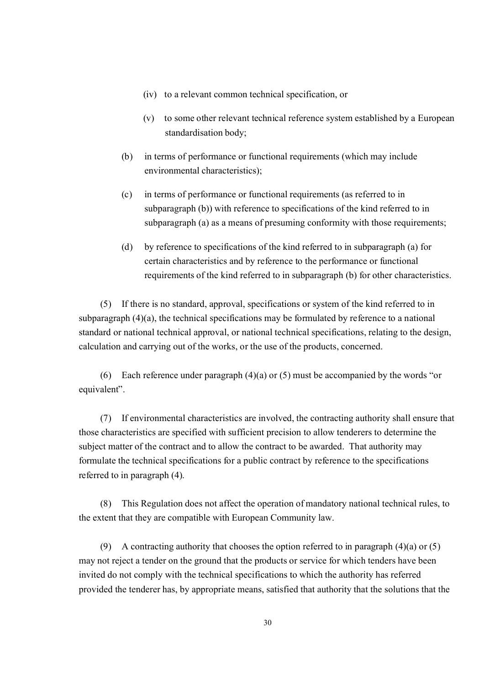- (iv) to a relevant common technical specification, or
- (v) to some other relevant technical reference system established by a European standardisation body;
- (b) in terms of performance or functional requirements (which may include environmental characteristics);
- (c) in terms of performance or functional requirements (as referred to in subparagraph (b)) with reference to specifications of the kind referred to in subparagraph (a) as a means of presuming conformity with those requirements;
- (d) by reference to specifications of the kind referred to in subparagraph (a) for certain characteristics and by reference to the performance or functional requirements of the kind referred to in subparagraph (b) for other characteristics.

(5) If there is no standard, approval, specifications or system of the kind referred to in subparagraph (4)(a), the technical specifications may be formulated by reference to a national standard or national technical approval, or national technical specifications, relating to the design, calculation and carrying out of the works, or the use of the products, concerned.

(6) Each reference under paragraph  $(4)(a)$  or  $(5)$  must be accompanied by the words "or equivalent".

(7) If environmental characteristics are involved, the contracting authority shall ensure that those characteristics are specified with sufficient precision to allow tenderers to determine the subject matter of the contract and to allow the contract to be awarded. That authority may formulate the technical specifications for a public contract by reference to the specifications referred to in paragraph (4).

(8) This Regulation does not affect the operation of mandatory national technical rules, to the extent that they are compatible with European Community law.

(9) A contracting authority that chooses the option referred to in paragraph  $(4)(a)$  or  $(5)$ may not reject a tender on the ground that the products or service for which tenders have been invited do not comply with the technical specifications to which the authority has referred provided the tenderer has, by appropriate means, satisfied that authority that the solutions that the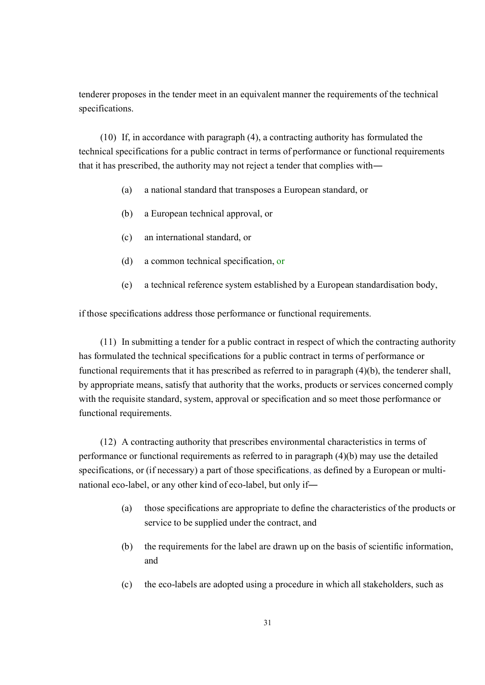tenderer proposes in the tender meet in an equivalent manner the requirements of the technical specifications.

(10) If, in accordance with paragraph (4), a contracting authority has formulated the technical specifications for a public contract in terms of performance or functional requirements that it has prescribed, the authority may not reject a tender that complies with―

- (a) a national standard that transposes a European standard, or
- (b) a European technical approval, or
- (c) an international standard, or
- (d) a common technical specification, or
- (e) a technical reference system established by a European standardisation body,

if those specifications address those performance or functional requirements.

(11) In submitting a tender for a public contract in respect of which the contracting authority has formulated the technical specifications for a public contract in terms of performance or functional requirements that it has prescribed as referred to in paragraph (4)(b), the tenderer shall, by appropriate means, satisfy that authority that the works, products or services concerned comply with the requisite standard, system, approval or specification and so meet those performance or functional requirements.

(12) A contracting authority that prescribes environmental characteristics in terms of performance or functional requirements as referred to in paragraph (4)(b) may use the detailed specifications, or (if necessary) a part of those specifications, as defined by a European or multinational eco-label, or any other kind of eco-label, but only if―

- (a) those specifications are appropriate to define the characteristics of the products or service to be supplied under the contract, and
- (b) the requirements for the label are drawn up on the basis of scientific information, and
- (c) the eco-labels are adopted using a procedure in which all stakeholders, such as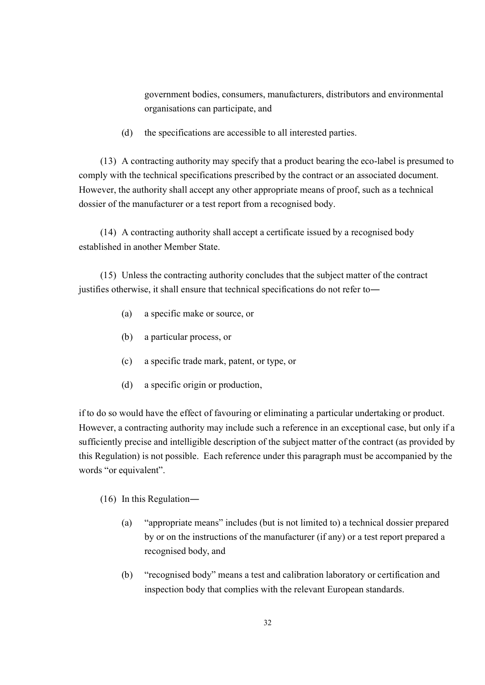government bodies, consumers, manufacturers, distributors and environmental organisations can participate, and

(d) the specifications are accessible to all interested parties.

(13) A contracting authority may specify that a product bearing the eco-label is presumed to comply with the technical specifications prescribed by the contract or an associated document. However, the authority shall accept any other appropriate means of proof, such as a technical dossier of the manufacturer or a test report from a recognised body.

(14) A contracting authority shall accept a certificate issued by a recognised body established in another Member State.

(15) Unless the contracting authority concludes that the subject matter of the contract justifies otherwise, it shall ensure that technical specifications do not refer to―

- (a) a specific make or source, or
- (b) a particular process, or
- (c) a specific trade mark, patent, or type, or
- (d) a specific origin or production,

if to do so would have the effect of favouring or eliminating a particular undertaking or product. However, a contracting authority may include such a reference in an exceptional case, but only if a sufficiently precise and intelligible description of the subject matter of the contract (as provided by this Regulation) is not possible. Each reference under this paragraph must be accompanied by the words "or equivalent".

## (16) In this Regulation―

- (a) "appropriate means" includes (but is not limited to) a technical dossier prepared by or on the instructions of the manufacturer (if any) or a test report prepared a recognised body, and
- (b) "recognised body" means a test and calibration laboratory or certification and inspection body that complies with the relevant European standards.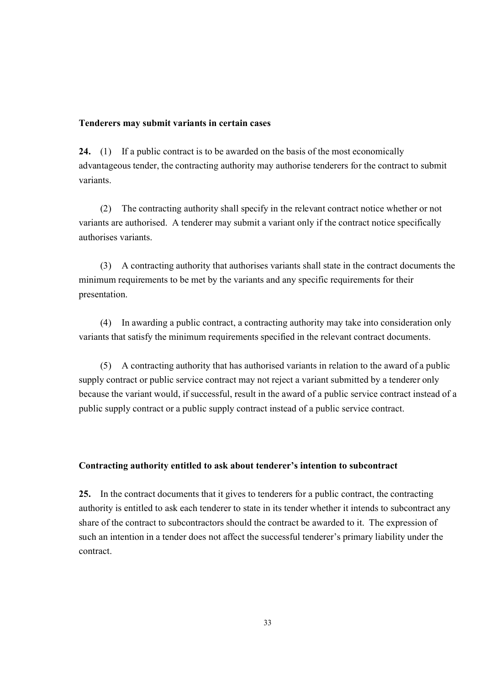#### **Tenderers may submit variants in certain cases**

**24.** (1) If a public contract is to be awarded on the basis of the most economically advantageous tender, the contracting authority may authorise tenderers for the contract to submit variants.

(2) The contracting authority shall specify in the relevant contract notice whether or not variants are authorised. A tenderer may submit a variant only if the contract notice specifically authorises variants.

(3) A contracting authority that authorises variants shall state in the contract documents the minimum requirements to be met by the variants and any specific requirements for their presentation.

(4) In awarding a public contract, a contracting authority may take into consideration only variants that satisfy the minimum requirements specified in the relevant contract documents.

(5) A contracting authority that has authorised variants in relation to the award of a public supply contract or public service contract may not reject a variant submitted by a tenderer only because the variant would, if successful, result in the award of a public service contract instead of a public supply contract or a public supply contract instead of a public service contract.

## **Contracting authority entitled to ask about tenderer's intention to subcontract**

**25.** In the contract documents that it gives to tenderers for a public contract, the contracting authority is entitled to ask each tenderer to state in its tender whether it intends to subcontract any share of the contract to subcontractors should the contract be awarded to it. The expression of such an intention in a tender does not affect the successful tenderer's primary liability under the contract.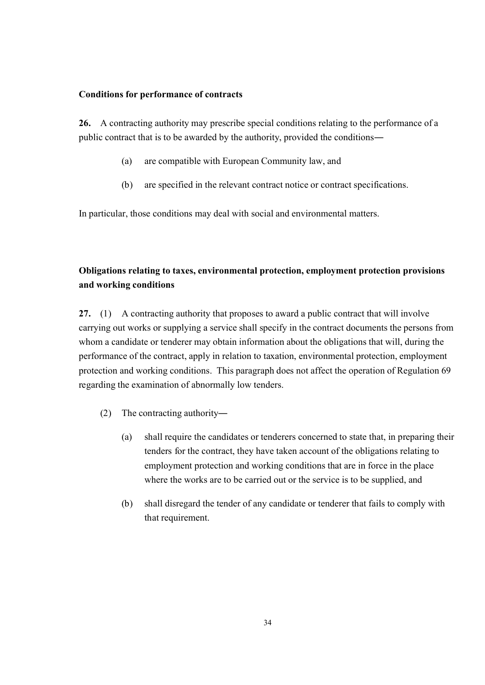#### **Conditions for performance of contracts**

**26.** A contracting authority may prescribe special conditions relating to the performance of a public contract that is to be awarded by the authority, provided the conditions―

- (a) are compatible with European Community law, and
- (b) are specified in the relevant contract notice or contract specifications.

In particular, those conditions may deal with social and environmental matters.

# **Obligations relating to taxes, environmental protection, employment protection provisions and working conditions**

**27.** (1) A contracting authority that proposes to award a public contract that will involve carrying out works or supplying a service shall specify in the contract documents the persons from whom a candidate or tenderer may obtain information about the obligations that will, during the performance of the contract, apply in relation to taxation, environmental protection, employment protection and working conditions. This paragraph does not affect the operation of Regulation 69 regarding the examination of abnormally low tenders.

- (2) The contracting authority―
	- (a) shall require the candidates or tenderers concerned to state that, in preparing their tenders for the contract, they have taken account of the obligations relating to employment protection and working conditions that are in force in the place where the works are to be carried out or the service is to be supplied, and
	- (b) shall disregard the tender of any candidate or tenderer that fails to comply with that requirement.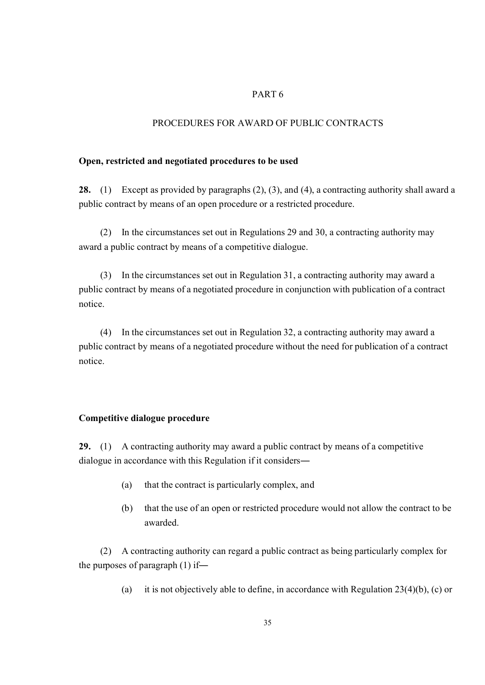## PART 6

## PROCEDURES FOR AWARD OF PUBLIC CONTRACTS

#### **Open, restricted and negotiated procedures to be used**

**28.** (1) Except as provided by paragraphs (2), (3), and (4), a contracting authority shall award a public contract by means of an open procedure or a restricted procedure.

(2) In the circumstances set out in Regulations 29 and 30, a contracting authority may award a public contract by means of a competitive dialogue.

(3) In the circumstances set out in Regulation 31, a contracting authority may award a public contract by means of a negotiated procedure in conjunction with publication of a contract notice.

(4) In the circumstances set out in Regulation 32, a contracting authority may award a public contract by means of a negotiated procedure without the need for publication of a contract notice.

#### **Competitive dialogue procedure**

**29.** (1) A contracting authority may award a public contract by means of a competitive dialogue in accordance with this Regulation if it considers―

- (a) that the contract is particularly complex, and
- (b) that the use of an open or restricted procedure would not allow the contract to be awarded.

(2) A contracting authority can regard a public contract as being particularly complex for the purposes of paragraph (1) if―

(a) it is not objectively able to define, in accordance with Regulation 23(4)(b), (c) or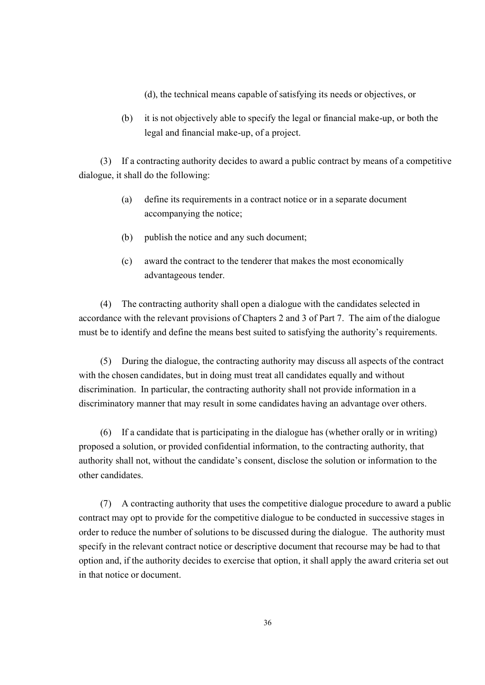(d), the technical means capable of satisfying its needs or objectives, or

(b) it is not objectively able to specify the legal or financial make-up, or both the legal and financial make-up, of a project.

(3) If a contracting authority decides to award a public contract by means of a competitive dialogue, it shall do the following:

- (a) define its requirements in a contract notice or in a separate document accompanying the notice;
- (b) publish the notice and any such document;
- (c) award the contract to the tenderer that makes the most economically advantageous tender.

(4) The contracting authority shall open a dialogue with the candidates selected in accordance with the relevant provisions of Chapters 2 and 3 of Part 7. The aim of the dialogue must be to identify and define the means best suited to satisfying the authority's requirements.

(5) During the dialogue, the contracting authority may discuss all aspects of the contract with the chosen candidates, but in doing must treat all candidates equally and without discrimination. In particular, the contracting authority shall not provide information in a discriminatory manner that may result in some candidates having an advantage over others.

(6) If a candidate that is participating in the dialogue has (whether orally or in writing) proposed a solution, or provided confidential information, to the contracting authority, that authority shall not, without the candidate's consent, disclose the solution or information to the other candidates.

(7) A contracting authority that uses the competitive dialogue procedure to award a public contract may opt to provide for the competitive dialogue to be conducted in successive stages in order to reduce the number of solutions to be discussed during the dialogue. The authority must specify in the relevant contract notice or descriptive document that recourse may be had to that option and, if the authority decides to exercise that option, it shall apply the award criteria set out in that notice or document.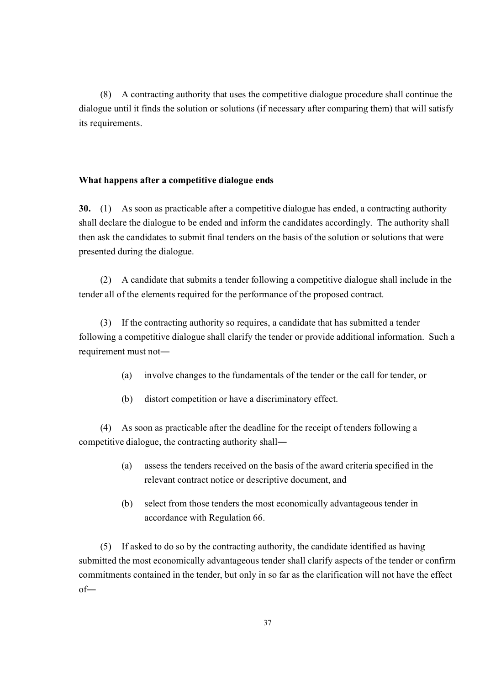(8) A contracting authority that uses the competitive dialogue procedure shall continue the dialogue until it finds the solution or solutions (if necessary after comparing them) that will satisfy its requirements.

### **What happens after a competitive dialogue ends**

**30.** (1) As soon as practicable after a competitive dialogue has ended, a contracting authority shall declare the dialogue to be ended and inform the candidates accordingly. The authority shall then ask the candidates to submit final tenders on the basis of the solution or solutions that were presented during the dialogue.

(2) A candidate that submits a tender following a competitive dialogue shall include in the tender all of the elements required for the performance of the proposed contract.

(3) If the contracting authority so requires, a candidate that has submitted a tender following a competitive dialogue shall clarify the tender or provide additional information. Such a requirement must not―

- (a) involve changes to the fundamentals of the tender or the call for tender, or
- (b) distort competition or have a discriminatory effect.

(4) As soon as practicable after the deadline for the receipt of tenders following a competitive dialogue, the contracting authority shall―

- (a) assess the tenders received on the basis of the award criteria specified in the relevant contract notice or descriptive document, and
- (b) select from those tenders the most economically advantageous tender in accordance with Regulation 66.

(5) If asked to do so by the contracting authority, the candidate identified as having submitted the most economically advantageous tender shall clarify aspects of the tender or confirm commitments contained in the tender, but only in so far as the clarification will not have the effect of―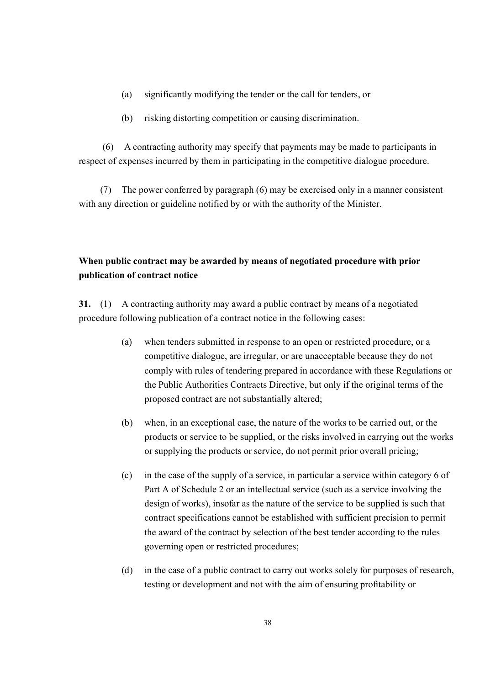- (a) significantly modifying the tender or the call for tenders, or
- (b) risking distorting competition or causing discrimination.

(6) A contracting authority may specify that payments may be made to participants in respect of expenses incurred by them in participating in the competitive dialogue procedure.

(7) The power conferred by paragraph (6) may be exercised only in a manner consistent with any direction or guideline notified by or with the authority of the Minister.

# **When public contract may be awarded by means of negotiated procedure with prior publication of contract notice**

**31.** (1) A contracting authority may award a public contract by means of a negotiated procedure following publication of a contract notice in the following cases:

- (a) when tenders submitted in response to an open or restricted procedure, or a competitive dialogue, are irregular, or are unacceptable because they do not comply with rules of tendering prepared in accordance with these Regulations or the Public Authorities Contracts Directive, but only if the original terms of the proposed contract are not substantially altered;
- (b) when, in an exceptional case, the nature of the works to be carried out, or the products or service to be supplied, or the risks involved in carrying out the works or supplying the products or service, do not permit prior overall pricing;
- (c) in the case of the supply of a service, in particular a service within category 6 of Part A of Schedule 2 or an intellectual service (such as a service involving the design of works), insofar as the nature of the service to be supplied is such that contract specifications cannot be established with sufficient precision to permit the award of the contract by selection of the best tender according to the rules governing open or restricted procedures;
- (d) in the case of a public contract to carry out works solely for purposes of research, testing or development and not with the aim of ensuring profitability or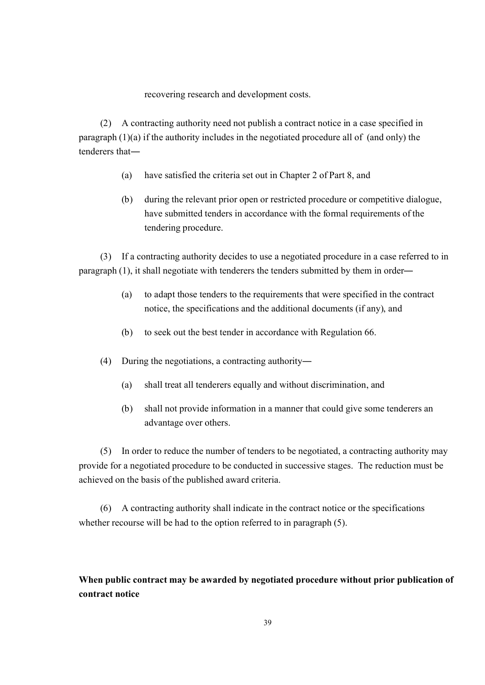recovering research and development costs.

(2) A contracting authority need not publish a contract notice in a case specified in paragraph  $(1)(a)$  if the authority includes in the negotiated procedure all of (and only) the tenderers that―

- (a) have satisfied the criteria set out in Chapter 2 of Part 8, and
- (b) during the relevant prior open or restricted procedure or competitive dialogue, have submitted tenders in accordance with the formal requirements of the tendering procedure.

(3) If a contracting authority decides to use a negotiated procedure in a case referred to in paragraph (1), it shall negotiate with tenderers the tenders submitted by them in order―

- (a) to adapt those tenders to the requirements that were specified in the contract notice, the specifications and the additional documents (if any), and
- (b) to seek out the best tender in accordance with Regulation 66.
- (4) During the negotiations, a contracting authority―
	- (a) shall treat all tenderers equally and without discrimination, and
	- (b) shall not provide information in a manner that could give some tenderers an advantage over others.

(5) In order to reduce the number of tenders to be negotiated, a contracting authority may provide for a negotiated procedure to be conducted in successive stages. The reduction must be achieved on the basis of the published award criteria.

(6) A contracting authority shall indicate in the contract notice or the specifications whether recourse will be had to the option referred to in paragraph  $(5)$ .

# **When public contract may be awarded by negotiated procedure without prior publication of contract notice**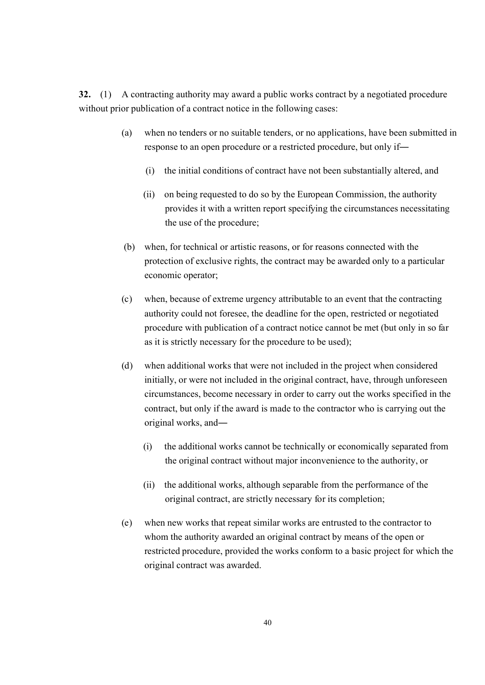**32.** (1) A contracting authority may award a public works contract by a negotiated procedure without prior publication of a contract notice in the following cases:

- (a) when no tenders or no suitable tenders, or no applications, have been submitted in response to an open procedure or a restricted procedure, but only if―
	- (i) the initial conditions of contract have not been substantially altered, and
	- (ii) on being requested to do so by the European Commission, the authority provides it with a written report specifying the circumstances necessitating the use of the procedure;
- (b) when, for technical or artistic reasons, or for reasons connected with the protection of exclusive rights, the contract may be awarded only to a particular economic operator;
- (c) when, because of extreme urgency attributable to an event that the contracting authority could not foresee, the deadline for the open, restricted or negotiated procedure with publication of a contract notice cannot be met (but only in so far as it is strictly necessary for the procedure to be used);
- (d) when additional works that were not included in the project when considered initially, or were not included in the original contract, have, through unforeseen circumstances, become necessary in order to carry out the works specified in the contract, but only if the award is made to the contractor who is carrying out the original works, and―
	- (i) the additional works cannot be technically or economically separated from the original contract without major inconvenience to the authority, or
	- (ii) the additional works, although separable from the performance of the original contract, are strictly necessary for its completion;
- (e) when new works that repeat similar works are entrusted to the contractor to whom the authority awarded an original contract by means of the open or restricted procedure, provided the works conform to a basic project for which the original contract was awarded.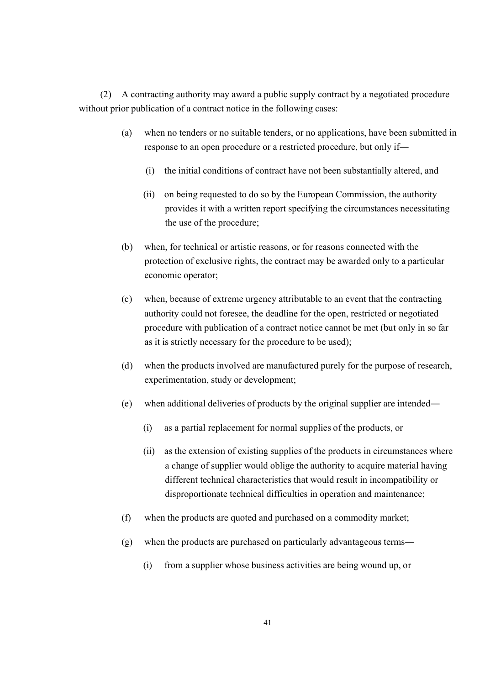(2) A contracting authority may award a public supply contract by a negotiated procedure without prior publication of a contract notice in the following cases:

- (a) when no tenders or no suitable tenders, or no applications, have been submitted in response to an open procedure or a restricted procedure, but only if―
	- (i) the initial conditions of contract have not been substantially altered, and
	- (ii) on being requested to do so by the European Commission, the authority provides it with a written report specifying the circumstances necessitating the use of the procedure;
- (b) when, for technical or artistic reasons, or for reasons connected with the protection of exclusive rights, the contract may be awarded only to a particular economic operator;
- (c) when, because of extreme urgency attributable to an event that the contracting authority could not foresee, the deadline for the open, restricted or negotiated procedure with publication of a contract notice cannot be met (but only in so far as it is strictly necessary for the procedure to be used);
- (d) when the products involved are manufactured purely for the purpose of research, experimentation, study or development;
- (e) when additional deliveries of products by the original supplier are intended―
	- (i) as a partial replacement for normal supplies of the products, or
	- (ii) as the extension of existing supplies of the products in circumstances where a change of supplier would oblige the authority to acquire material having different technical characteristics that would result in incompatibility or disproportionate technical difficulties in operation and maintenance;
- (f) when the products are quoted and purchased on a commodity market;
- (g) when the products are purchased on particularly advantageous terms―
	- (i) from a supplier whose business activities are being wound up, or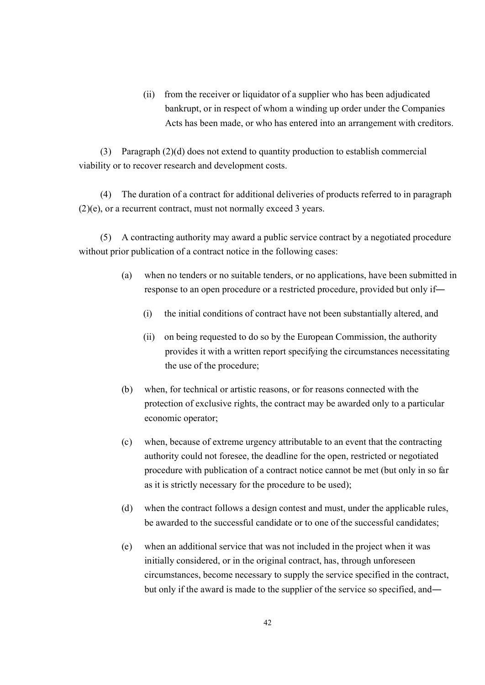(ii) from the receiver or liquidator of a supplier who has been adjudicated bankrupt, or in respect of whom a winding up order under the Companies Acts has been made, or who has entered into an arrangement with creditors.

(3) Paragraph (2)(d) does not extend to quantity production to establish commercial viability or to recover research and development costs.

(4) The duration of a contract for additional deliveries of products referred to in paragraph (2)(e), or a recurrent contract, must not normally exceed 3 years.

(5) A contracting authority may award a public service contract by a negotiated procedure without prior publication of a contract notice in the following cases:

- (a) when no tenders or no suitable tenders, or no applications, have been submitted in response to an open procedure or a restricted procedure, provided but only if―
	- (i) the initial conditions of contract have not been substantially altered, and
	- (ii) on being requested to do so by the European Commission, the authority provides it with a written report specifying the circumstances necessitating the use of the procedure;
- (b) when, for technical or artistic reasons, or for reasons connected with the protection of exclusive rights, the contract may be awarded only to a particular economic operator;
- (c) when, because of extreme urgency attributable to an event that the contracting authority could not foresee, the deadline for the open, restricted or negotiated procedure with publication of a contract notice cannot be met (but only in so far as it is strictly necessary for the procedure to be used);
- (d) when the contract follows a design contest and must, under the applicable rules, be awarded to the successful candidate or to one of the successful candidates;
- (e) when an additional service that was not included in the project when it was initially considered, or in the original contract, has, through unforeseen circumstances, become necessary to supply the service specified in the contract, but only if the award is made to the supplier of the service so specified, and―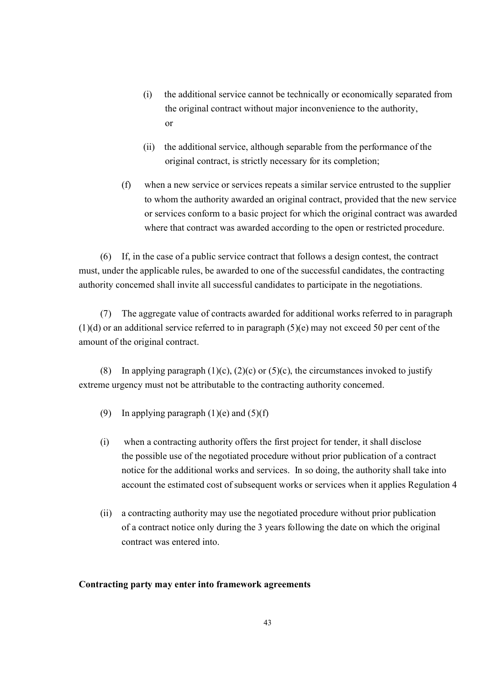- (i) the additional service cannot be technically or economically separated from the original contract without major inconvenience to the authority, or
- (ii) the additional service, although separable from the performance of the original contract, is strictly necessary for its completion;
- (f) when a new service or services repeats a similar service entrusted to the supplier to whom the authority awarded an original contract, provided that the new service or services conform to a basic project for which the original contract was awarded where that contract was awarded according to the open or restricted procedure.

(6) If, in the case of a public service contract that follows a design contest, the contract must, under the applicable rules, be awarded to one of the successful candidates, the contracting authority concerned shall invite all successful candidates to participate in the negotiations.

(7) The aggregate value of contracts awarded for additional works referred to in paragraph (1)(d) or an additional service referred to in paragraph (5)(e) may not exceed 50 per cent of the amount of the original contract.

(8) In applying paragraph (1)(c), (2)(c) or (5)(c), the circumstances invoked to justify extreme urgency must not be attributable to the contracting authority concerned.

- (9) In applying paragraph  $(1)(e)$  and  $(5)(f)$
- (i) when a contracting authority offers the first project for tender, it shall disclose the possible use of the negotiated procedure without prior publication of a contract notice for the additional works and services. In so doing, the authority shall take into account the estimated cost of subsequent works or services when it applies Regulation 4
- (ii) a contracting authority may use the negotiated procedure without prior publication of a contract notice only during the 3 years following the date on which the original contract was entered into.

## **Contracting party may enter into framework agreements**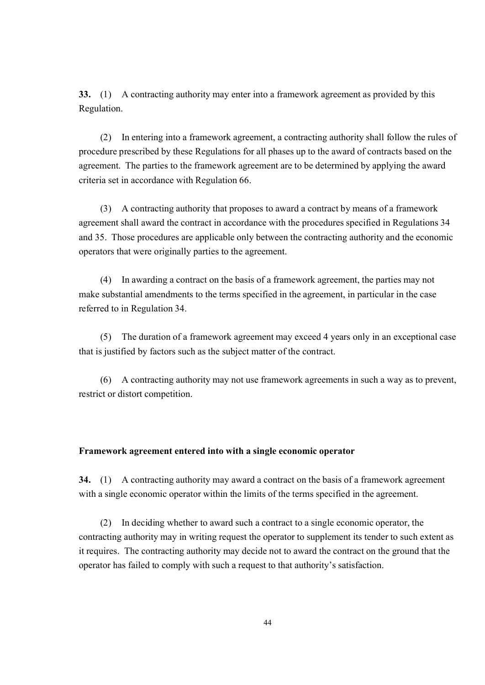**33.** (1) A contracting authority may enter into a framework agreement as provided by this Regulation.

(2) In entering into a framework agreement, a contracting authority shall follow the rules of procedure prescribed by these Regulations for all phases up to the award of contracts based on the agreement. The parties to the framework agreement are to be determined by applying the award criteria set in accordance with Regulation 66.

(3) A contracting authority that proposes to award a contract by means of a framework agreement shall award the contract in accordance with the procedures specified in Regulations 34 and 35. Those procedures are applicable only between the contracting authority and the economic operators that were originally parties to the agreement.

(4) In awarding a contract on the basis of a framework agreement, the parties may not make substantial amendments to the terms specified in the agreement, in particular in the case referred to in Regulation 34.

(5) The duration of a framework agreement may exceed 4 years only in an exceptional case that is justified by factors such as the subject matter of the contract.

(6) A contracting authority may not use framework agreements in such a way as to prevent, restrict or distort competition.

#### **Framework agreement entered into with a single economic operator**

**34.** (1) A contracting authority may award a contract on the basis of a framework agreement with a single economic operator within the limits of the terms specified in the agreement.

(2) In deciding whether to award such a contract to a single economic operator, the contracting authority may in writing request the operator to supplement its tender to such extent as it requires. The contracting authority may decide not to award the contract on the ground that the operator has failed to comply with such a request to that authority's satisfaction.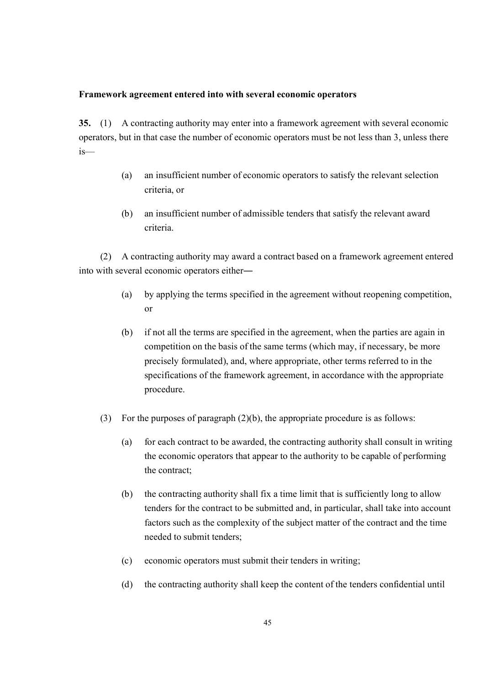#### **Framework agreement entered into with several economic operators**

**35.** (1) A contracting authority may enter into a framework agreement with several economic operators, but in that case the number of economic operators must be not less than 3, unless there is—

- (a) an insufficient number of economic operators to satisfy the relevant selection criteria, or
- (b) an insufficient number of admissible tenders that satisfy the relevant award criteria.

(2) A contracting authority may award a contract based on a framework agreement entered into with several economic operators either―

- (a) by applying the terms specified in the agreement without reopening competition, or
- (b) if not all the terms are specified in the agreement, when the parties are again in competition on the basis of the same terms (which may, if necessary, be more precisely formulated), and, where appropriate, other terms referred to in the specifications of the framework agreement, in accordance with the appropriate procedure.
- (3) For the purposes of paragraph (2)(b), the appropriate procedure is as follows:
	- (a) for each contract to be awarded, the contracting authority shall consult in writing the economic operators that appear to the authority to be capable of performing the contract;
	- (b) the contracting authority shall fix a time limit that is sufficiently long to allow tenders for the contract to be submitted and, in particular, shall take into account factors such as the complexity of the subject matter of the contract and the time needed to submit tenders;
	- (c) economic operators must submit their tenders in writing;
	- (d) the contracting authority shall keep the content of the tenders confidential until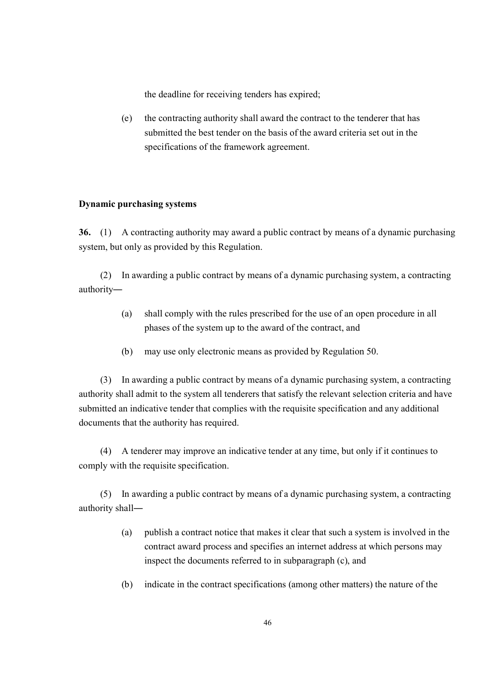the deadline for receiving tenders has expired;

(e) the contracting authority shall award the contract to the tenderer that has submitted the best tender on the basis of the award criteria set out in the specifications of the framework agreement.

### **Dynamic purchasing systems**

**36.** (1) A contracting authority may award a public contract by means of a dynamic purchasing system, but only as provided by this Regulation.

(2) In awarding a public contract by means of a dynamic purchasing system, a contracting authority―

- (a) shall comply with the rules prescribed for the use of an open procedure in all phases of the system up to the award of the contract, and
- (b) may use only electronic means as provided by Regulation 50.

(3) In awarding a public contract by means of a dynamic purchasing system, a contracting authority shall admit to the system all tenderers that satisfy the relevant selection criteria and have submitted an indicative tender that complies with the requisite specification and any additional documents that the authority has required.

(4) A tenderer may improve an indicative tender at any time, but only if it continues to comply with the requisite specification.

(5) In awarding a public contract by means of a dynamic purchasing system, a contracting authority shall―

- (a) publish a contract notice that makes it clear that such a system is involved in the contract award process and specifies an internet address at which persons may inspect the documents referred to in subparagraph (c), and
- (b) indicate in the contract specifications (among other matters) the nature of the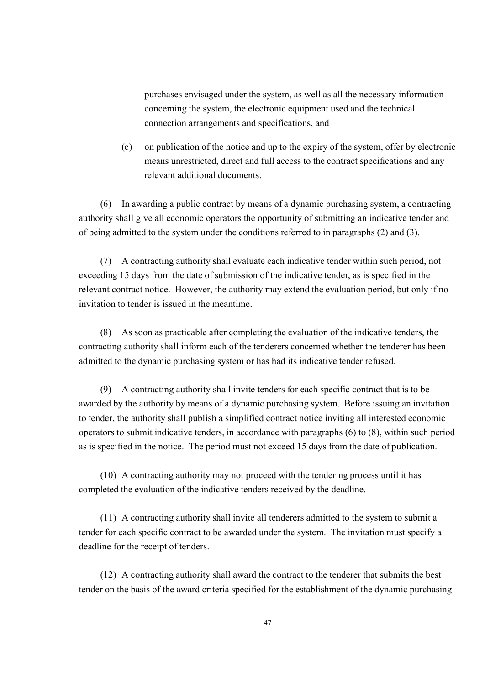purchases envisaged under the system, as well as all the necessary information concerning the system, the electronic equipment used and the technical connection arrangements and specifications, and

(c) on publication of the notice and up to the expiry of the system, offer by electronic means unrestricted, direct and full access to the contract specifications and any relevant additional documents.

(6) In awarding a public contract by means of a dynamic purchasing system, a contracting authority shall give all economic operators the opportunity of submitting an indicative tender and of being admitted to the system under the conditions referred to in paragraphs (2) and (3).

(7) A contracting authority shall evaluate each indicative tender within such period, not exceeding 15 days from the date of submission of the indicative tender, as is specified in the relevant contract notice. However, the authority may extend the evaluation period, but only if no invitation to tender is issued in the meantime.

(8) As soon as practicable after completing the evaluation of the indicative tenders, the contracting authority shall inform each of the tenderers concerned whether the tenderer has been admitted to the dynamic purchasing system or has had its indicative tender refused.

(9) A contracting authority shall invite tenders for each specific contract that is to be awarded by the authority by means of a dynamic purchasing system. Before issuing an invitation to tender, the authority shall publish a simplified contract notice inviting all interested economic operators to submit indicative tenders, in accordance with paragraphs (6) to (8), within such period as is specified in the notice. The period must not exceed 15 days from the date of publication.

(10) A contracting authority may not proceed with the tendering process until it has completed the evaluation of the indicative tenders received by the deadline.

(11) A contracting authority shall invite all tenderers admitted to the system to submit a tender for each specific contract to be awarded under the system. The invitation must specify a deadline for the receipt of tenders.

(12) A contracting authority shall award the contract to the tenderer that submits the best tender on the basis of the award criteria specified for the establishment of the dynamic purchasing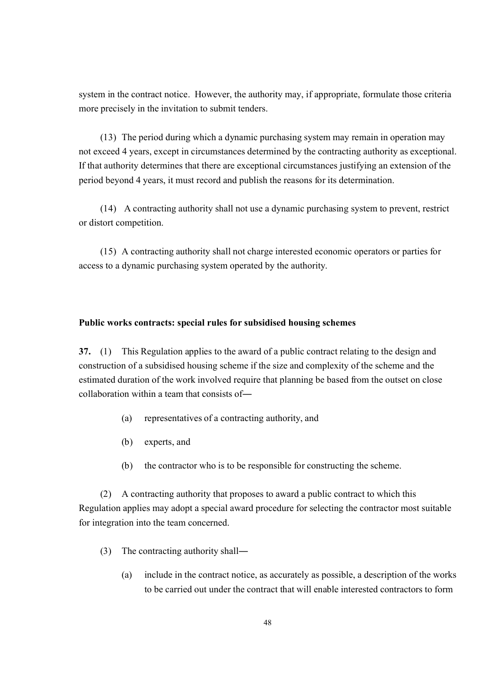system in the contract notice. However, the authority may, if appropriate, formulate those criteria more precisely in the invitation to submit tenders.

(13) The period during which a dynamic purchasing system may remain in operation may not exceed 4 years, except in circumstances determined by the contracting authority as exceptional. If that authority determines that there are exceptional circumstances justifying an extension of the period beyond 4 years, it must record and publish the reasons for its determination.

(14) A contracting authority shall not use a dynamic purchasing system to prevent, restrict or distort competition.

(15) A contracting authority shall not charge interested economic operators or parties for access to a dynamic purchasing system operated by the authority.

### **Public works contracts: special rules for subsidised housing schemes**

**37.** (1) This Regulation applies to the award of a public contract relating to the design and construction of a subsidised housing scheme if the size and complexity of the scheme and the estimated duration of the work involved require that planning be based from the outset on close collaboration within a team that consists of―

- (a) representatives of a contracting authority, and
- (b) experts, and
- (b) the contractor who is to be responsible for constructing the scheme.

(2) A contracting authority that proposes to award a public contract to which this Regulation applies may adopt a special award procedure for selecting the contractor most suitable for integration into the team concerned.

- (3) The contracting authority shall―
	- (a) include in the contract notice, as accurately as possible, a description of the works to be carried out under the contract that will enable interested contractors to form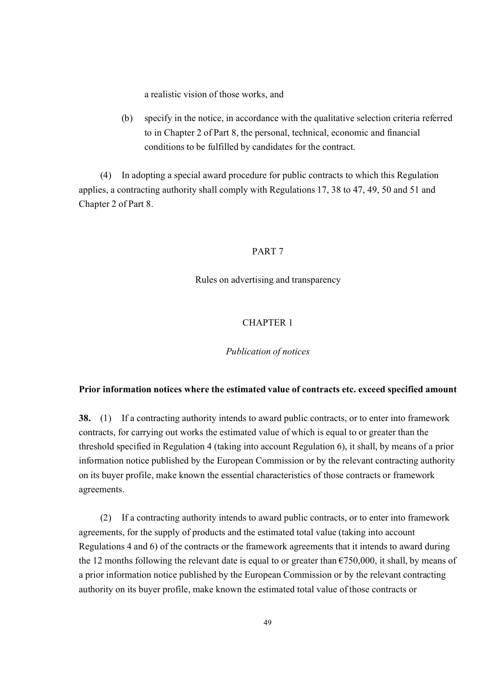a realistic vision of those works, and

(b) specify in the notice, in accordance with the qualitative selection criteria referred to in Chapter 2 of Part 8, the personal, technical, economic and financial conditions to be fulfilled by candidates for the contract.

(4) In adopting a special award procedure for public contracts to which this Regulation applies, a contracting authority shall comply with Regulations 17, 38 to 47, 49, 50 and 51 and Chapter 2 of Part 8.

### PART 7

Rules on advertising and transparency

# CHAPTER 1

# *Publication of notices*

#### **Prior information notices where the estimated value of contracts etc. exceed specified amount**

**38.** (1) If a contracting authority intends to award public contracts, or to enter into framework contracts, for carrying out works the estimated value of which is equal to or greater than the threshold specified in Regulation 4 (taking into account Regulation 6), it shall, by means of a prior information notice published by the European Commission or by the relevant contracting authority on its buyer profile, make known the essential characteristics of those contracts or framework agreements.

(2) If a contracting authority intends to award public contracts, or to enter into framework agreements, for the supply of products and the estimated total value (taking into account Regulations 4 and 6) of the contracts or the framework agreements that it intends to award during the 12 months following the relevant date is equal to or greater than  $\epsilon$ 750,000, it shall, by means of a prior information notice published by the European Commission or by the relevant contracting authority on its buyer profile, make known the estimated total value of those contracts or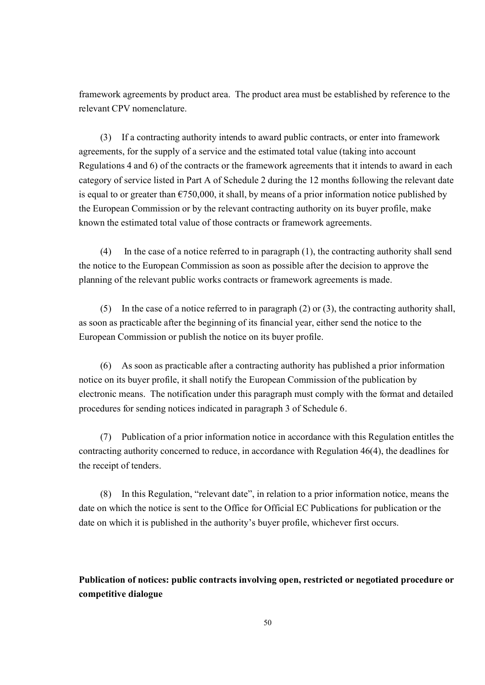framework agreements by product area. The product area must be established by reference to the relevant CPV nomenclature.

(3) If a contracting authority intends to award public contracts, or enter into framework agreements, for the supply of a service and the estimated total value (taking into account Regulations 4 and 6) of the contracts or the framework agreements that it intends to award in each category of service listed in Part A of Schedule 2 during the 12 months following the relevant date is equal to or greater than  $\epsilon$ 750,000, it shall, by means of a prior information notice published by the European Commission or by the relevant contracting authority on its buyer profile, make known the estimated total value of those contracts or framework agreements.

(4) In the case of a notice referred to in paragraph  $(1)$ , the contracting authority shall send the notice to the European Commission as soon as possible after the decision to approve the planning of the relevant public works contracts or framework agreements is made.

(5) In the case of a notice referred to in paragraph (2) or (3), the contracting authority shall, as soon as practicable after the beginning of its financial year, either send the notice to the European Commission or publish the notice on its buyer profile.

(6) As soon as practicable after a contracting authority has published a prior information notice on its buyer profile, it shall notify the European Commission of the publication by electronic means. The notification under this paragraph must comply with the format and detailed procedures for sending notices indicated in paragraph 3 of Schedule 6.

(7) Publication of a prior information notice in accordance with this Regulation entitles the contracting authority concerned to reduce, in accordance with Regulation 46(4), the deadlines for the receipt of tenders.

(8) In this Regulation, "relevant date", in relation to a prior information notice, means the date on which the notice is sent to the Office for Official EC Publications for publication or the date on which it is published in the authority's buyer profile, whichever first occurs.

# **Publication of notices: public contracts involving open, restricted or negotiated procedure or competitive dialogue**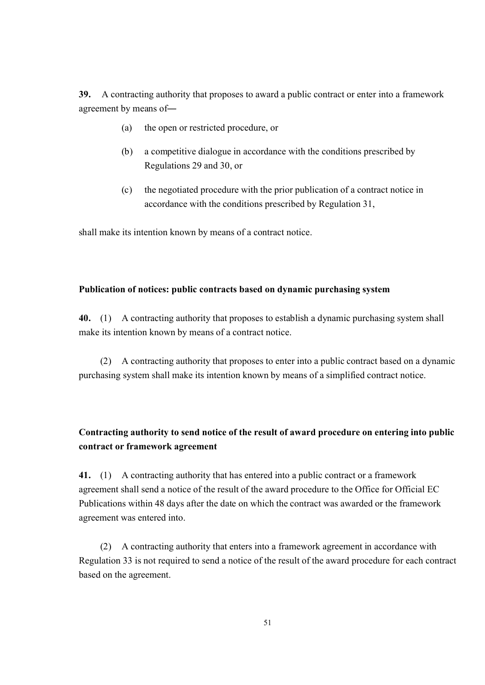**39.** A contracting authority that proposes to award a public contract or enter into a framework agreement by means of―

- (a) the open or restricted procedure, or
- (b) a competitive dialogue in accordance with the conditions prescribed by Regulations 29 and 30, or
- (c) the negotiated procedure with the prior publication of a contract notice in accordance with the conditions prescribed by Regulation 31,

shall make its intention known by means of a contract notice.

### **Publication of notices: public contracts based on dynamic purchasing system**

**40.** (1) A contracting authority that proposes to establish a dynamic purchasing system shall make its intention known by means of a contract notice.

(2) A contracting authority that proposes to enter into a public contract based on a dynamic purchasing system shall make its intention known by means of a simplified contract notice.

# **Contracting authority to send notice of the result of award procedure on entering into public contract or framework agreement**

**41.** (1) A contracting authority that has entered into a public contract or a framework agreement shall send a notice of the result of the award procedure to the Office for Official EC Publications within 48 days after the date on which the contract was awarded or the framework agreement was entered into.

(2) A contracting authority that enters into a framework agreement in accordance with Regulation 33 is not required to send a notice of the result of the award procedure for each contract based on the agreement.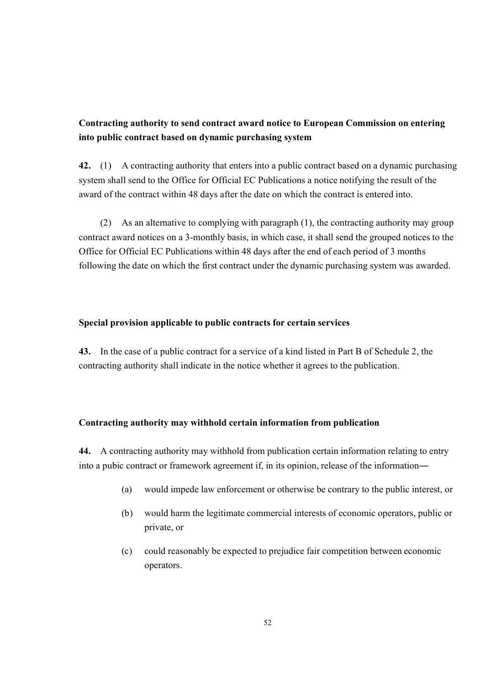# **Contracting authority to send contract award notice to European Commission on entering into public contract based on dynamic purchasing system**

**42.** (1) A contracting authority that enters into a public contract based on a dynamic purchasing system shall send to the Office for Official EC Publications a notice notifying the result of the award of the contract within 48 days after the date on which the contract is entered into.

(2) As an alternative to complying with paragraph (1), the contracting authority may group contract award notices on a 3-monthly basis, in which case, it shall send the grouped notices to the Office for Official EC Publications within 48 days after the end of each period of 3 months following the date on which the first contract under the dynamic purchasing system was awarded.

# **Special provision applicable to public contracts for certain services**

**43.** In the case of a public contract for a service of a kind listed in Part B of Schedule 2, the contracting authority shall indicate in the notice whether it agrees to the publication.

# **Contracting authority may withhold certain information from publication**

**44.** A contracting authority may withhold from publication certain information relating to entry into a pubic contract or framework agreement if, in its opinion, release of the information―

- (a) would impede law enforcement or otherwise be contrary to the public interest, or
- (b) would harm the legitimate commercial interests of economic operators, public or private, or
- (c) could reasonably be expected to prejudice fair competition between economic operators.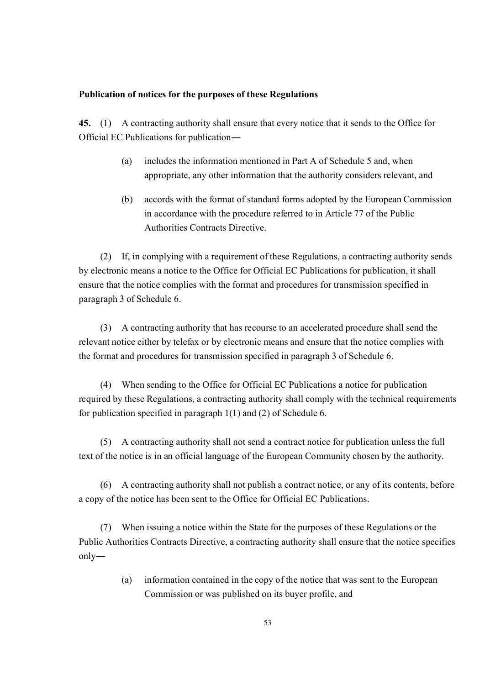#### **Publication of notices for the purposes of these Regulations**

**45.** (1) A contracting authority shall ensure that every notice that it sends to the Office for Official EC Publications for publication―

- (a) includes the information mentioned in Part A of Schedule 5 and, when appropriate, any other information that the authority considers relevant, and
- (b) accords with the format of standard forms adopted by the European Commission in accordance with the procedure referred to in Article 77 of the Public Authorities Contracts Directive.

(2) If, in complying with a requirement of these Regulations, a contracting authority sends by electronic means a notice to the Office for Official EC Publications for publication, it shall ensure that the notice complies with the format and procedures for transmission specified in paragraph 3 of Schedule 6.

(3) A contracting authority that has recourse to an accelerated procedure shall send the relevant notice either by telefax or by electronic means and ensure that the notice complies with the format and procedures for transmission specified in paragraph 3 of Schedule 6.

(4) When sending to the Office for Official EC Publications a notice for publication required by these Regulations, a contracting authority shall comply with the technical requirements for publication specified in paragraph 1(1) and (2) of Schedule 6.

(5) A contracting authority shall not send a contract notice for publication unless the full text of the notice is in an official language of the European Community chosen by the authority.

(6) A contracting authority shall not publish a contract notice, or any of its contents, before a copy of the notice has been sent to the Office for Official EC Publications.

(7) When issuing a notice within the State for the purposes of these Regulations or the Public Authorities Contracts Directive, a contracting authority shall ensure that the notice specifies only―

> (a) information contained in the copy of the notice that was sent to the European Commission or was published on its buyer profile, and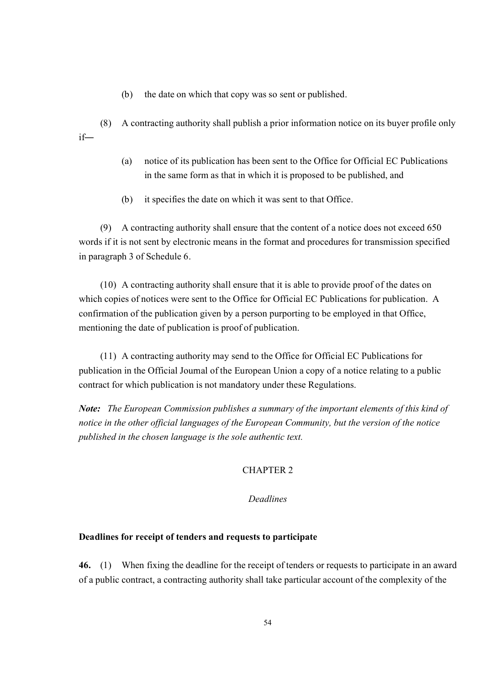- (b) the date on which that copy was so sent or published.
- (8) A contracting authority shall publish a prior information notice on its buyer profile only if―
	- (a) notice of its publication has been sent to the Office for Official EC Publications in the same form as that in which it is proposed to be published, and
	- (b) it specifies the date on which it was sent to that Office.

(9) A contracting authority shall ensure that the content of a notice does not exceed 650 words if it is not sent by electronic means in the format and procedures for transmission specified in paragraph 3 of Schedule 6.

(10) A contracting authority shall ensure that it is able to provide proof of the dates on which copies of notices were sent to the Office for Official EC Publications for publication. A confirmation of the publication given by a person purporting to be employed in that Office, mentioning the date of publication is proof of publication.

(11) A contracting authority may send to the Office for Official EC Publications for publication in the Official Journal of the European Union a copy of a notice relating to a public contract for which publication is not mandatory under these Regulations.

*Note: The European Commission publishes a summary of the important elements of this kind of notice in the other official languages of the European Community, but the version of the notice published in the chosen language is the sole authentic text.*

# CHAPTER 2

# *Deadlines*

## **Deadlines for receipt of tenders and requests to participate**

**46.** (1) When fixing the deadline for the receipt of tenders or requests to participate in an award of a public contract, a contracting authority shall take particular account of the complexity of the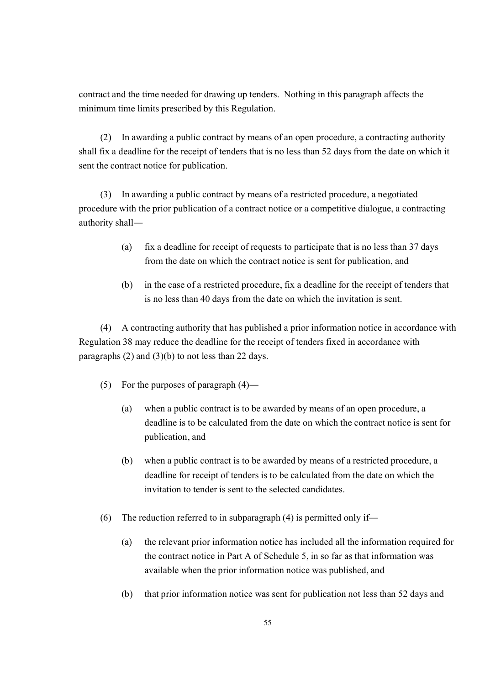contract and the time needed for drawing up tenders. Nothing in this paragraph affects the minimum time limits prescribed by this Regulation.

(2) In awarding a public contract by means of an open procedure, a contracting authority shall fix a deadline for the receipt of tenders that is no less than 52 days from the date on which it sent the contract notice for publication.

(3) In awarding a public contract by means of a restricted procedure, a negotiated procedure with the prior publication of a contract notice or a competitive dialogue, a contracting authority shall―

- (a) fix a deadline for receipt of requests to participate that is no less than 37 days from the date on which the contract notice is sent for publication, and
- (b) in the case of a restricted procedure, fix a deadline for the receipt of tenders that is no less than 40 days from the date on which the invitation is sent.

(4) A contracting authority that has published a prior information notice in accordance with Regulation 38 may reduce the deadline for the receipt of tenders fixed in accordance with paragraphs (2) and (3)(b) to not less than 22 days.

- (5) For the purposes of paragraph (4)―
	- (a) when a public contract is to be awarded by means of an open procedure, a deadline is to be calculated from the date on which the contract notice is sent for publication, and
	- (b) when a public contract is to be awarded by means of a restricted procedure, a deadline for receipt of tenders is to be calculated from the date on which the invitation to tender is sent to the selected candidates.
- (6) The reduction referred to in subparagraph (4) is permitted only if―
	- (a) the relevant prior information notice has included all the information required for the contract notice in Part A of Schedule 5, in so far as that information was available when the prior information notice was published, and
	- (b) that prior information notice was sent for publication not less than 52 days and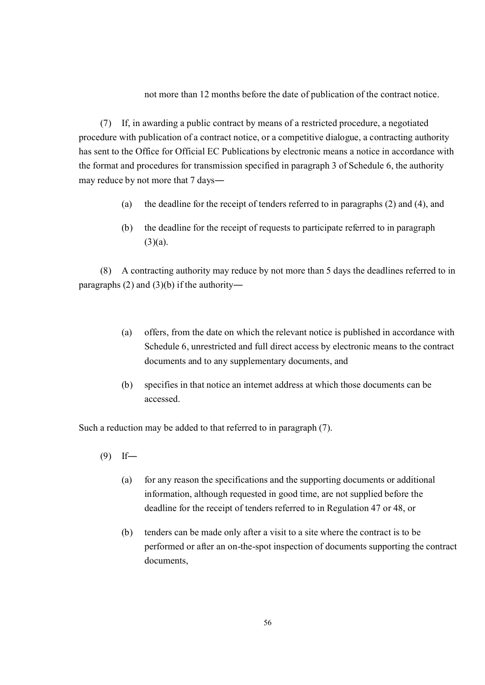not more than 12 months before the date of publication of the contract notice.

(7) If, in awarding a public contract by means of a restricted procedure, a negotiated procedure with publication of a contract notice, or a competitive dialogue, a contracting authority has sent to the Office for Official EC Publications by electronic means a notice in accordance with the format and procedures for transmission specified in paragraph 3 of Schedule 6, the authority may reduce by not more that 7 days―

- (a) the deadline for the receipt of tenders referred to in paragraphs (2) and (4), and
- (b) the deadline for the receipt of requests to participate referred to in paragraph  $(3)(a)$ .

(8) A contracting authority may reduce by not more than 5 days the deadlines referred to in paragraphs (2) and (3)(b) if the authority―

- (a) offers, from the date on which the relevant notice is published in accordance with Schedule 6, unrestricted and full direct access by electronic means to the contract documents and to any supplementary documents, and
- (b) specifies in that notice an internet address at which those documents can be accessed.

Such a reduction may be added to that referred to in paragraph (7).

- (9) If―
	- (a) for any reason the specifications and the supporting documents or additional information, although requested in good time, are not supplied before the deadline for the receipt of tenders referred to in Regulation 47 or 48, or
	- (b) tenders can be made only after a visit to a site where the contract is to be performed or after an on-the-spot inspection of documents supporting the contract documents,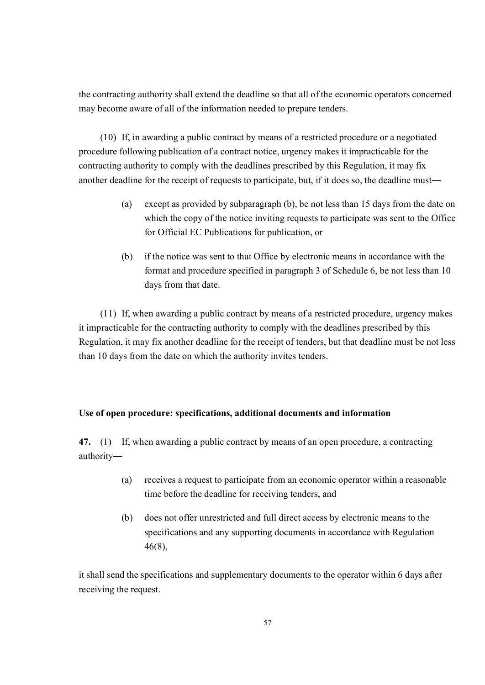the contracting authority shall extend the deadline so that all of the economic operators concerned may become aware of all of the information needed to prepare tenders.

(10) If, in awarding a public contract by means of a restricted procedure or a negotiated procedure following publication of a contract notice, urgency makes it impracticable for the contracting authority to comply with the deadlines prescribed by this Regulation, it may fix another deadline for the receipt of requests to participate, but, if it does so, the deadline must―

- (a) except as provided by subparagraph (b), be not less than 15 days from the date on which the copy of the notice inviting requests to participate was sent to the Office for Official EC Publications for publication, or
- (b) if the notice was sent to that Office by electronic means in accordance with the format and procedure specified in paragraph 3 of Schedule 6, be not less than 10 days from that date.

(11) If, when awarding a public contract by means of a restricted procedure, urgency makes it impracticable for the contracting authority to comply with the deadlines prescribed by this Regulation, it may fix another deadline for the receipt of tenders, but that deadline must be not less than 10 days from the date on which the authority invites tenders.

#### **Use of open procedure: specifications, additional documents and information**

**47.** (1) If, when awarding a public contract by means of an open procedure, a contracting authority―

- (a) receives a request to participate from an economic operator within a reasonable time before the deadline for receiving tenders, and
- (b) does not offer unrestricted and full direct access by electronic means to the specifications and any supporting documents in accordance with Regulation 46(8),

it shall send the specifications and supplementary documents to the operator within 6 days after receiving the request.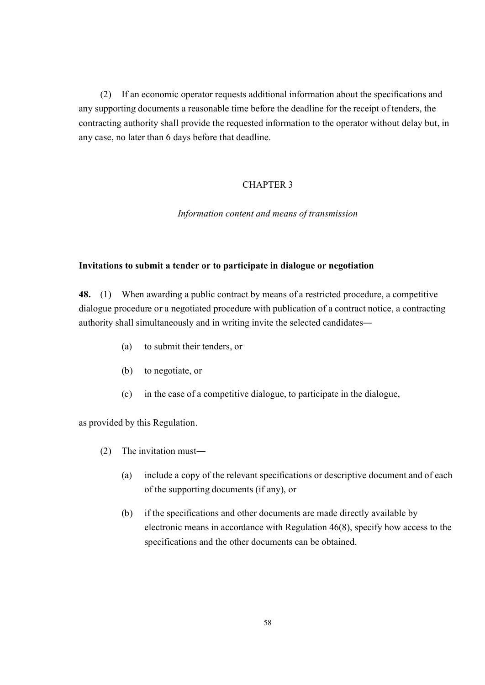(2) If an economic operator requests additional information about the specifications and any supporting documents a reasonable time before the deadline for the receipt of tenders, the contracting authority shall provide the requested information to the operator without delay but, in any case, no later than 6 days before that deadline.

# CHAPTER 3

*Information content and means of transmission*

#### **Invitations to submit a tender or to participate in dialogue or negotiation**

**48.** (1) When awarding a public contract by means of a restricted procedure, a competitive dialogue procedure or a negotiated procedure with publication of a contract notice, a contracting authority shall simultaneously and in writing invite the selected candidates―

- (a) to submit their tenders, or
- (b) to negotiate, or
- (c) in the case of a competitive dialogue, to participate in the dialogue,

as provided by this Regulation.

- (2) The invitation must―
	- (a) include a copy of the relevant specifications or descriptive document and of each of the supporting documents (if any), or
	- (b) if the specifications and other documents are made directly available by electronic means in accordance with Regulation 46(8), specify how access to the specifications and the other documents can be obtained.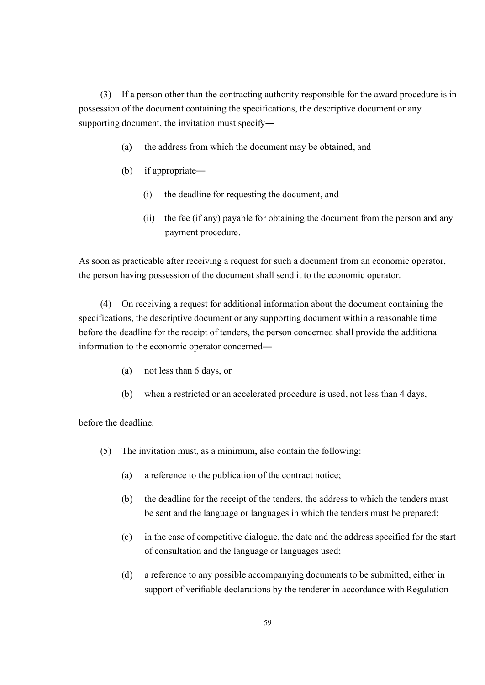(3) If a person other than the contracting authority responsible for the award procedure is in possession of the document containing the specifications, the descriptive document or any supporting document, the invitation must specify―

- (a) the address from which the document may be obtained, and
- (b) if appropriate―
	- (i) the deadline for requesting the document, and
	- (ii) the fee (if any) payable for obtaining the document from the person and any payment procedure.

As soon as practicable after receiving a request for such a document from an economic operator, the person having possession of the document shall send it to the economic operator.

(4) On receiving a request for additional information about the document containing the specifications, the descriptive document or any supporting document within a reasonable time before the deadline for the receipt of tenders, the person concerned shall provide the additional information to the economic operator concerned―

- (a) not less than 6 days, or
- (b) when a restricted or an accelerated procedure is used, not less than 4 days,

before the deadline.

- (5) The invitation must, as a minimum, also contain the following:
	- (a) a reference to the publication of the contract notice;
	- (b) the deadline for the receipt of the tenders, the address to which the tenders must be sent and the language or languages in which the tenders must be prepared;
	- (c) in the case of competitive dialogue, the date and the address specified for the start of consultation and the language or languages used;
	- (d) a reference to any possible accompanying documents to be submitted, either in support of verifiable declarations by the tenderer in accordance with Regulation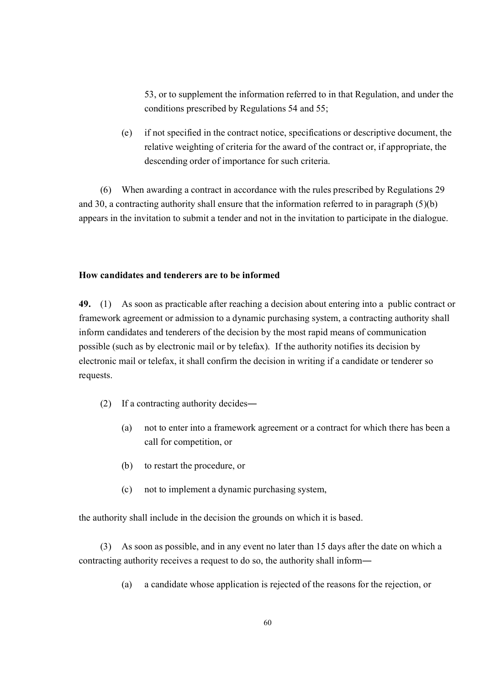53, or to supplement the information referred to in that Regulation, and under the conditions prescribed by Regulations 54 and 55;

(e) if not specified in the contract notice, specifications or descriptive document, the relative weighting of criteria for the award of the contract or, if appropriate, the descending order of importance for such criteria.

(6) When awarding a contract in accordance with the rules prescribed by Regulations 29 and 30, a contracting authority shall ensure that the information referred to in paragraph (5)(b) appears in the invitation to submit a tender and not in the invitation to participate in the dialogue.

### **How candidates and tenderers are to be informed**

**49.** (1) As soon as practicable after reaching a decision about entering into a public contract or framework agreement or admission to a dynamic purchasing system, a contracting authority shall inform candidates and tenderers of the decision by the most rapid means of communication possible (such as by electronic mail or by telefax). If the authority notifies its decision by electronic mail or telefax, it shall confirm the decision in writing if a candidate or tenderer so requests.

- (2) If a contracting authority decides―
	- (a) not to enter into a framework agreement or a contract for which there has been a call for competition, or
	- (b) to restart the procedure, or
	- (c) not to implement a dynamic purchasing system,

the authority shall include in the decision the grounds on which it is based.

(3) As soon as possible, and in any event no later than 15 days after the date on which a contracting authority receives a request to do so, the authority shall inform―

(a) a candidate whose application is rejected of the reasons for the rejection, or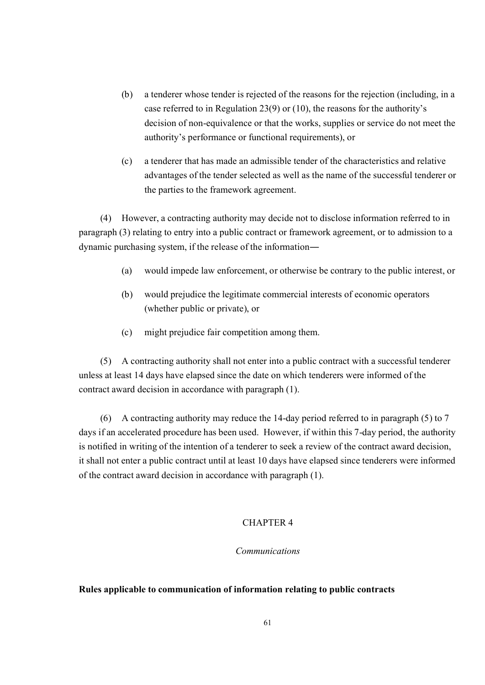- (b) a tenderer whose tender is rejected of the reasons for the rejection (including, in a case referred to in Regulation 23(9) or (10), the reasons for the authority's decision of non-equivalence or that the works, supplies or service do not meet the authority's performance or functional requirements), or
- (c) a tenderer that has made an admissible tender of the characteristics and relative advantages of the tender selected as well as the name of the successful tenderer or the parties to the framework agreement.

(4) However, a contracting authority may decide not to disclose information referred to in paragraph (3) relating to entry into a public contract or framework agreement, or to admission to a dynamic purchasing system, if the release of the information―

- (a) would impede law enforcement, or otherwise be contrary to the public interest, or
- (b) would prejudice the legitimate commercial interests of economic operators (whether public or private), or
- (c) might prejudice fair competition among them.

(5) A contracting authority shall not enter into a public contract with a successful tenderer unless at least 14 days have elapsed since the date on which tenderers were informed of the contract award decision in accordance with paragraph (1).

(6) A contracting authority may reduce the 14-day period referred to in paragraph (5) to 7 days if an accelerated procedure has been used. However, if within this 7-day period, the authority is notified in writing of the intention of a tenderer to seek a review of the contract award decision, it shall not enter a public contract until at least 10 days have elapsed since tenderers were informed of the contract award decision in accordance with paragraph (1).

## CHAPTER 4

# *Communications*

#### **Rules applicable to communication of information relating to public contracts**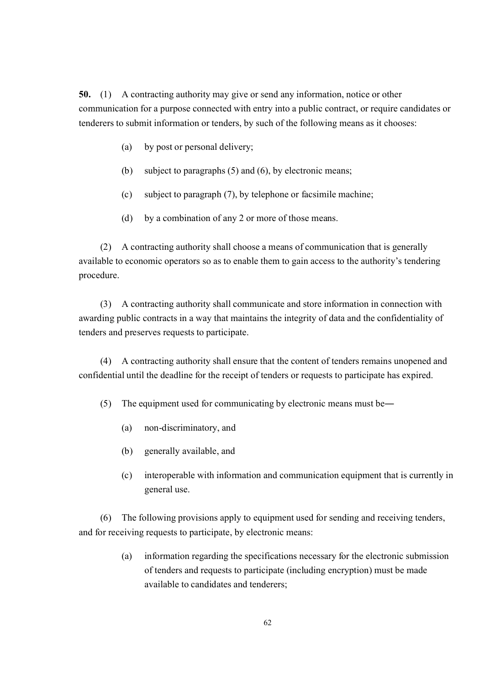**50.** (1) A contracting authority may give or send any information, notice or other communication for a purpose connected with entry into a public contract, or require candidates or tenderers to submit information or tenders, by such of the following means as it chooses:

- (a) by post or personal delivery;
- (b) subject to paragraphs (5) and (6), by electronic means;
- (c) subject to paragraph (7), by telephone or facsimile machine;
- (d) by a combination of any 2 or more of those means.

(2) A contracting authority shall choose a means of communication that is generally available to economic operators so as to enable them to gain access to the authority's tendering procedure.

(3) A contracting authority shall communicate and store information in connection with awarding public contracts in a way that maintains the integrity of data and the confidentiality of tenders and preserves requests to participate.

(4) A contracting authority shall ensure that the content of tenders remains unopened and confidential until the deadline for the receipt of tenders or requests to participate has expired.

(5) The equipment used for communicating by electronic means must be―

- (a) non-discriminatory, and
- (b) generally available, and
- (c) interoperable with information and communication equipment that is currently in general use.

(6) The following provisions apply to equipment used for sending and receiving tenders, and for receiving requests to participate, by electronic means:

> (a) information regarding the specifications necessary for the electronic submission of tenders and requests to participate (including encryption) must be made available to candidates and tenderers;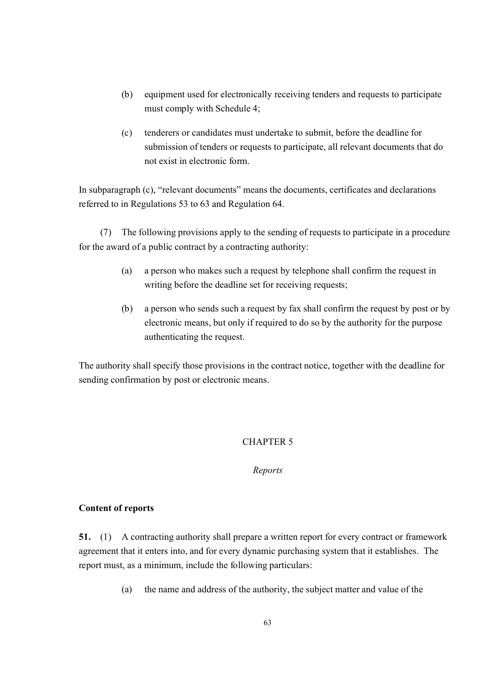- (b) equipment used for electronically receiving tenders and requests to participate must comply with Schedule 4;
- (c) tenderers or candidates must undertake to submit, before the deadline for submission of tenders or requests to participate, all relevant documents that do not exist in electronic form.

In subparagraph (c), "relevant documents" means the documents, certificates and declarations referred to in Regulations 53 to 63 and Regulation 64.

(7) The following provisions apply to the sending of requests to participate in a procedure for the award of a public contract by a contracting authority:

- (a) a person who makes such a request by telephone shall confirm the request in writing before the deadline set for receiving requests;
- (b) a person who sends such a request by fax shall confirm the request by post or by electronic means, but only if required to do so by the authority for the purpose authenticating the request.

The authority shall specify those provisions in the contract notice, together with the deadline for sending confirmation by post or electronic means.

# CHAPTER 5

## *Reports*

## **Content of reports**

**51.** (1) A contracting authority shall prepare a written report for every contract or framework agreement that it enters into, and for every dynamic purchasing system that it establishes. The report must, as a minimum, include the following particulars:

(a) the name and address of the authority, the subject matter and value of the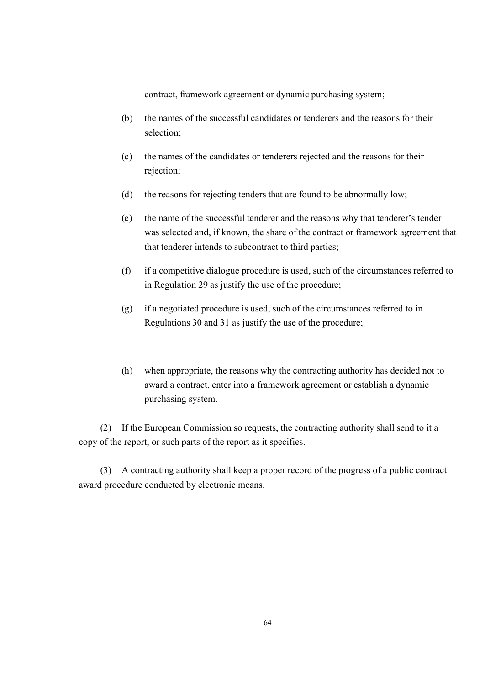contract, framework agreement or dynamic purchasing system;

- (b) the names of the successful candidates or tenderers and the reasons for their selection;
- (c) the names of the candidates or tenderers rejected and the reasons for their rejection;
- (d) the reasons for rejecting tenders that are found to be abnormally low;
- (e) the name of the successful tenderer and the reasons why that tenderer's tender was selected and, if known, the share of the contract or framework agreement that that tenderer intends to subcontract to third parties;
- (f) if a competitive dialogue procedure is used, such of the circumstances referred to in Regulation 29 as justify the use of the procedure;
- (g) if a negotiated procedure is used, such of the circumstances referred to in Regulations 30 and 31 as justify the use of the procedure;
- (h) when appropriate, the reasons why the contracting authority has decided not to award a contract, enter into a framework agreement or establish a dynamic purchasing system.

(2) If the European Commission so requests, the contracting authority shall send to it a copy of the report, or such parts of the report as it specifies.

(3) A contracting authority shall keep a proper record of the progress of a public contract award procedure conducted by electronic means.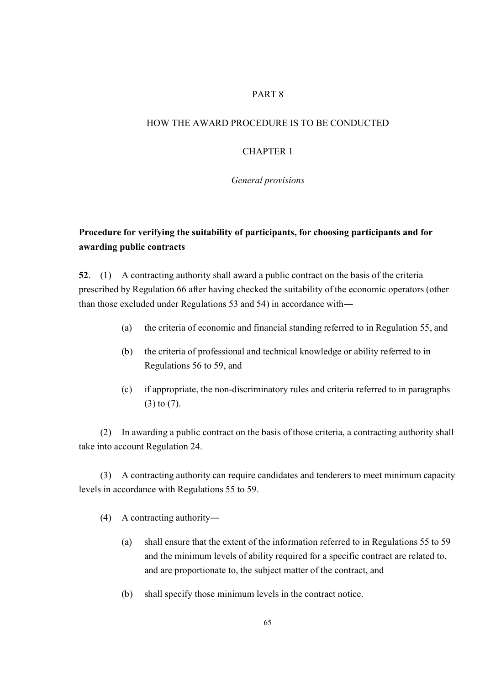# PART 8

### HOW THE AWARD PROCEDURE IS TO BE CONDUCTED

#### CHAPTER 1

#### *General provisions*

# **Procedure for verifying the suitability of participants, for choosing participants and for awarding public contracts**

**52**. (1) A contracting authority shall award a public contract on the basis of the criteria prescribed by Regulation 66 after having checked the suitability of the economic operators (other than those excluded under Regulations 53 and 54) in accordance with―

- (a) the criteria of economic and financial standing referred to in Regulation 55, and
- (b) the criteria of professional and technical knowledge or ability referred to in Regulations 56 to 59, and
- (c) if appropriate, the non-discriminatory rules and criteria referred to in paragraphs (3) to (7).

(2) In awarding a public contract on the basis of those criteria, a contracting authority shall take into account Regulation 24.

(3) A contracting authority can require candidates and tenderers to meet minimum capacity levels in accordance with Regulations 55 to 59.

- (4) A contracting authority―
	- (a) shall ensure that the extent of the information referred to in Regulations 55 to 59 and the minimum levels of ability required for a specific contract are related to, and are proportionate to, the subject matter of the contract, and
	- (b) shall specify those minimum levels in the contract notice.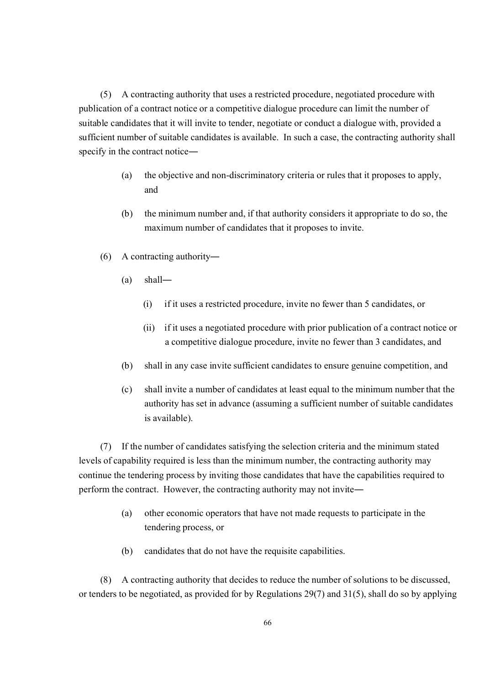(5) A contracting authority that uses a restricted procedure, negotiated procedure with publication of a contract notice or a competitive dialogue procedure can limit the number of suitable candidates that it will invite to tender, negotiate or conduct a dialogue with, provided a sufficient number of suitable candidates is available. In such a case, the contracting authority shall specify in the contract notice―

- (a) the objective and non-discriminatory criteria or rules that it proposes to apply, and
- (b) the minimum number and, if that authority considers it appropriate to do so, the maximum number of candidates that it proposes to invite.
- (6) A contracting authority―
	- (a) shall―
		- (i) if it uses a restricted procedure, invite no fewer than 5 candidates, or
		- (ii) if it uses a negotiated procedure with prior publication of a contract notice or a competitive dialogue procedure, invite no fewer than 3 candidates, and
	- (b) shall in any case invite sufficient candidates to ensure genuine competition, and
	- (c) shall invite a number of candidates at least equal to the minimum number that the authority has set in advance (assuming a sufficient number of suitable candidates is available).

(7) If the number of candidates satisfying the selection criteria and the minimum stated levels of capability required is less than the minimum number, the contracting authority may continue the tendering process by inviting those candidates that have the capabilities required to perform the contract. However, the contracting authority may not invite―

- (a) other economic operators that have not made requests to participate in the tendering process, or
- (b) candidates that do not have the requisite capabilities.

(8) A contracting authority that decides to reduce the number of solutions to be discussed, or tenders to be negotiated, as provided for by Regulations 29(7) and 31(5), shall do so by applying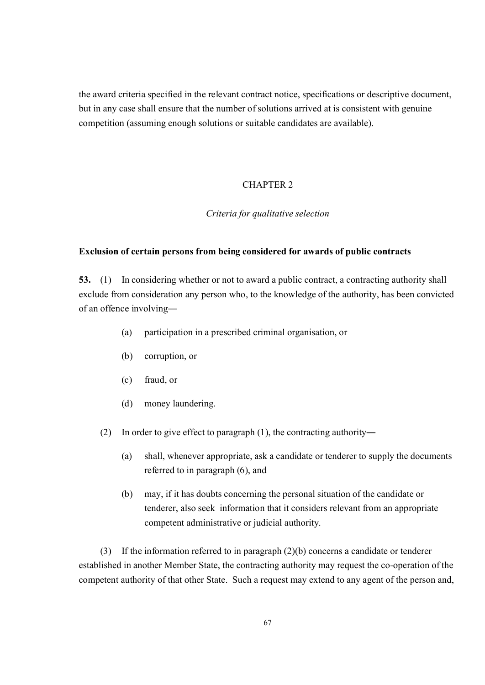the award criteria specified in the relevant contract notice, specifications or descriptive document, but in any case shall ensure that the number of solutions arrived at is consistent with genuine competition (assuming enough solutions or suitable candidates are available).

# CHAPTER 2

## *Criteria for qualitative selection*

#### **Exclusion of certain persons from being considered for awards of public contracts**

**53.** (1) In considering whether or not to award a public contract, a contracting authority shall exclude from consideration any person who, to the knowledge of the authority, has been convicted of an offence involving―

- (a) participation in a prescribed criminal organisation, or
- (b) corruption, or
- (c) fraud, or
- (d) money laundering.
- (2) In order to give effect to paragraph (1), the contracting authority―
	- (a) shall, whenever appropriate, ask a candidate or tenderer to supply the documents referred to in paragraph (6), and
	- (b) may, if it has doubts concerning the personal situation of the candidate or tenderer, also seek information that it considers relevant from an appropriate competent administrative or judicial authority.

(3) If the information referred to in paragraph (2)(b) concerns a candidate or tenderer established in another Member State, the contracting authority may request the co-operation of the competent authority of that other State. Such a request may extend to any agent of the person and,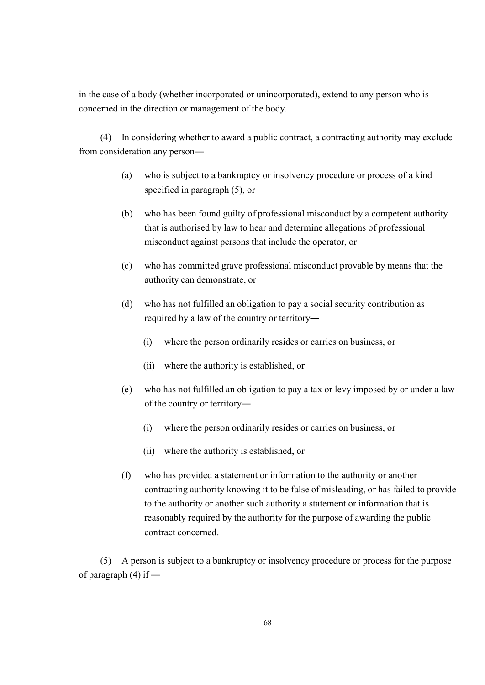in the case of a body (whether incorporated or unincorporated), extend to any person who is concerned in the direction or management of the body.

(4) In considering whether to award a public contract, a contracting authority may exclude from consideration any person―

- (a) who is subject to a bankruptcy or insolvency procedure or process of a kind specified in paragraph (5), or
- (b) who has been found guilty of professional misconduct by a competent authority that is authorised by law to hear and determine allegations of professional misconduct against persons that include the operator, or
- (c) who has committed grave professional misconduct provable by means that the authority can demonstrate, or
- (d) who has not fulfilled an obligation to pay a social security contribution as required by a law of the country or territory―
	- (i) where the person ordinarily resides or carries on business, or
	- (ii) where the authority is established, or
- (e) who has not fulfilled an obligation to pay a tax or levy imposed by or under a law of the country or territory―
	- (i) where the person ordinarily resides or carries on business, or
	- (ii) where the authority is established, or
- (f) who has provided a statement or information to the authority or another contracting authority knowing it to be false of misleading, or has failed to provide to the authority or another such authority a statement or information that is reasonably required by the authority for the purpose of awarding the public contract concerned.

(5) A person is subject to a bankruptcy or insolvency procedure or process for the purpose of paragraph  $(4)$  if —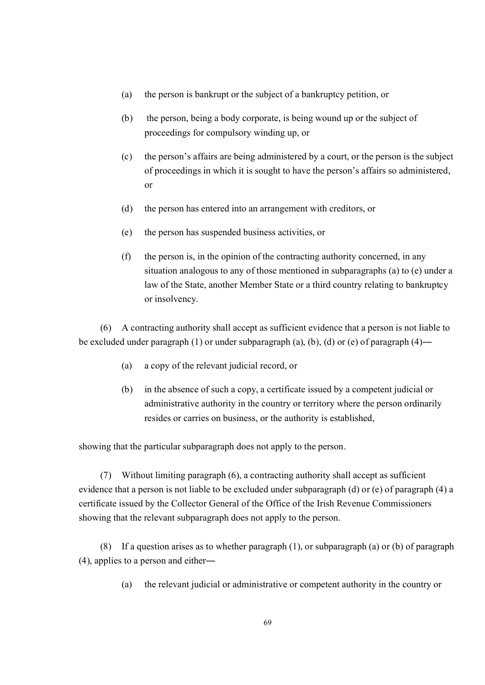- (a) the person is bankrupt or the subject of a bankruptcy petition, or
- (b) the person, being a body corporate, is being wound up or the subject of proceedings for compulsory winding up, or
- (c) the person's affairs are being administered by a court, or the person is the subject of proceedings in which it is sought to have the person's affairs so administered, or
- (d) the person has entered into an arrangement with creditors, or
- (e) the person has suspended business activities, or
- (f) the person is, in the opinion of the contracting authority concerned, in any situation analogous to any of those mentioned in subparagraphs (a) to (e) under a law of the State, another Member State or a third country relating to bankruptcy or insolvency.

(6) A contracting authority shall accept as sufficient evidence that a person is not liable to be excluded under paragraph (1) or under subparagraph (a), (b), (d) or (e) of paragraph (4)―

- (a) a copy of the relevant judicial record, or
- (b) in the absence of such a copy, a certificate issued by a competent judicial or administrative authority in the country or territory where the person ordinarily resides or carries on business, or the authority is established,

showing that the particular subparagraph does not apply to the person.

(7) Without limiting paragraph (6), a contracting authority shall accept as sufficient evidence that a person is not liable to be excluded under subparagraph (d) or (e) of paragraph (4) a certificate issued by the Collector General of the Office of the Irish Revenue Commissioners showing that the relevant subparagraph does not apply to the person.

(8) If a question arises as to whether paragraph (1), or subparagraph (a) or (b) of paragraph (4), applies to a person and either―

(a) the relevant judicial or administrative or competent authority in the country or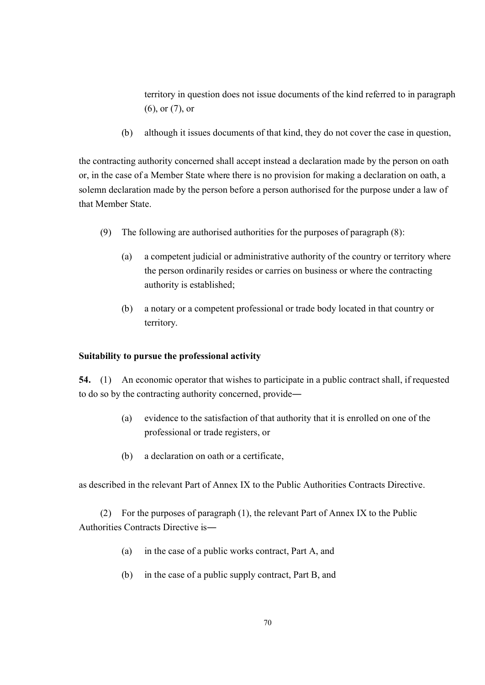territory in question does not issue documents of the kind referred to in paragraph (6), or (7), or

(b) although it issues documents of that kind, they do not cover the case in question,

the contracting authority concerned shall accept instead a declaration made by the person on oath or, in the case of a Member State where there is no provision for making a declaration on oath, a solemn declaration made by the person before a person authorised for the purpose under a law of that Member State.

- (9) The following are authorised authorities for the purposes of paragraph (8):
	- (a) a competent judicial or administrative authority of the country or territory where the person ordinarily resides or carries on business or where the contracting authority is established;
	- (b) a notary or a competent professional or trade body located in that country or territory.

## **Suitability to pursue the professional activity**

**54.** (1) An economic operator that wishes to participate in a public contract shall, if requested to do so by the contracting authority concerned, provide―

- (a) evidence to the satisfaction of that authority that it is enrolled on one of the professional or trade registers, or
- (b) a declaration on oath or a certificate,

as described in the relevant Part of Annex IX to the Public Authorities Contracts Directive.

(2) For the purposes of paragraph (1), the relevant Part of Annex IX to the Public Authorities Contracts Directive is―

- (a) in the case of a public works contract, Part A, and
- (b) in the case of a public supply contract, Part B, and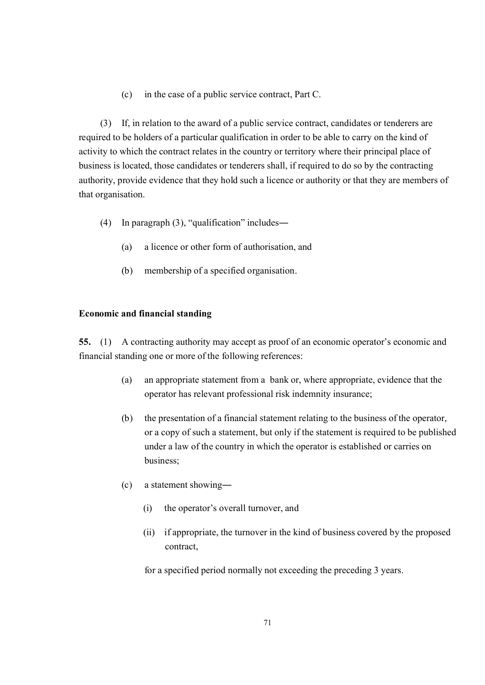(c) in the case of a public service contract, Part C.

(3) If, in relation to the award of a public service contract, candidates or tenderers are required to be holders of a particular qualification in order to be able to carry on the kind of activity to which the contract relates in the country or territory where their principal place of business is located, those candidates or tenderers shall, if required to do so by the contracting authority, provide evidence that they hold such a licence or authority or that they are members of that organisation.

- (4) In paragraph (3), "qualification" includes―
	- (a) a licence or other form of authorisation, and
	- (b) membership of a specified organisation.

### **Economic and financial standing**

**55.** (1) A contracting authority may accept as proof of an economic operator's economic and financial standing one or more of the following references:

- (a) an appropriate statement from a bank or, where appropriate, evidence that the operator has relevant professional risk indemnity insurance;
- (b) the presentation of a financial statement relating to the business of the operator, or a copy of such a statement, but only if the statement is required to be published under a law of the country in which the operator is established or carries on business;
- (c) a statement showing―
	- (i) the operator's overall turnover, and
	- (ii) if appropriate, the turnover in the kind of business covered by the proposed contract,

for a specified period normally not exceeding the preceding 3 years.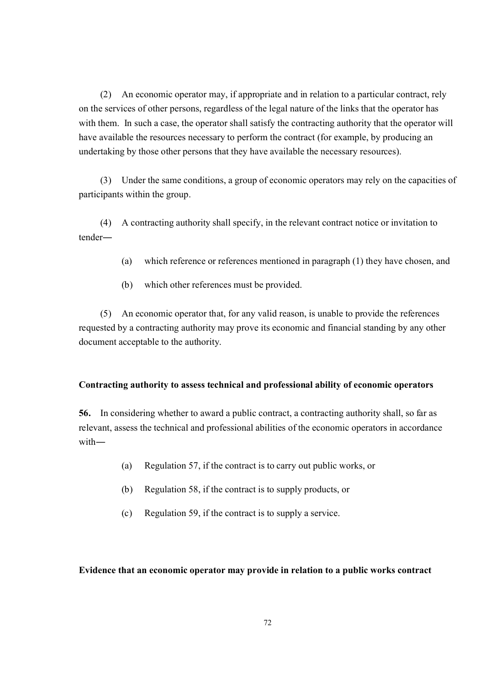(2) An economic operator may, if appropriate and in relation to a particular contract, rely on the services of other persons, regardless of the legal nature of the links that the operator has with them. In such a case, the operator shall satisfy the contracting authority that the operator will have available the resources necessary to perform the contract (for example, by producing an undertaking by those other persons that they have available the necessary resources).

(3) Under the same conditions, a group of economic operators may rely on the capacities of participants within the group.

(4) A contracting authority shall specify, in the relevant contract notice or invitation to tender―

- (a) which reference or references mentioned in paragraph (1) they have chosen, and
- (b) which other references must be provided.

(5) An economic operator that, for any valid reason, is unable to provide the references requested by a contracting authority may prove its economic and financial standing by any other document acceptable to the authority.

## **Contracting authority to assess technical and professional ability of economic operators**

**56.** In considering whether to award a public contract, a contracting authority shall, so far as relevant, assess the technical and professional abilities of the economic operators in accordance with―

- (a) Regulation 57, if the contract is to carry out public works, or
- (b) Regulation 58, if the contract is to supply products, or
- (c) Regulation 59, if the contract is to supply a service.

## **Evidence that an economic operator may provide in relation to a public works contract**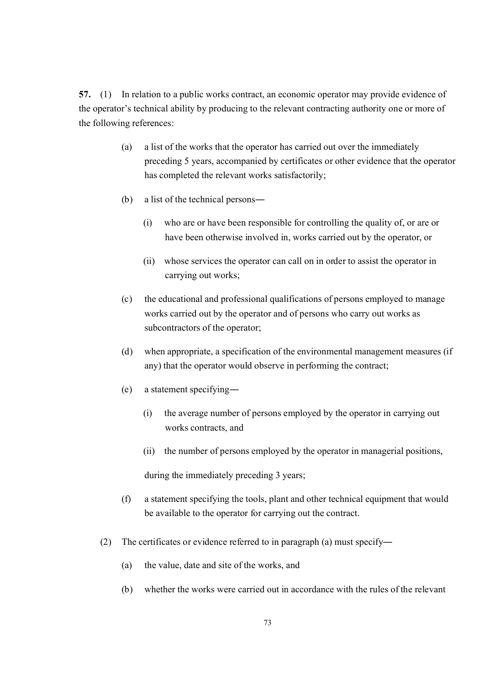**57.** (1) In relation to a public works contract, an economic operator may provide evidence of the operator's technical ability by producing to the relevant contracting authority one or more of the following references:

- (a) a list of the works that the operator has carried out over the immediately preceding 5 years, accompanied by certificates or other evidence that the operator has completed the relevant works satisfactorily;
- (b) a list of the technical persons―
	- (i) who are or have been responsible for controlling the quality of, or are or have been otherwise involved in, works carried out by the operator, or
	- (ii) whose services the operator can call on in order to assist the operator in carrying out works;
- (c) the educational and professional qualifications of persons employed to manage works carried out by the operator and of persons who carry out works as subcontractors of the operator;
- (d) when appropriate, a specification of the environmental management measures (if any) that the operator would observe in performing the contract;
- (e) a statement specifying―
	- (i) the average number of persons employed by the operator in carrying out works contracts, and
	- (ii) the number of persons employed by the operator in managerial positions,

during the immediately preceding 3 years;

- (f) a statement specifying the tools, plant and other technical equipment that would be available to the operator for carrying out the contract.
- (2) The certificates or evidence referred to in paragraph (a) must specify―
	- (a) the value, date and site of the works, and
	- (b) whether the works were carried out in accordance with the rules of the relevant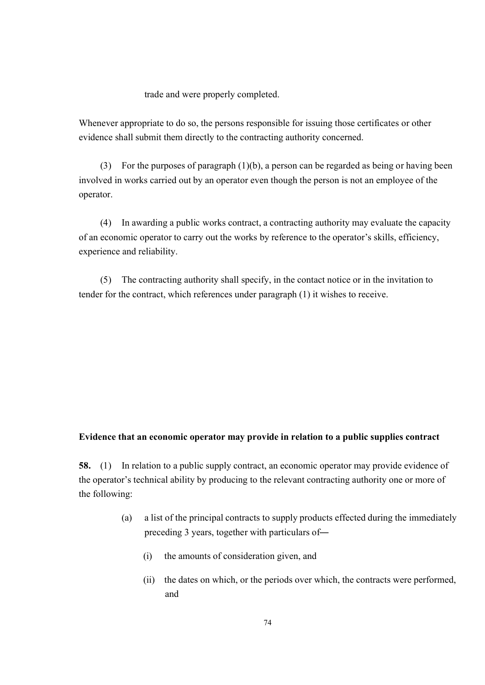trade and were properly completed.

Whenever appropriate to do so, the persons responsible for issuing those certificates or other evidence shall submit them directly to the contracting authority concerned.

(3) For the purposes of paragraph (1)(b), a person can be regarded as being or having been involved in works carried out by an operator even though the person is not an employee of the operator.

(4) In awarding a public works contract, a contracting authority may evaluate the capacity of an economic operator to carry out the works by reference to the operator's skills, efficiency, experience and reliability.

(5) The contracting authority shall specify, in the contact notice or in the invitation to tender for the contract, which references under paragraph (1) it wishes to receive.

#### **Evidence that an economic operator may provide in relation to a public supplies contract**

**58.** (1) In relation to a public supply contract, an economic operator may provide evidence of the operator's technical ability by producing to the relevant contracting authority one or more of the following:

- (a) a list of the principal contracts to supply products effected during the immediately preceding 3 years, together with particulars of―
	- (i) the amounts of consideration given, and
	- (ii) the dates on which, or the periods over which, the contracts were performed, and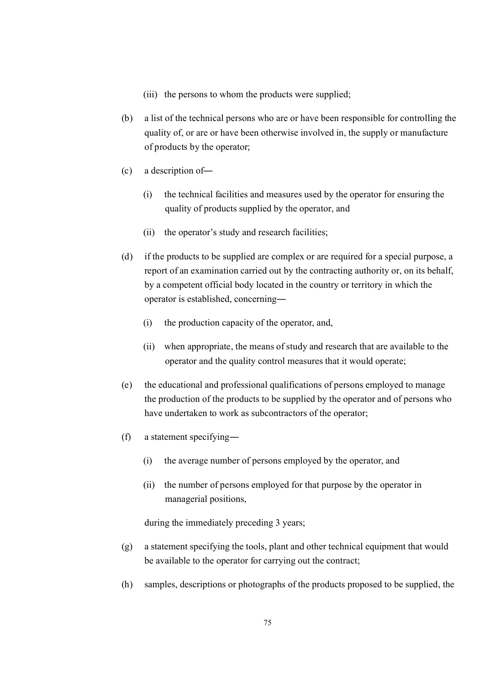- (iii) the persons to whom the products were supplied;
- (b) a list of the technical persons who are or have been responsible for controlling the quality of, or are or have been otherwise involved in, the supply or manufacture of products by the operator;
- (c) a description of―
	- (i) the technical facilities and measures used by the operator for ensuring the quality of products supplied by the operator, and
	- (ii) the operator's study and research facilities;
- (d) if the products to be supplied are complex or are required for a special purpose, a report of an examination carried out by the contracting authority or, on its behalf, by a competent official body located in the country or territory in which the operator is established, concerning―
	- (i) the production capacity of the operator, and,
	- (ii) when appropriate, the means of study and research that are available to the operator and the quality control measures that it would operate;
- (e) the educational and professional qualifications of persons employed to manage the production of the products to be supplied by the operator and of persons who have undertaken to work as subcontractors of the operator;
- (f) a statement specifying―
	- (i) the average number of persons employed by the operator, and
	- (ii) the number of persons employed for that purpose by the operator in managerial positions,

during the immediately preceding 3 years;

- (g) a statement specifying the tools, plant and other technical equipment that would be available to the operator for carrying out the contract;
- (h) samples, descriptions or photographs of the products proposed to be supplied, the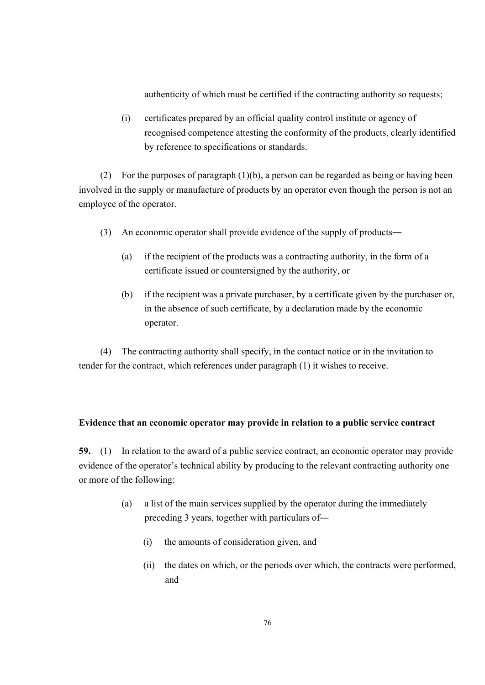authenticity of which must be certified if the contracting authority so requests;

(i) certificates prepared by an official quality control institute or agency of recognised competence attesting the conformity of the products, clearly identified by reference to specifications or standards.

(2) For the purposes of paragraph (1)(b), a person can be regarded as being or having been involved in the supply or manufacture of products by an operator even though the person is not an employee of the operator.

- (3) An economic operator shall provide evidence of the supply of products―
	- (a) if the recipient of the products was a contracting authority, in the form of a certificate issued or countersigned by the authority, or
	- (b) if the recipient was a private purchaser, by a certificate given by the purchaser or, in the absence of such certificate, by a declaration made by the economic operator.

(4) The contracting authority shall specify, in the contact notice or in the invitation to tender for the contract, which references under paragraph (1) it wishes to receive.

### **Evidence that an economic operator may provide in relation to a public service contract**

**59.** (1) In relation to the award of a public service contract, an economic operator may provide evidence of the operator's technical ability by producing to the relevant contracting authority one or more of the following:

- (a) a list of the main services supplied by the operator during the immediately preceding 3 years, together with particulars of―
	- (i) the amounts of consideration given, and
	- (ii) the dates on which, or the periods over which, the contracts were performed, and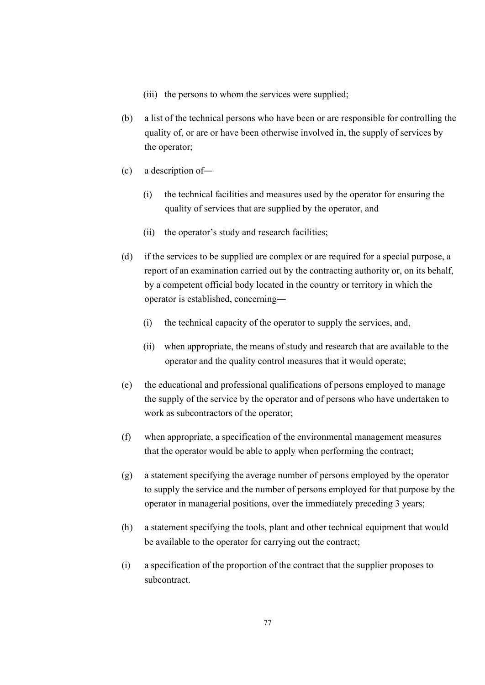- (iii) the persons to whom the services were supplied;
- (b) a list of the technical persons who have been or are responsible for controlling the quality of, or are or have been otherwise involved in, the supply of services by the operator;
- (c) a description of―
	- (i) the technical facilities and measures used by the operator for ensuring the quality of services that are supplied by the operator, and
	- (ii) the operator's study and research facilities;
- (d) if the services to be supplied are complex or are required for a special purpose, a report of an examination carried out by the contracting authority or, on its behalf, by a competent official body located in the country or territory in which the operator is established, concerning―
	- (i) the technical capacity of the operator to supply the services, and,
	- (ii) when appropriate, the means of study and research that are available to the operator and the quality control measures that it would operate;
- (e) the educational and professional qualifications of persons employed to manage the supply of the service by the operator and of persons who have undertaken to work as subcontractors of the operator;
- (f) when appropriate, a specification of the environmental management measures that the operator would be able to apply when performing the contract;
- (g) a statement specifying the average number of persons employed by the operator to supply the service and the number of persons employed for that purpose by the operator in managerial positions, over the immediately preceding 3 years;
- (h) a statement specifying the tools, plant and other technical equipment that would be available to the operator for carrying out the contract;
- (i) a specification of the proportion of the contract that the supplier proposes to subcontract.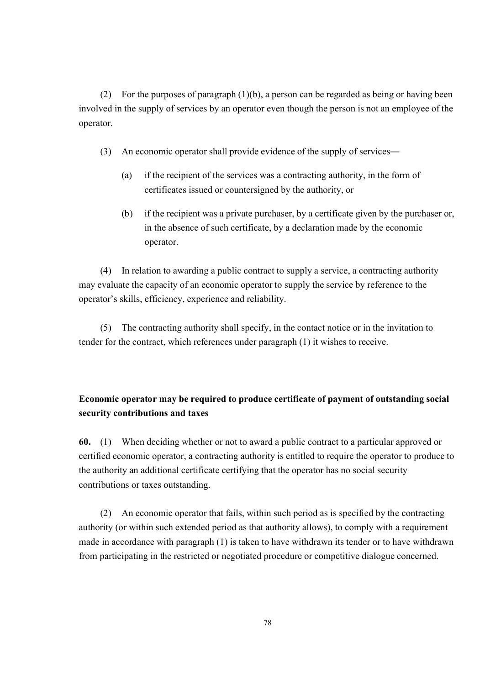(2) For the purposes of paragraph (1)(b), a person can be regarded as being or having been involved in the supply of services by an operator even though the person is not an employee of the operator.

- (3) An economic operator shall provide evidence of the supply of services―
	- (a) if the recipient of the services was a contracting authority, in the form of certificates issued or countersigned by the authority, or
	- (b) if the recipient was a private purchaser, by a certificate given by the purchaser or, in the absence of such certificate, by a declaration made by the economic operator.

(4) In relation to awarding a public contract to supply a service, a contracting authority may evaluate the capacity of an economic operator to supply the service by reference to the operator's skills, efficiency, experience and reliability.

(5) The contracting authority shall specify, in the contact notice or in the invitation to tender for the contract, which references under paragraph (1) it wishes to receive.

## **Economic operator may be required to produce certificate of payment of outstanding social security contributions and taxes**

**60.** (1) When deciding whether or not to award a public contract to a particular approved or certified economic operator, a contracting authority is entitled to require the operator to produce to the authority an additional certificate certifying that the operator has no social security contributions or taxes outstanding.

(2) An economic operator that fails, within such period as is specified by the contracting authority (or within such extended period as that authority allows), to comply with a requirement made in accordance with paragraph (1) is taken to have withdrawn its tender or to have withdrawn from participating in the restricted or negotiated procedure or competitive dialogue concerned.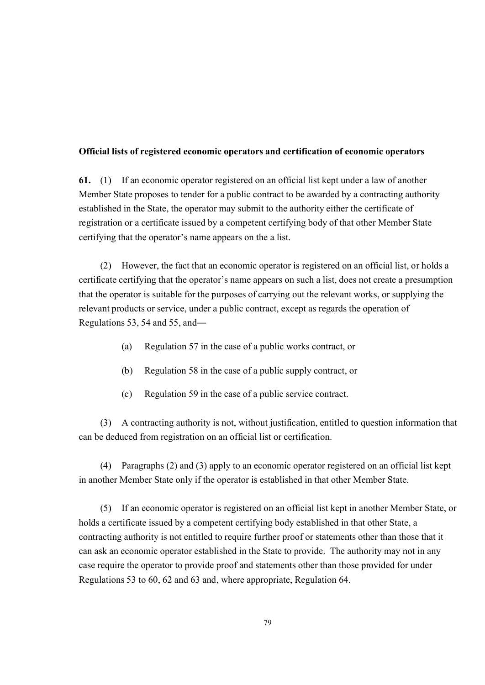### **Official lists of registered economic operators and certification of economic operators**

**61.** (1) If an economic operator registered on an official list kept under a law of another Member State proposes to tender for a public contract to be awarded by a contracting authority established in the State, the operator may submit to the authority either the certificate of registration or a certificate issued by a competent certifying body of that other Member State certifying that the operator's name appears on the a list.

(2) However, the fact that an economic operator is registered on an official list, or holds a certificate certifying that the operator's name appears on such a list, does not create a presumption that the operator is suitable for the purposes of carrying out the relevant works, or supplying the relevant products or service, under a public contract, except as regards the operation of Regulations 53, 54 and 55, and―

- (a) Regulation 57 in the case of a public works contract, or
- (b) Regulation 58 in the case of a public supply contract, or
- (c) Regulation 59 in the case of a public service contract.

(3) A contracting authority is not, without justification, entitled to question information that can be deduced from registration on an official list or certification.

(4) Paragraphs (2) and (3) apply to an economic operator registered on an official list kept in another Member State only if the operator is established in that other Member State.

(5) If an economic operator is registered on an official list kept in another Member State, or holds a certificate issued by a competent certifying body established in that other State, a contracting authority is not entitled to require further proof or statements other than those that it can ask an economic operator established in the State to provide. The authority may not in any case require the operator to provide proof and statements other than those provided for under Regulations 53 to 60, 62 and 63 and, where appropriate, Regulation 64.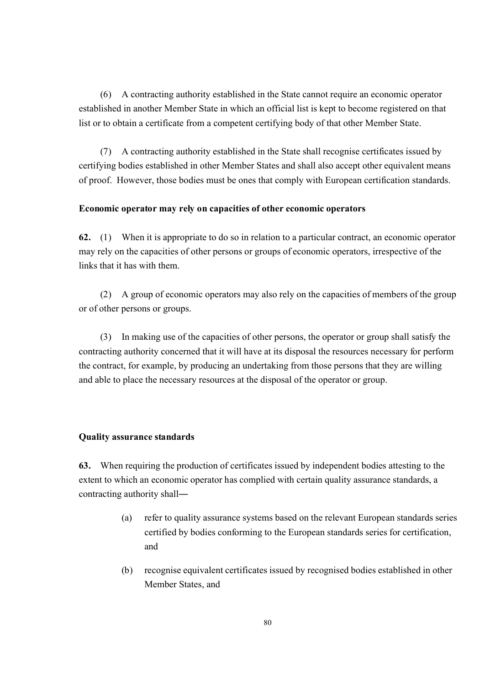(6) A contracting authority established in the State cannot require an economic operator established in another Member State in which an official list is kept to become registered on that list or to obtain a certificate from a competent certifying body of that other Member State.

(7) A contracting authority established in the State shall recognise certificates issued by certifying bodies established in other Member States and shall also accept other equivalent means of proof. However, those bodies must be ones that comply with European certification standards.

#### **Economic operator may rely on capacities of other economic operators**

**62.** (1) When it is appropriate to do so in relation to a particular contract, an economic operator may rely on the capacities of other persons or groups of economic operators, irrespective of the links that it has with them.

(2) A group of economic operators may also rely on the capacities of members of the group or of other persons or groups.

(3) In making use of the capacities of other persons, the operator or group shall satisfy the contracting authority concerned that it will have at its disposal the resources necessary for perform the contract, for example, by producing an undertaking from those persons that they are willing and able to place the necessary resources at the disposal of the operator or group.

#### **Quality assurance standards**

**63.** When requiring the production of certificates issued by independent bodies attesting to the extent to which an economic operator has complied with certain quality assurance standards, a contracting authority shall―

- (a) refer to quality assurance systems based on the relevant European standards series certified by bodies conforming to the European standards series for certification, and
- (b) recognise equivalent certificates issued by recognised bodies established in other Member States, and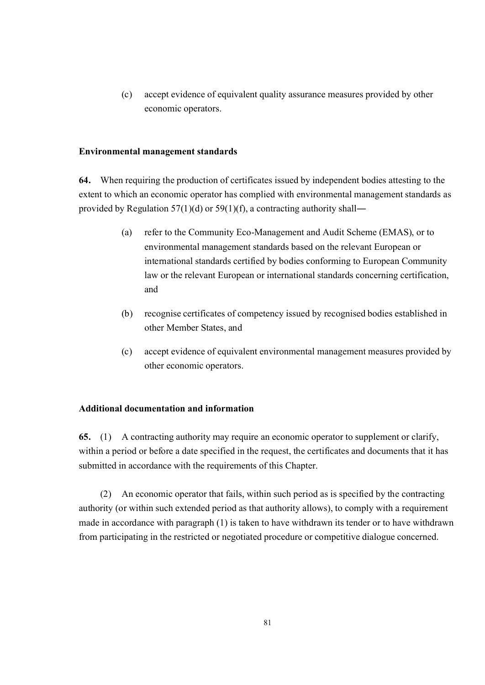(c) accept evidence of equivalent quality assurance measures provided by other economic operators.

### **Environmental management standards**

**64.** When requiring the production of certificates issued by independent bodies attesting to the extent to which an economic operator has complied with environmental management standards as provided by Regulation  $57(1)(d)$  or  $59(1)(f)$ , a contracting authority shall—

- (a) refer to the Community Eco-Management and Audit Scheme (EMAS), or to environmental management standards based on the relevant European or international standards certified by bodies conforming to European Community law or the relevant European or international standards concerning certification, and
- (b) recognise certificates of competency issued by recognised bodies established in other Member States, and
- (c) accept evidence of equivalent environmental management measures provided by other economic operators.

### **Additional documentation and information**

**65.** (1) A contracting authority may require an economic operator to supplement or clarify, within a period or before a date specified in the request, the certificates and documents that it has submitted in accordance with the requirements of this Chapter.

(2) An economic operator that fails, within such period as is specified by the contracting authority (or within such extended period as that authority allows), to comply with a requirement made in accordance with paragraph (1) is taken to have withdrawn its tender or to have withdrawn from participating in the restricted or negotiated procedure or competitive dialogue concerned.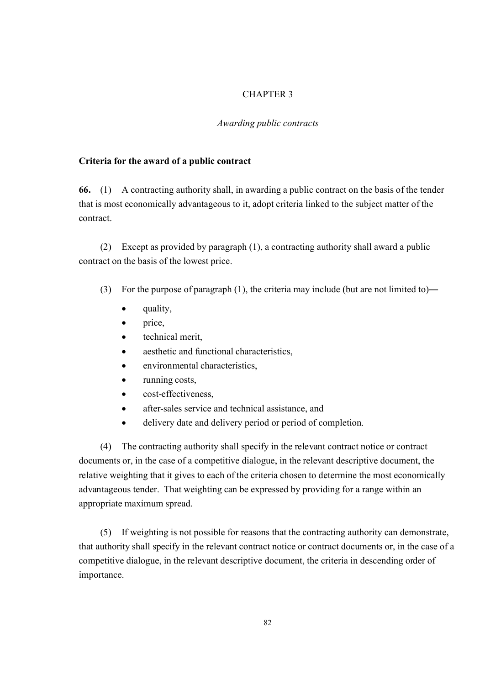### CHAPTER 3

### *Awarding public contracts*

### **Criteria for the award of a public contract**

**66.** (1) A contracting authority shall, in awarding a public contract on the basis of the tender that is most economically advantageous to it, adopt criteria linked to the subject matter of the contract.

(2) Except as provided by paragraph (1), a contracting authority shall award a public contract on the basis of the lowest price.

- (3) For the purpose of paragraph (1), the criteria may include (but are not limited to)―
	- quality,
	- price,
	- technical merit,
	- aesthetic and functional characteristics,
	- environmental characteristics,
	- running costs,
	- cost-effectiveness.
	- after-sales service and technical assistance, and
	- · delivery date and delivery period or period of completion.

(4) The contracting authority shall specify in the relevant contract notice or contract documents or, in the case of a competitive dialogue, in the relevant descriptive document, the relative weighting that it gives to each of the criteria chosen to determine the most economically advantageous tender. That weighting can be expressed by providing for a range within an appropriate maximum spread.

(5) If weighting is not possible for reasons that the contracting authority can demonstrate, that authority shall specify in the relevant contract notice or contract documents or, in the case of a competitive dialogue, in the relevant descriptive document, the criteria in descending order of importance.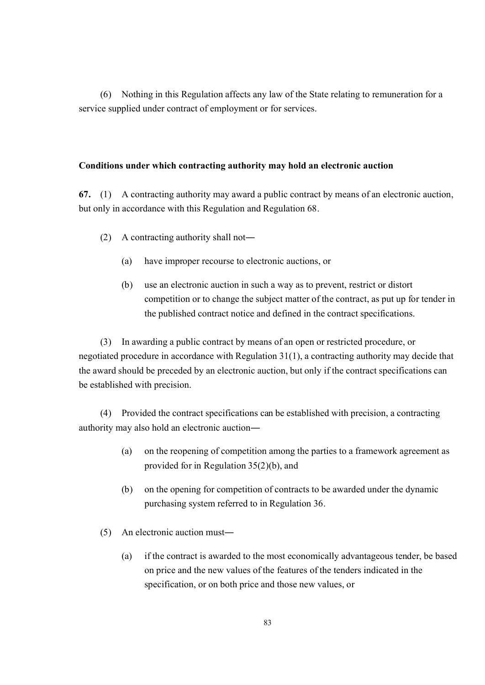(6) Nothing in this Regulation affects any law of the State relating to remuneration for a service supplied under contract of employment or for services.

### **Conditions under which contracting authority may hold an electronic auction**

**67.** (1) A contracting authority may award a public contract by means of an electronic auction, but only in accordance with this Regulation and Regulation 68.

- (2) A contracting authority shall not―
	- (a) have improper recourse to electronic auctions, or
	- (b) use an electronic auction in such a way as to prevent, restrict or distort competition or to change the subject matter of the contract, as put up for tender in the published contract notice and defined in the contract specifications.

(3) In awarding a public contract by means of an open or restricted procedure, or negotiated procedure in accordance with Regulation  $31(1)$ , a contracting authority may decide that the award should be preceded by an electronic auction, but only if the contract specifications can be established with precision.

(4) Provided the contract specifications can be established with precision, a contracting authority may also hold an electronic auction―

- (a) on the reopening of competition among the parties to a framework agreement as provided for in Regulation 35(2)(b), and
- (b) on the opening for competition of contracts to be awarded under the dynamic purchasing system referred to in Regulation 36.
- (5) An electronic auction must―
	- (a) if the contract is awarded to the most economically advantageous tender, be based on price and the new values of the features of the tenders indicated in the specification, or on both price and those new values, or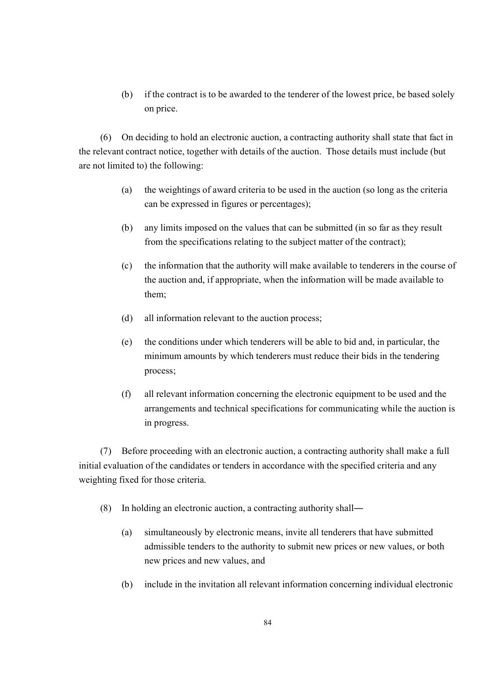(b) if the contract is to be awarded to the tenderer of the lowest price, be based solely on price.

(6) On deciding to hold an electronic auction, a contracting authority shall state that fact in the relevant contract notice, together with details of the auction. Those details must include (but are not limited to) the following:

- (a) the weightings of award criteria to be used in the auction (so long as the criteria can be expressed in figures or percentages);
- (b) any limits imposed on the values that can be submitted (in so far as they result from the specifications relating to the subject matter of the contract);
- (c) the information that the authority will make available to tenderers in the course of the auction and, if appropriate, when the information will be made available to them;
- (d) all information relevant to the auction process;
- (e) the conditions under which tenderers will be able to bid and, in particular, the minimum amounts by which tenderers must reduce their bids in the tendering process;
- (f) all relevant information concerning the electronic equipment to be used and the arrangements and technical specifications for communicating while the auction is in progress.

(7) Before proceeding with an electronic auction, a contracting authority shall make a full initial evaluation of the candidates or tenders in accordance with the specified criteria and any weighting fixed for those criteria.

- (8) In holding an electronic auction, a contracting authority shall―
	- (a) simultaneously by electronic means, invite all tenderers that have submitted admissible tenders to the authority to submit new prices or new values, or both new prices and new values, and
	- (b) include in the invitation all relevant information concerning individual electronic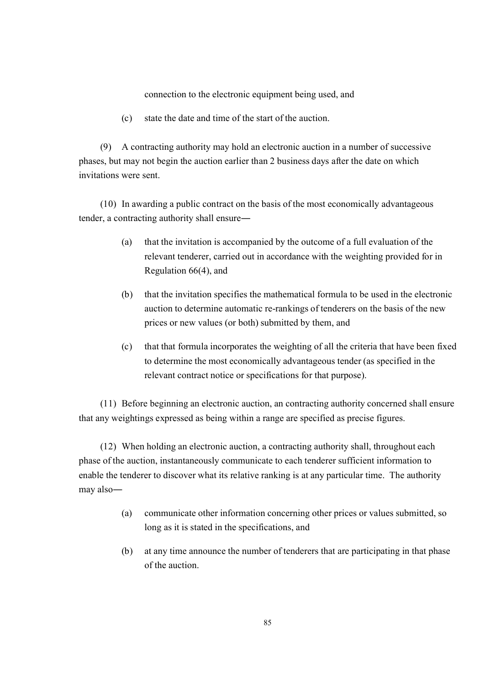connection to the electronic equipment being used, and

(c) state the date and time of the start of the auction.

(9) A contracting authority may hold an electronic auction in a number of successive phases, but may not begin the auction earlier than 2 business days after the date on which invitations were sent.

(10) In awarding a public contract on the basis of the most economically advantageous tender, a contracting authority shall ensure―

- (a) that the invitation is accompanied by the outcome of a full evaluation of the relevant tenderer, carried out in accordance with the weighting provided for in Regulation 66(4), and
- (b) that the invitation specifies the mathematical formula to be used in the electronic auction to determine automatic re-rankings of tenderers on the basis of the new prices or new values (or both) submitted by them, and
- (c) that that formula incorporates the weighting of all the criteria that have been fixed to determine the most economically advantageous tender (as specified in the relevant contract notice or specifications for that purpose).

(11) Before beginning an electronic auction, an contracting authority concerned shall ensure that any weightings expressed as being within a range are specified as precise figures.

(12) When holding an electronic auction, a contracting authority shall, throughout each phase of the auction, instantaneously communicate to each tenderer sufficient information to enable the tenderer to discover what its relative ranking is at any particular time. The authority may also―

- (a) communicate other information concerning other prices or values submitted, so long as it is stated in the specifications, and
- (b) at any time announce the number of tenderers that are participating in that phase of the auction.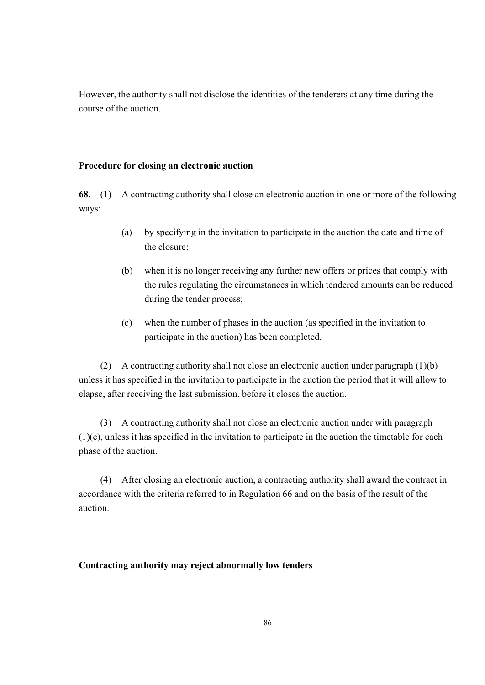However, the authority shall not disclose the identities of the tenderers at any time during the course of the auction.

### **Procedure for closing an electronic auction**

**68.** (1) A contracting authority shall close an electronic auction in one or more of the following ways:

- (a) by specifying in the invitation to participate in the auction the date and time of the closure;
- (b) when it is no longer receiving any further new offers or prices that comply with the rules regulating the circumstances in which tendered amounts can be reduced during the tender process;
- (c) when the number of phases in the auction (as specified in the invitation to participate in the auction) has been completed.

(2) A contracting authority shall not close an electronic auction under paragraph  $(1)(b)$ unless it has specified in the invitation to participate in the auction the period that it will allow to elapse, after receiving the last submission, before it closes the auction.

(3) A contracting authority shall not close an electronic auction under with paragraph (1)(c), unless it has specified in the invitation to participate in the auction the timetable for each phase of the auction.

(4) After closing an electronic auction, a contracting authority shall award the contract in accordance with the criteria referred to in Regulation 66 and on the basis of the result of the auction.

### **Contracting authority may reject abnormally low tenders**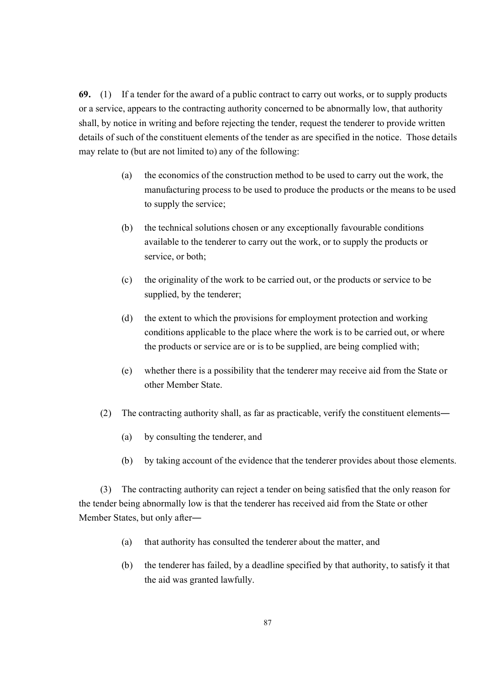**69.** (1) If a tender for the award of a public contract to carry out works, or to supply products or a service, appears to the contracting authority concerned to be abnormally low, that authority shall, by notice in writing and before rejecting the tender, request the tenderer to provide written details of such of the constituent elements of the tender as are specified in the notice. Those details may relate to (but are not limited to) any of the following:

- (a) the economics of the construction method to be used to carry out the work, the manufacturing process to be used to produce the products or the means to be used to supply the service;
- (b) the technical solutions chosen or any exceptionally favourable conditions available to the tenderer to carry out the work, or to supply the products or service, or both;
- (c) the originality of the work to be carried out, or the products or service to be supplied, by the tenderer;
- (d) the extent to which the provisions for employment protection and working conditions applicable to the place where the work is to be carried out, or where the products or service are or is to be supplied, are being complied with;
- (e) whether there is a possibility that the tenderer may receive aid from the State or other Member State.
- (2) The contracting authority shall, as far as practicable, verify the constituent elements―
	- (a) by consulting the tenderer, and
	- (b) by taking account of the evidence that the tenderer provides about those elements.

(3) The contracting authority can reject a tender on being satisfied that the only reason for the tender being abnormally low is that the tenderer has received aid from the State or other Member States, but only after―

- (a) that authority has consulted the tenderer about the matter, and
- (b) the tenderer has failed, by a deadline specified by that authority, to satisfy it that the aid was granted lawfully.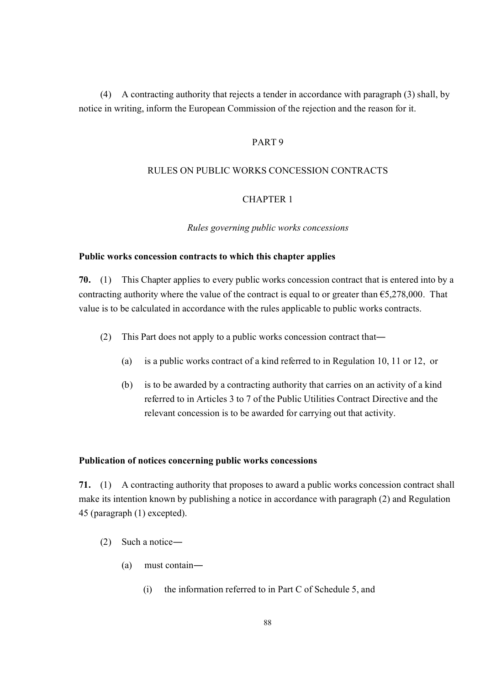(4) A contracting authority that rejects a tender in accordance with paragraph (3) shall, by notice in writing, inform the European Commission of the rejection and the reason for it.

#### PART 9

#### RULES ON PUBLIC WORKS CONCESSION CONTRACTS

### CHAPTER 1

#### *Rules governing public works concessions*

#### **Public works concession contracts to which this chapter applies**

**70.** (1) This Chapter applies to every public works concession contract that is entered into by a contracting authority where the value of the contract is equal to or greater than  $65,278,000$ . That value is to be calculated in accordance with the rules applicable to public works contracts.

- (2) This Part does not apply to a public works concession contract that―
	- (a) is a public works contract of a kind referred to in Regulation 10, 11 or 12, or
	- (b) is to be awarded by a contracting authority that carries on an activity of a kind referred to in Articles 3 to 7 of the Public Utilities Contract Directive and the relevant concession is to be awarded for carrying out that activity.

#### **Publication of notices concerning public works concessions**

**71.** (1) A contracting authority that proposes to award a public works concession contract shall make its intention known by publishing a notice in accordance with paragraph (2) and Regulation 45 (paragraph (1) excepted).

- (2) Such a notice―
	- (a) must contain―
		- (i) the information referred to in Part C of Schedule 5, and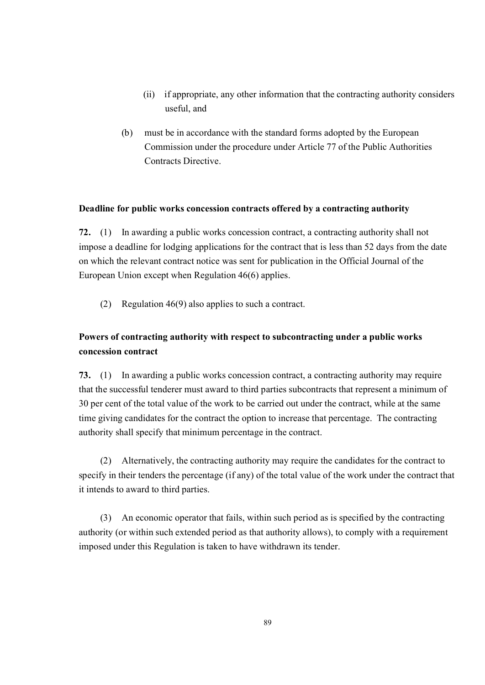- (ii) if appropriate, any other information that the contracting authority considers useful, and
- (b) must be in accordance with the standard forms adopted by the European Commission under the procedure under Article 77 of the Public Authorities Contracts Directive.

### **Deadline for public works concession contracts offered by a contracting authority**

**72.** (1) In awarding a public works concession contract, a contracting authority shall not impose a deadline for lodging applications for the contract that is less than 52 days from the date on which the relevant contract notice was sent for publication in the Official Journal of the European Union except when Regulation 46(6) applies.

(2) Regulation 46(9) also applies to such a contract.

## **Powers of contracting authority with respect to subcontracting under a public works concession contract**

**73.** (1) In awarding a public works concession contract, a contracting authority may require that the successful tenderer must award to third parties subcontracts that represent a minimum of 30 per cent of the total value of the work to be carried out under the contract, while at the same time giving candidates for the contract the option to increase that percentage. The contracting authority shall specify that minimum percentage in the contract.

(2) Alternatively, the contracting authority may require the candidates for the contract to specify in their tenders the percentage (if any) of the total value of the work under the contract that it intends to award to third parties.

(3) An economic operator that fails, within such period as is specified by the contracting authority (or within such extended period as that authority allows), to comply with a requirement imposed under this Regulation is taken to have withdrawn its tender.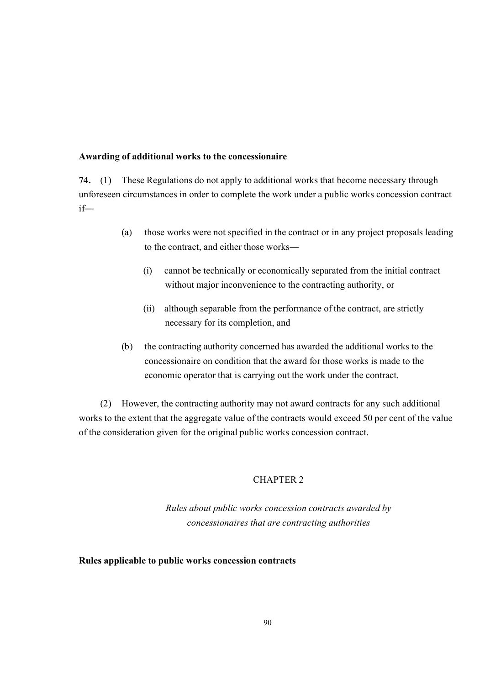#### **Awarding of additional works to the concessionaire**

**74.** (1) These Regulations do not apply to additional works that become necessary through unforeseen circumstances in order to complete the work under a public works concession contract if―

- (a) those works were not specified in the contract or in any project proposals leading to the contract, and either those works―
	- (i) cannot be technically or economically separated from the initial contract without major inconvenience to the contracting authority, or
	- (ii) although separable from the performance of the contract, are strictly necessary for its completion, and
- (b) the contracting authority concerned has awarded the additional works to the concessionaire on condition that the award for those works is made to the economic operator that is carrying out the work under the contract.

(2) However, the contracting authority may not award contracts for any such additional works to the extent that the aggregate value of the contracts would exceed 50 per cent of the value of the consideration given for the original public works concession contract.

### CHAPTER 2

*Rules about public works concession contracts awarded by concessionaires that are contracting authorities*

### **Rules applicable to public works concession contracts**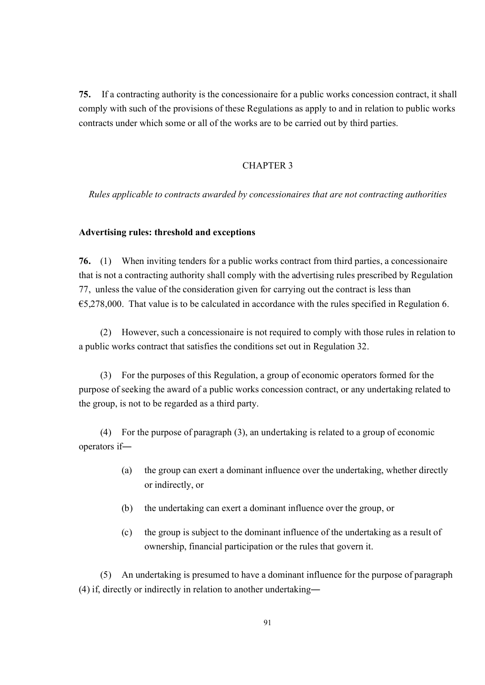**75.** If a contracting authority is the concessionaire for a public works concession contract, it shall comply with such of the provisions of these Regulations as apply to and in relation to public works contracts under which some or all of the works are to be carried out by third parties.

### CHAPTER 3

*Rules applicable to contracts awarded by concessionaires that are not contracting authorities*

#### **Advertising rules: threshold and exceptions**

**76.** (1) When inviting tenders for a public works contract from third parties, a concessionaire that is not a contracting authority shall comply with the advertising rules prescribed by Regulation 77, unless the value of the consideration given for carrying out the contract is less than  $65,278,000$ . That value is to be calculated in accordance with the rules specified in Regulation 6.

(2) However, such a concessionaire is not required to comply with those rules in relation to a public works contract that satisfies the conditions set out in Regulation 32.

(3) For the purposes of this Regulation, a group of economic operators formed for the purpose of seeking the award of a public works concession contract, or any undertaking related to the group, is not to be regarded as a third party.

(4) For the purpose of paragraph (3), an undertaking is related to a group of economic operators if―

- (a) the group can exert a dominant influence over the undertaking, whether directly or indirectly, or
- (b) the undertaking can exert a dominant influence over the group, or
- (c) the group is subject to the dominant influence of the undertaking as a result of ownership, financial participation or the rules that govern it.

(5) An undertaking is presumed to have a dominant influence for the purpose of paragraph (4) if, directly or indirectly in relation to another undertaking―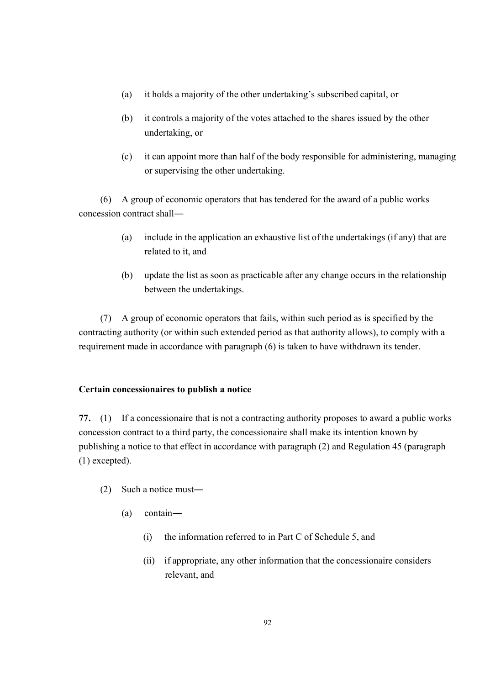- (a) it holds a majority of the other undertaking's subscribed capital, or
- (b) it controls a majority of the votes attached to the shares issued by the other undertaking, or
- (c) it can appoint more than half of the body responsible for administering, managing or supervising the other undertaking.

(6) A group of economic operators that has tendered for the award of a public works concession contract shall―

- (a) include in the application an exhaustive list of the undertakings (if any) that are related to it, and
- (b) update the list as soon as practicable after any change occurs in the relationship between the undertakings.

(7) A group of economic operators that fails, within such period as is specified by the contracting authority (or within such extended period as that authority allows), to comply with a requirement made in accordance with paragraph (6) is taken to have withdrawn its tender.

### **Certain concessionaires to publish a notice**

**77.** (1) If a concessionaire that is not a contracting authority proposes to award a public works concession contract to a third party, the concessionaire shall make its intention known by publishing a notice to that effect in accordance with paragraph (2) and Regulation 45 (paragraph (1) excepted).

- (2) Such a notice must―
	- (a) contain―
		- (i) the information referred to in Part C of Schedule 5, and
		- (ii) if appropriate, any other information that the concessionaire considers relevant, and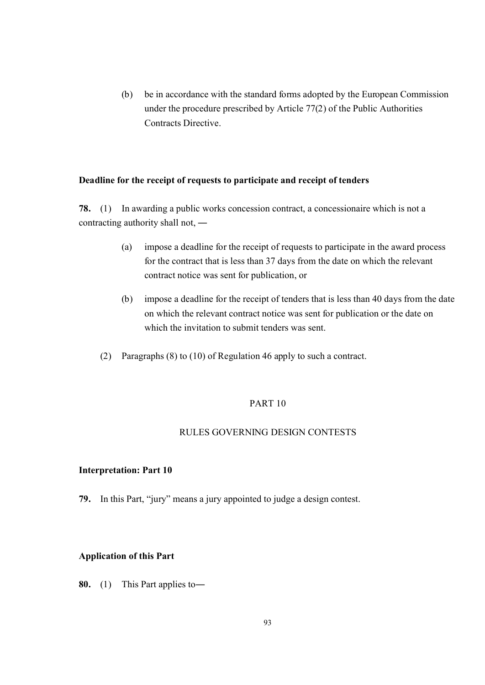(b) be in accordance with the standard forms adopted by the European Commission under the procedure prescribed by Article 77(2) of the Public Authorities Contracts Directive.

#### **Deadline for the receipt of requests to participate and receipt of tenders**

**78.** (1) In awarding a public works concession contract, a concessionaire which is not a contracting authority shall not, ―

- (a) impose a deadline for the receipt of requests to participate in the award process for the contract that is less than 37 days from the date on which the relevant contract notice was sent for publication, or
- (b) impose a deadline for the receipt of tenders that is less than 40 days from the date on which the relevant contract notice was sent for publication or the date on which the invitation to submit tenders was sent.
- (2) Paragraphs (8) to (10) of Regulation 46 apply to such a contract.

### PART 10

#### RULES GOVERNING DESIGN CONTESTS

#### **Interpretation: Part 10**

**79.** In this Part, "jury" means a jury appointed to judge a design contest.

#### **Application of this Part**

**80.** (1) This Part applies to―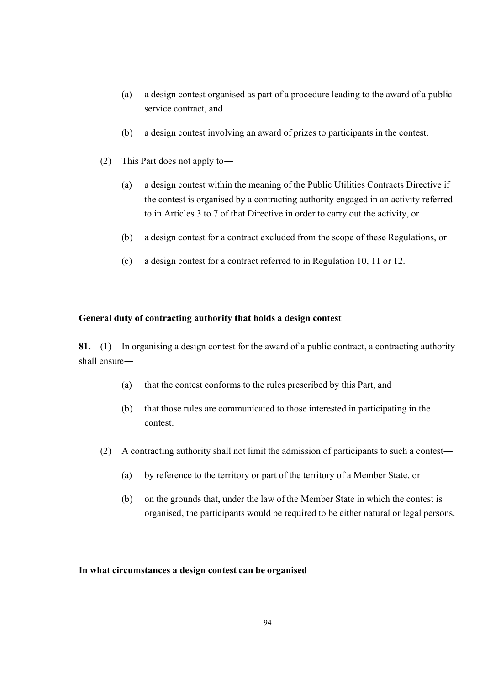- (a) a design contest organised as part of a procedure leading to the award of a public service contract, and
- (b) a design contest involving an award of prizes to participants in the contest.
- (2) This Part does not apply to―
	- (a) a design contest within the meaning of the Public Utilities Contracts Directive if the contest is organised by a contracting authority engaged in an activity referred to in Articles 3 to 7 of that Directive in order to carry out the activity, or
	- (b) a design contest for a contract excluded from the scope of these Regulations, or
	- (c) a design contest for a contract referred to in Regulation 10, 11 or 12.

### **General duty of contracting authority that holds a design contest**

**81.** (1) In organising a design contest for the award of a public contract, a contracting authority shall ensure―

- (a) that the contest conforms to the rules prescribed by this Part, and
- (b) that those rules are communicated to those interested in participating in the contest.
- (2) A contracting authority shall not limit the admission of participants to such a contest―
	- (a) by reference to the territory or part of the territory of a Member State, or
	- (b) on the grounds that, under the law of the Member State in which the contest is organised, the participants would be required to be either natural or legal persons.

### **In what circumstances a design contest can be organised**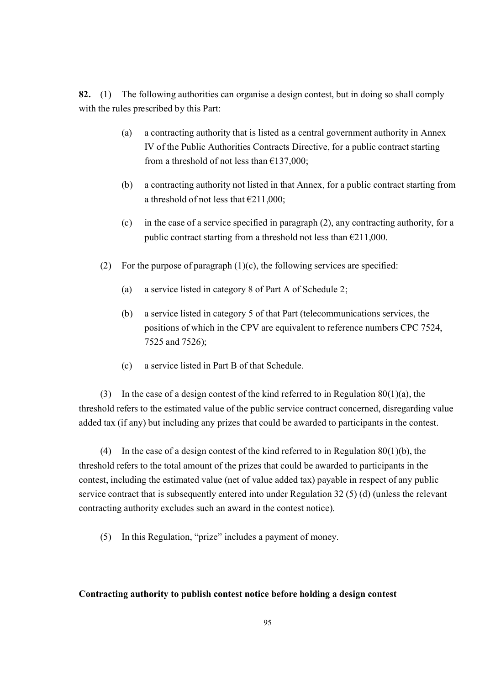**82.** (1) The following authorities can organise a design contest, but in doing so shall comply with the rules prescribed by this Part:

- (a) a contracting authority that is listed as a central government authority in Annex IV of the Public Authorities Contracts Directive, for a public contract starting from a threshold of not less than €137,000;
- (b) a contracting authority not listed in that Annex, for a public contract starting from a threshold of not less that  $\epsilon$ 211,000;
- (c) in the case of a service specified in paragraph (2), any contracting authority, for a public contract starting from a threshold not less than  $\epsilon$ 211,000.
- (2) For the purpose of paragraph  $(1)(c)$ , the following services are specified:
	- (a) a service listed in category 8 of Part A of Schedule 2;
	- (b) a service listed in category 5 of that Part (telecommunications services, the positions of which in the CPV are equivalent to reference numbers CPC 7524, 7525 and 7526);
	- (c) a service listed in Part B of that Schedule.

(3) In the case of a design contest of the kind referred to in Regulation 80(1)(a), the threshold refers to the estimated value of the public service contract concerned, disregarding value added tax (if any) but including any prizes that could be awarded to participants in the contest.

(4) In the case of a design contest of the kind referred to in Regulation 80(1)(b), the threshold refers to the total amount of the prizes that could be awarded to participants in the contest, including the estimated value (net of value added tax) payable in respect of any public service contract that is subsequently entered into under Regulation 32 (5) (d) (unless the relevant contracting authority excludes such an award in the contest notice).

(5) In this Regulation, "prize" includes a payment of money.

### **Contracting authority to publish contest notice before holding a design contest**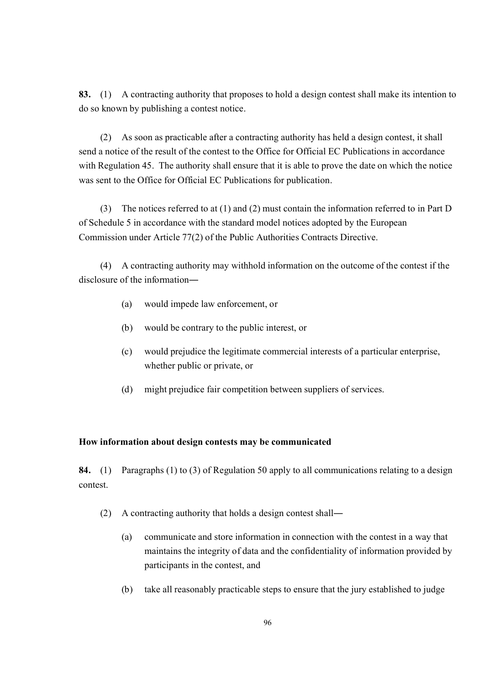**83.** (1) A contracting authority that proposes to hold a design contest shall make its intention to do so known by publishing a contest notice.

(2) As soon as practicable after a contracting authority has held a design contest, it shall send a notice of the result of the contest to the Office for Official EC Publications in accordance with Regulation 45. The authority shall ensure that it is able to prove the date on which the notice was sent to the Office for Official EC Publications for publication.

(3) The notices referred to at (1) and (2) must contain the information referred to in Part D of Schedule 5 in accordance with the standard model notices adopted by the European Commission under Article 77(2) of the Public Authorities Contracts Directive.

(4) A contracting authority may withhold information on the outcome of the contest if the disclosure of the information―

- (a) would impede law enforcement, or
- (b) would be contrary to the public interest, or
- (c) would prejudice the legitimate commercial interests of a particular enterprise, whether public or private, or
- (d) might prejudice fair competition between suppliers of services.

### **How information about design contests may be communicated**

**84.** (1) Paragraphs (1) to (3) of Regulation 50 apply to all communications relating to a design contest.

- (2) A contracting authority that holds a design contest shall―
	- (a) communicate and store information in connection with the contest in a way that maintains the integrity of data and the confidentiality of information provided by participants in the contest, and
	- (b) take all reasonably practicable steps to ensure that the jury established to judge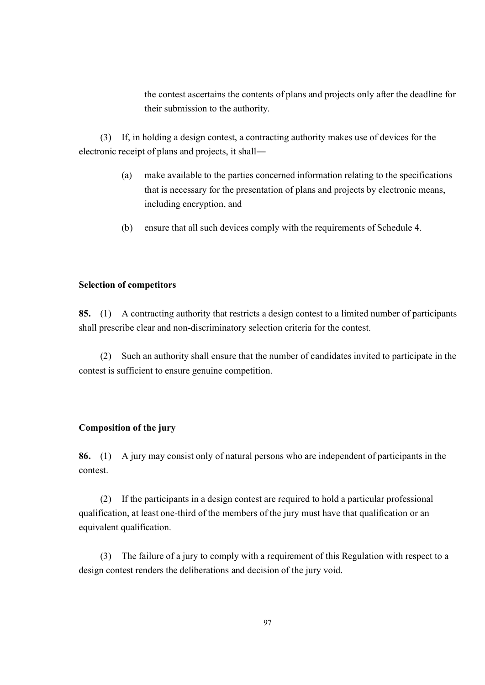the contest ascertains the contents of plans and projects only after the deadline for their submission to the authority.

(3) If, in holding a design contest, a contracting authority makes use of devices for the electronic receipt of plans and projects, it shall―

- (a) make available to the parties concerned information relating to the specifications that is necessary for the presentation of plans and projects by electronic means, including encryption, and
- (b) ensure that all such devices comply with the requirements of Schedule 4.

### **Selection of competitors**

**85.** (1) A contracting authority that restricts a design contest to a limited number of participants shall prescribe clear and non-discriminatory selection criteria for the contest.

(2) Such an authority shall ensure that the number of candidates invited to participate in the contest is sufficient to ensure genuine competition.

### **Composition of the jury**

**86.** (1) A jury may consist only of natural persons who are independent of participants in the contest.

(2) If the participants in a design contest are required to hold a particular professional qualification, at least one-third of the members of the jury must have that qualification or an equivalent qualification.

(3) The failure of a jury to comply with a requirement of this Regulation with respect to a design contest renders the deliberations and decision of the jury void.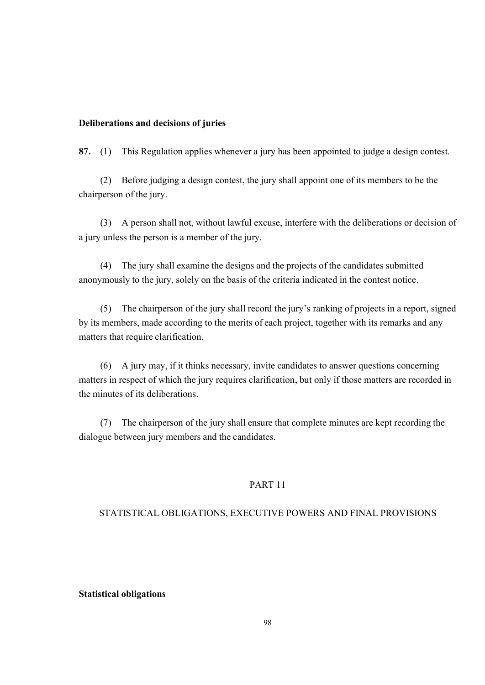#### **Deliberations and decisions of juries**

**87.** (1) This Regulation applies whenever a jury has been appointed to judge a design contest.

(2) Before judging a design contest, the jury shall appoint one of its members to be the chairperson of the jury.

(3) A person shall not, without lawful excuse, interfere with the deliberations or decision of a jury unless the person is a member of the jury.

(4) The jury shall examine the designs and the projects of the candidates submitted anonymously to the jury, solely on the basis of the criteria indicated in the contest notice.

(5) The chairperson of the jury shall record the jury's ranking of projects in a report, signed by its members, made according to the merits of each project, together with its remarks and any matters that require clarification.

(6) A jury may, if it thinks necessary, invite candidates to answer questions concerning matters in respect of which the jury requires clarification, but only if those matters are recorded in the minutes of its deliberations.

(7) The chairperson of the jury shall ensure that complete minutes are kept recording the dialogue between jury members and the candidates.

### PART 11

#### STATISTICAL OBLIGATIONS, EXECUTIVE POWERS AND FINAL PROVISIONS

#### **Statistical obligations**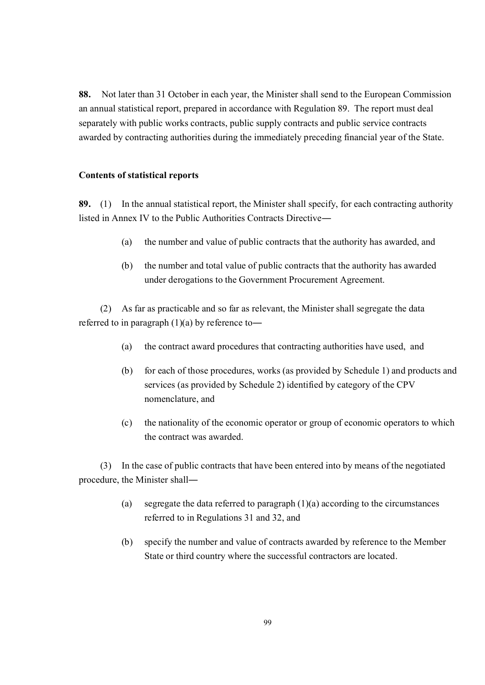**88.** Not later than 31 October in each year, the Minister shall send to the European Commission an annual statistical report, prepared in accordance with Regulation 89. The report must deal separately with public works contracts, public supply contracts and public service contracts awarded by contracting authorities during the immediately preceding financial year of the State.

### **Contents of statistical reports**

**89.** (1) In the annual statistical report, the Minister shall specify, for each contracting authority listed in Annex IV to the Public Authorities Contracts Directive―

- (a) the number and value of public contracts that the authority has awarded, and
- (b) the number and total value of public contracts that the authority has awarded under derogations to the Government Procurement Agreement.

(2) As far as practicable and so far as relevant, the Minister shall segregate the data referred to in paragraph  $(1)(a)$  by reference to—

- (a) the contract award procedures that contracting authorities have used, and
- (b) for each of those procedures, works (as provided by Schedule 1) and products and services (as provided by Schedule 2) identified by category of the CPV nomenclature, and
- (c) the nationality of the economic operator or group of economic operators to which the contract was awarded.

(3) In the case of public contracts that have been entered into by means of the negotiated procedure, the Minister shall―

- (a) segregate the data referred to paragraph (1)(a) according to the circumstances referred to in Regulations 31 and 32, and
- (b) specify the number and value of contracts awarded by reference to the Member State or third country where the successful contractors are located.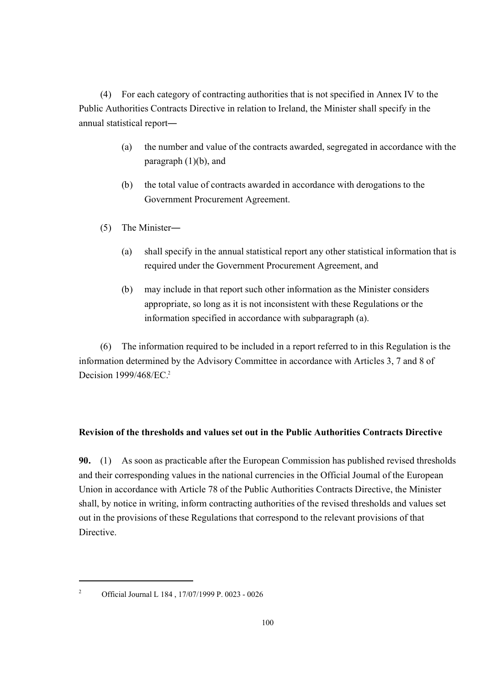(4) For each category of contracting authorities that is not specified in Annex IV to the Public Authorities Contracts Directive in relation to Ireland, the Minister shall specify in the annual statistical report―

- (a) the number and value of the contracts awarded, segregated in accordance with the paragraph  $(1)(b)$ , and
- (b) the total value of contracts awarded in accordance with derogations to the Government Procurement Agreement.
- (5) The Minister―
	- (a) shall specify in the annual statistical report any other statistical information that is required under the Government Procurement Agreement, and
	- (b) may include in that report such other information as the Minister considers appropriate, so long as it is not inconsistent with these Regulations or the information specified in accordance with subparagraph (a).

(6) The information required to be included in a report referred to in this Regulation is the information determined by the Advisory Committee in accordance with Articles 3, 7 and 8 of Decision 1999/468/EC<sup>2</sup>

### **Revision of the thresholds and values set out in the Public Authorities Contracts Directive**

**90.** (1) As soon as practicable after the European Commission has published revised thresholds and their corresponding values in the national currencies in the Official Journal of the European Union in accordance with Article 78 of the Public Authorities Contracts Directive, the Minister shall, by notice in writing, inform contracting authorities of the revised thresholds and values set out in the provisions of these Regulations that correspond to the relevant provisions of that Directive.

<sup>2</sup> Official Journal L 184 , 17/07/1999 P. 0023 - 0026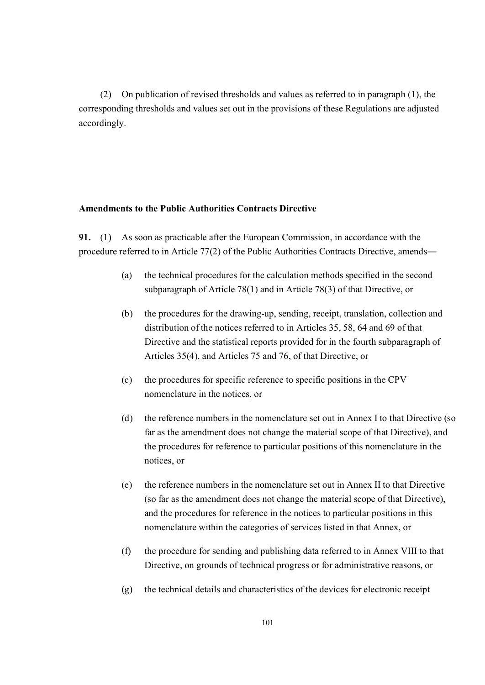(2) On publication of revised thresholds and values as referred to in paragraph (1), the corresponding thresholds and values set out in the provisions of these Regulations are adjusted accordingly.

### **Amendments to the Public Authorities Contracts Directive**

**91.** (1) As soon as practicable after the European Commission, in accordance with the procedure referred to in Article 77(2) of the Public Authorities Contracts Directive, amends―

- (a) the technical procedures for the calculation methods specified in the second subparagraph of Article 78(1) and in Article 78(3) of that Directive, or
- (b) the procedures for the drawing-up, sending, receipt, translation, collection and distribution of the notices referred to in Articles 35, 58, 64 and 69 of that Directive and the statistical reports provided for in the fourth subparagraph of Articles 35(4), and Articles 75 and 76, of that Directive, or
- (c) the procedures for specific reference to specific positions in the CPV nomenclature in the notices, or
- (d) the reference numbers in the nomenclature set out in Annex I to that Directive (so far as the amendment does not change the material scope of that Directive), and the procedures for reference to particular positions of this nomenclature in the notices, or
- (e) the reference numbers in the nomenclature set out in Annex II to that Directive (so far as the amendment does not change the material scope of that Directive), and the procedures for reference in the notices to particular positions in this nomenclature within the categories of services listed in that Annex, or
- (f) the procedure for sending and publishing data referred to in Annex VIII to that Directive, on grounds of technical progress or for administrative reasons, or
- (g) the technical details and characteristics of the devices for electronic receipt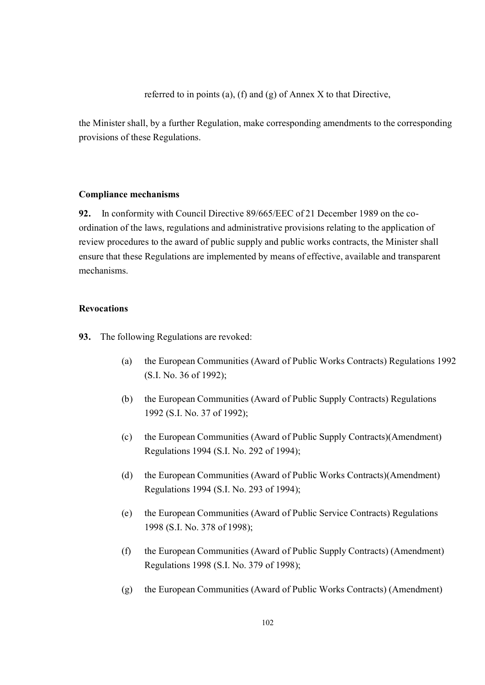referred to in points (a), (f) and (g) of Annex X to that Directive,

the Minister shall, by a further Regulation, make corresponding amendments to the corresponding provisions of these Regulations.

#### **Compliance mechanisms**

**92.** In conformity with Council Directive 89/665/EEC of 21 December 1989 on the coordination of the laws, regulations and administrative provisions relating to the application of review procedures to the award of public supply and public works contracts, the Minister shall ensure that these Regulations are implemented by means of effective, available and transparent mechanisms.

#### **Revocations**

**93.** The following Regulations are revoked:

- (a) the European Communities (Award of Public Works Contracts) Regulations 1992 (S.I. No. 36 of 1992);
- (b) the European Communities (Award of Public Supply Contracts) Regulations 1992 (S.I. No. 37 of 1992);
- (c) the European Communities (Award of Public Supply Contracts)(Amendment) Regulations 1994 (S.I. No. 292 of 1994);
- (d) the European Communities (Award of Public Works Contracts)(Amendment) Regulations 1994 (S.I. No. 293 of 1994);
- (e) the European Communities (Award of Public Service Contracts) Regulations 1998 (S.I. No. 378 of 1998);
- (f) the European Communities (Award of Public Supply Contracts) (Amendment) Regulations 1998 (S.I. No. 379 of 1998);
- (g) the European Communities (Award of Public Works Contracts) (Amendment)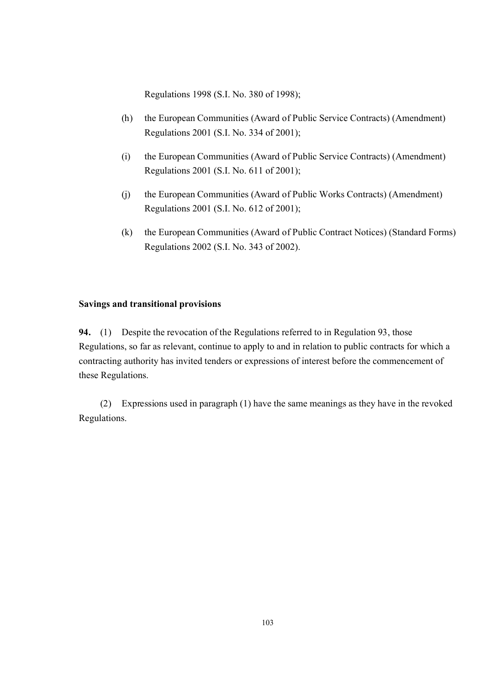Regulations 1998 (S.I. No. 380 of 1998);

- (h) the European Communities (Award of Public Service Contracts) (Amendment) Regulations 2001 (S.I. No. 334 of 2001);
- (i) the European Communities (Award of Public Service Contracts) (Amendment) Regulations 2001 (S.I. No. 611 of 2001);
- (j) the European Communities (Award of Public Works Contracts) (Amendment) Regulations 2001 (S.I. No. 612 of 2001);
- (k) the European Communities (Award of Public Contract Notices) (Standard Forms) Regulations 2002 (S.I. No. 343 of 2002).

#### **Savings and transitional provisions**

**94.** (1) Despite the revocation of the Regulations referred to in Regulation 93, those Regulations, so far as relevant, continue to apply to and in relation to public contracts for which a contracting authority has invited tenders or expressions of interest before the commencement of these Regulations.

(2) Expressions used in paragraph (1) have the same meanings as they have in the revoked Regulations.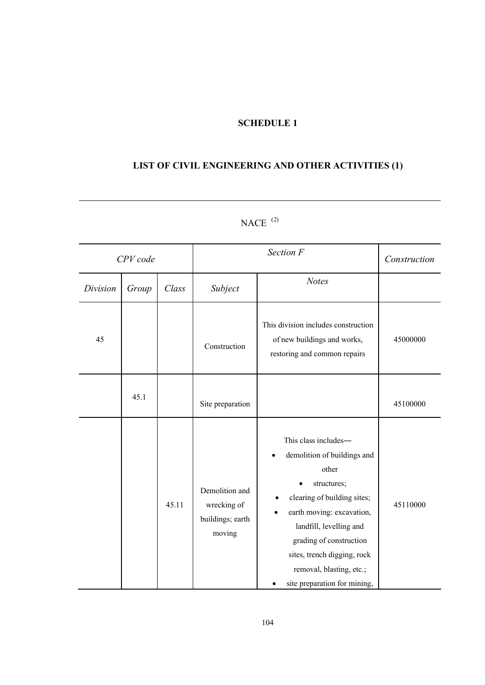## **SCHEDULE 1**

# **LIST OF CIVIL ENGINEERING AND OTHER ACTIVITIES (1)**

| CPV code |       |       | Section F                                                   |                                                                                                                                                                                                                                                                                          | Construction |
|----------|-------|-------|-------------------------------------------------------------|------------------------------------------------------------------------------------------------------------------------------------------------------------------------------------------------------------------------------------------------------------------------------------------|--------------|
| Division | Group | Class | Subject                                                     | <b>Notes</b>                                                                                                                                                                                                                                                                             |              |
| 45       |       |       | Construction                                                | This division includes construction<br>of new buildings and works,<br>restoring and common repairs                                                                                                                                                                                       | 45000000     |
|          | 45.1  |       | Site preparation                                            |                                                                                                                                                                                                                                                                                          | 45100000     |
|          |       | 45.11 | Demolition and<br>wrecking of<br>buildings; earth<br>moving | This class includes-<br>demolition of buildings and<br>other<br>structures;<br>clearing of building sites;<br>earth moving: excavation,<br>landfill, levelling and<br>grading of construction<br>sites, trench digging, rock<br>removal, blasting, etc.;<br>site preparation for mining, | 45110000     |

 $NACE$ <sup>(2)</sup>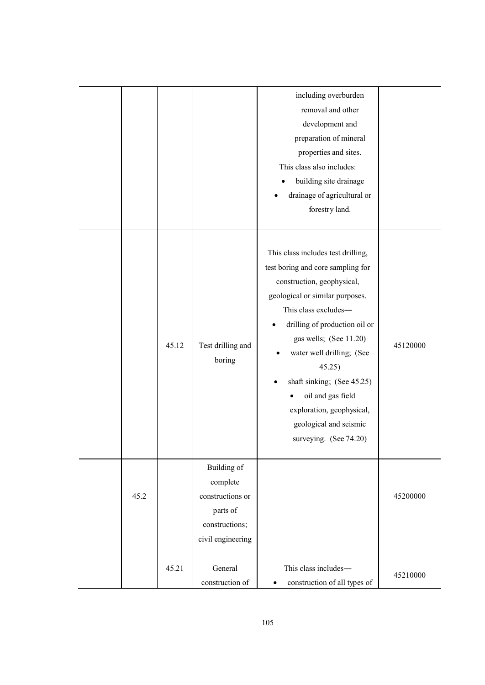|      |       |                                                                                                | including overburden<br>removal and other<br>development and<br>preparation of mineral<br>properties and sites.<br>This class also includes:<br>building site drainage<br>drainage of agricultural or<br>forestry land.                                                                                                                                                                                |          |
|------|-------|------------------------------------------------------------------------------------------------|--------------------------------------------------------------------------------------------------------------------------------------------------------------------------------------------------------------------------------------------------------------------------------------------------------------------------------------------------------------------------------------------------------|----------|
|      | 45.12 | Test drilling and<br>boring                                                                    | This class includes test drilling,<br>test boring and core sampling for<br>construction, geophysical,<br>geological or similar purposes.<br>This class excludes-<br>drilling of production oil or<br>gas wells; (See 11.20)<br>water well drilling; (See<br>45.25)<br>shaft sinking; (See 45.25)<br>oil and gas field<br>exploration, geophysical,<br>geological and seismic<br>surveying. (See 74.20) | 45120000 |
| 45.2 |       | Building of<br>complete<br>constructions or<br>parts of<br>constructions;<br>civil engineering |                                                                                                                                                                                                                                                                                                                                                                                                        | 45200000 |
|      | 45.21 | General<br>construction of                                                                     | This class includes-<br>construction of all types of<br>$\bullet$                                                                                                                                                                                                                                                                                                                                      | 45210000 |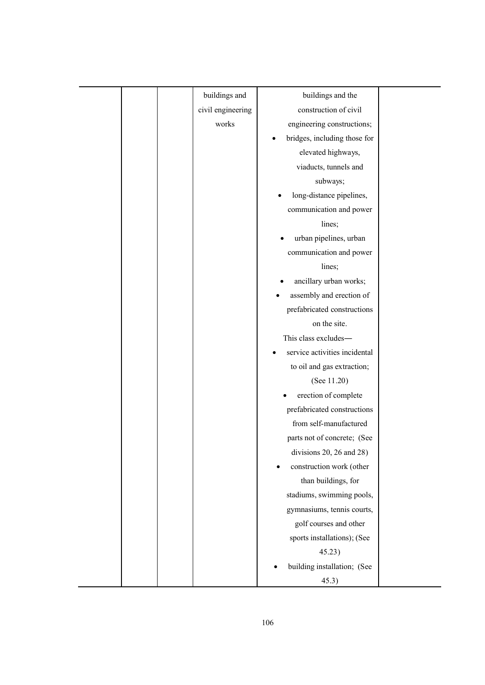| buildings and     | buildings and the                     |  |
|-------------------|---------------------------------------|--|
| civil engineering | construction of civil                 |  |
| works             | engineering constructions;            |  |
|                   | bridges, including those for          |  |
|                   | elevated highways,                    |  |
|                   | viaducts, tunnels and                 |  |
|                   | subways;                              |  |
|                   | long-distance pipelines,              |  |
|                   | communication and power               |  |
|                   | lines;                                |  |
|                   | urban pipelines, urban                |  |
|                   | communication and power               |  |
|                   | lines;                                |  |
|                   | ancillary urban works;                |  |
|                   | assembly and erection of              |  |
|                   | prefabricated constructions           |  |
|                   | on the site.                          |  |
|                   | This class excludes-                  |  |
|                   | service activities incidental         |  |
|                   | to oil and gas extraction;            |  |
|                   | (See $11.20$ )                        |  |
|                   | erection of complete                  |  |
|                   | prefabricated constructions           |  |
|                   | from self-manufactured                |  |
|                   | parts not of concrete; (See           |  |
|                   | divisions 20, 26 and 28)              |  |
|                   | construction work (other<br>$\bullet$ |  |
|                   | than buildings, for                   |  |
|                   | stadiums, swimming pools,             |  |
|                   | gymnasiums, tennis courts,            |  |
|                   | golf courses and other                |  |
|                   | sports installations); (See           |  |
|                   | 45.23)                                |  |
|                   | building installation; (See           |  |
|                   | 45.3)                                 |  |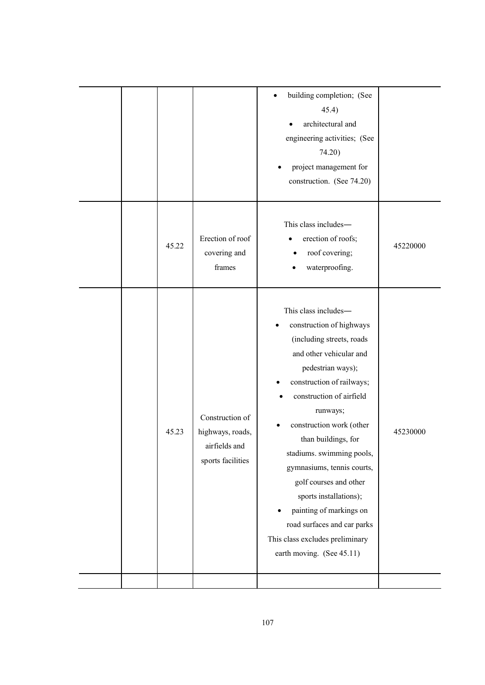|  |       |                                                                           | building completion; (See<br>45.4)<br>architectural and<br>engineering activities; (See<br>74.20)<br>project management for<br>construction. (See 74.20)                                                                                                                                                                                                                                                                                                                                                    |          |
|--|-------|---------------------------------------------------------------------------|-------------------------------------------------------------------------------------------------------------------------------------------------------------------------------------------------------------------------------------------------------------------------------------------------------------------------------------------------------------------------------------------------------------------------------------------------------------------------------------------------------------|----------|
|  | 45.22 | Erection of roof<br>covering and<br>frames                                | This class includes-<br>erection of roofs;<br>roof covering;<br>waterproofing.                                                                                                                                                                                                                                                                                                                                                                                                                              | 45220000 |
|  | 45.23 | Construction of<br>highways, roads,<br>airfields and<br>sports facilities | This class includes-<br>construction of highways<br>(including streets, roads<br>and other vehicular and<br>pedestrian ways);<br>construction of railways;<br>construction of airfield<br>runways;<br>construction work (other<br>than buildings, for<br>stadiums. swimming pools,<br>gymnasiums, tennis courts,<br>golf courses and other<br>sports installations);<br>painting of markings on<br>$\bullet$<br>road surfaces and car parks<br>This class excludes preliminary<br>earth moving. (See 45.11) | 45230000 |
|  |       |                                                                           |                                                                                                                                                                                                                                                                                                                                                                                                                                                                                                             |          |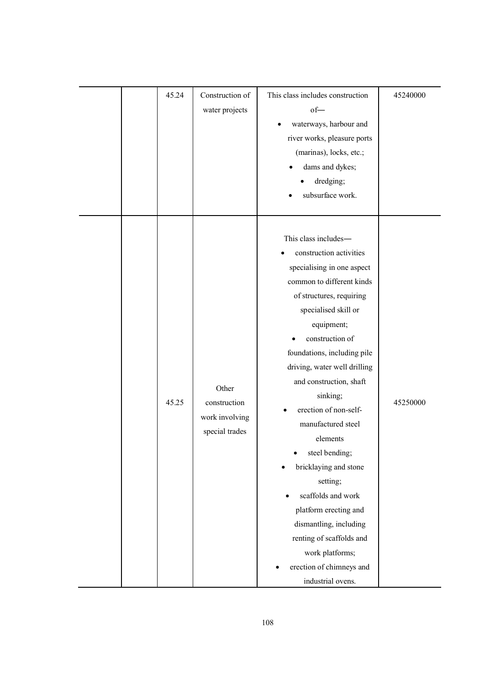| 45.24 | Construction of<br>water projects                         | This class includes construction<br>$of-$<br>waterways, harbour and<br>river works, pleasure ports<br>(marinas), locks, etc.;<br>dams and dykes;<br>dredging;<br>subsurface work.                                                                                                                                                                                                                                                                                                                                                                                                                | 45240000 |
|-------|-----------------------------------------------------------|--------------------------------------------------------------------------------------------------------------------------------------------------------------------------------------------------------------------------------------------------------------------------------------------------------------------------------------------------------------------------------------------------------------------------------------------------------------------------------------------------------------------------------------------------------------------------------------------------|----------|
| 45.25 | Other<br>construction<br>work involving<br>special trades | This class includes-<br>construction activities<br>specialising in one aspect<br>common to different kinds<br>of structures, requiring<br>specialised skill or<br>equipment;<br>construction of<br>foundations, including pile<br>driving, water well drilling<br>and construction, shaft<br>sinking;<br>erection of non-self-<br>manufactured steel<br>elements<br>steel bending;<br>bricklaying and stone<br>setting;<br>scaffolds and work<br>platform erecting and<br>dismantling, including<br>renting of scaffolds and<br>work platforms;<br>erection of chimneys and<br>industrial ovens. | 45250000 |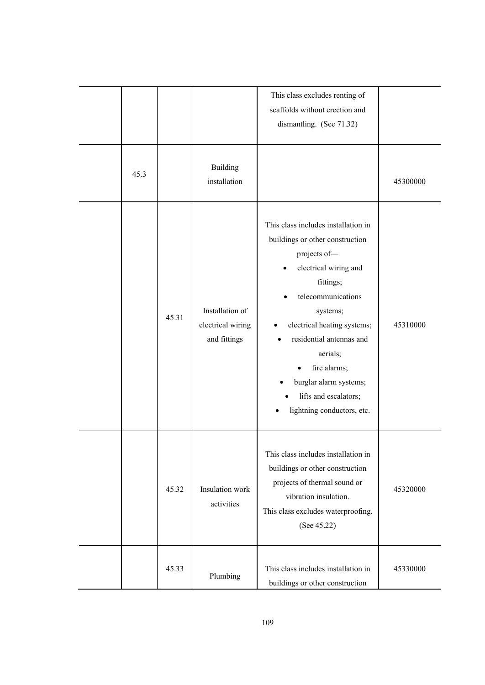|      |       |                                                      | This class excludes renting of<br>scaffolds without erection and<br>dismantling. (See 71.32)                                                                                                                                                                                                                                           |          |
|------|-------|------------------------------------------------------|----------------------------------------------------------------------------------------------------------------------------------------------------------------------------------------------------------------------------------------------------------------------------------------------------------------------------------------|----------|
| 45.3 |       | <b>Building</b><br>installation                      |                                                                                                                                                                                                                                                                                                                                        | 45300000 |
|      | 45.31 | Installation of<br>electrical wiring<br>and fittings | This class includes installation in<br>buildings or other construction<br>projects of-<br>electrical wiring and<br>fittings;<br>telecommunications<br>systems;<br>electrical heating systems;<br>residential antennas and<br>aerials;<br>fire alarms;<br>burglar alarm systems;<br>lifts and escalators;<br>lightning conductors, etc. | 45310000 |
|      | 45.32 | Insulation work<br>activities                        | This class includes installation in<br>buildings or other construction<br>projects of thermal sound or<br>vibration insulation.<br>This class excludes waterproofing.<br>(See $45.22$ )                                                                                                                                                | 45320000 |
|      | 45.33 | Plumbing                                             | This class includes installation in<br>buildings or other construction                                                                                                                                                                                                                                                                 | 45330000 |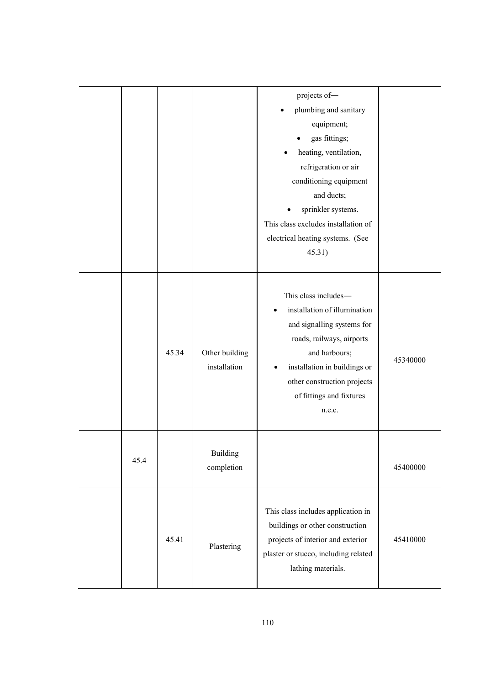|      |       |                                | projects of-<br>plumbing and sanitary<br>equipment;<br>gas fittings;<br>heating, ventilation,<br>refrigeration or air<br>conditioning equipment<br>and ducts;<br>sprinkler systems.<br>This class excludes installation of<br>electrical heating systems. (See<br>45.31) |          |
|------|-------|--------------------------------|--------------------------------------------------------------------------------------------------------------------------------------------------------------------------------------------------------------------------------------------------------------------------|----------|
|      | 45.34 | Other building<br>installation | This class includes-<br>installation of illumination<br>and signalling systems for<br>roads, railways, airports<br>and harbours;<br>installation in buildings or<br>other construction projects<br>of fittings and fixtures<br>n.e.c.                                    | 45340000 |
| 45.4 |       | <b>Building</b><br>completion  |                                                                                                                                                                                                                                                                          | 45400000 |
|      | 45.41 | Plastering                     | This class includes application in<br>buildings or other construction<br>projects of interior and exterior<br>plaster or stucco, including related<br>lathing materials.                                                                                                 | 45410000 |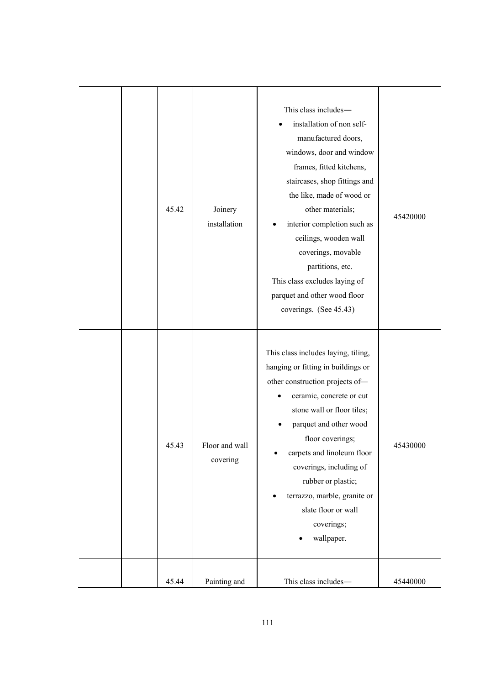|  | 45.42 | Joinery<br>installation    | This class includes-<br>installation of non self-<br>manufactured doors,<br>windows, door and window<br>frames, fitted kitchens,<br>staircases, shop fittings and<br>the like, made of wood or<br>other materials;<br>interior completion such as<br>ceilings, wooden wall<br>coverings, movable<br>partitions, etc.<br>This class excludes laying of<br>parquet and other wood floor<br>coverings. (See 45.43) | 45420000 |
|--|-------|----------------------------|-----------------------------------------------------------------------------------------------------------------------------------------------------------------------------------------------------------------------------------------------------------------------------------------------------------------------------------------------------------------------------------------------------------------|----------|
|  | 45.43 | Floor and wall<br>covering | This class includes laying, tiling,<br>hanging or fitting in buildings or<br>other construction projects of-<br>ceramic, concrete or cut<br>stone wall or floor tiles;<br>parquet and other wood<br>floor coverings;<br>carpets and linoleum floor<br>coverings, including of<br>rubber or plastic;<br>terrazzo, marble, granite or<br>slate floor or wall<br>coverings;<br>wallpaper.                          | 45430000 |
|  | 45.44 | Painting and               | This class includes-                                                                                                                                                                                                                                                                                                                                                                                            | 45440000 |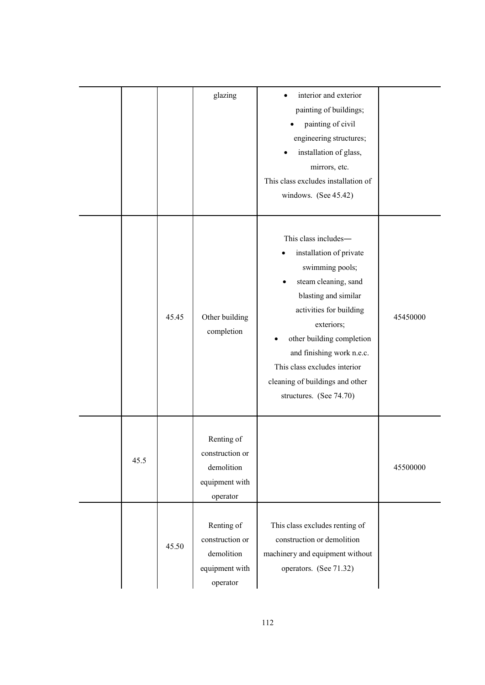|      |       | glazing                                                                   | interior and exterior<br>painting of buildings;<br>painting of civil<br>engineering structures;<br>installation of glass,<br>mirrors, etc.<br>This class excludes installation of<br>windows. (See 45.42)                                                                                                           |          |
|------|-------|---------------------------------------------------------------------------|---------------------------------------------------------------------------------------------------------------------------------------------------------------------------------------------------------------------------------------------------------------------------------------------------------------------|----------|
|      | 45.45 | Other building<br>completion                                              | This class includes-<br>installation of private<br>swimming pools;<br>steam cleaning, sand<br>blasting and similar<br>activities for building<br>exteriors;<br>other building completion<br>and finishing work n.e.c.<br>This class excludes interior<br>cleaning of buildings and other<br>structures. (See 74.70) | 45450000 |
| 45.5 |       | Renting of<br>construction or<br>demolition<br>equipment with<br>operator |                                                                                                                                                                                                                                                                                                                     | 45500000 |
|      | 45.50 | Renting of<br>construction or<br>demolition<br>equipment with<br>operator | This class excludes renting of<br>construction or demolition<br>machinery and equipment without<br>operators. (See 71.32)                                                                                                                                                                                           |          |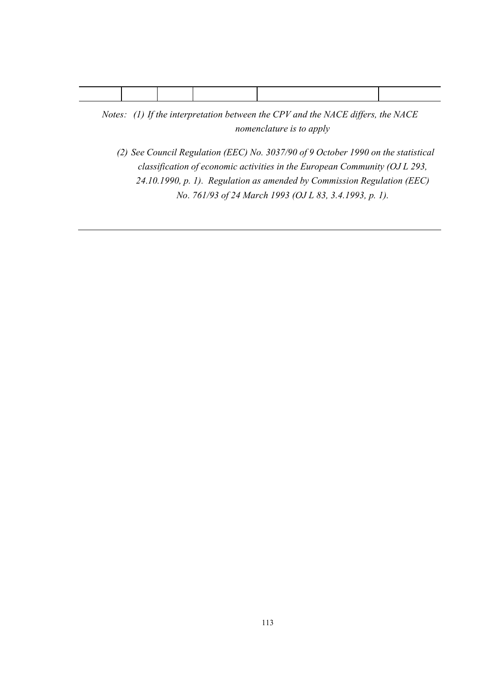*Notes: (1) If the interpretation between the CPV and the NACE differs, the NACE nomenclature is to apply*

*(2) See Council Regulation (EEC) No. 3037/90 of 9 October 1990 on the statistical classification of economic activities in the European Community (OJ L 293, 24.10.1990, p. 1). Regulation as amended by Commission Regulation (EEC) No. 761/93 of 24 March 1993 (OJ L 83, 3.4.1993, p. 1).*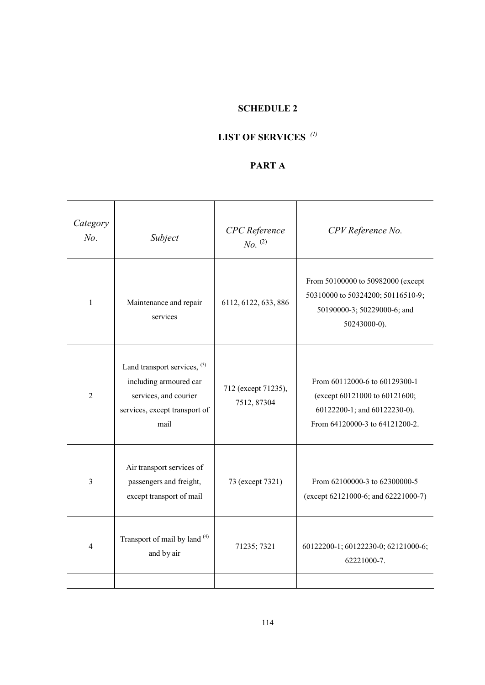### **SCHEDULE 2**

# **LIST OF SERVICES** *(1)*

# **PART A**

| Category<br>No. | Subject                                                                                                                    | <b>CPC</b> Reference<br>$No.$ <sup>(2)</sup> | CPV Reference No.                                                                                                                |
|-----------------|----------------------------------------------------------------------------------------------------------------------------|----------------------------------------------|----------------------------------------------------------------------------------------------------------------------------------|
| 1               | Maintenance and repair<br>services                                                                                         | 6112, 6122, 633, 886                         | From 50100000 to 50982000 (except<br>50310000 to 50324200; 50116510-9;<br>50190000-3; 50229000-6; and<br>$50243000-0$ ).         |
| $\overline{2}$  | Land transport services, $(3)$<br>including armoured car<br>services, and courier<br>services, except transport of<br>mail | 712 (except 71235),<br>7512, 87304           | From 60112000-6 to 60129300-1<br>(except 60121000 to 60121600;<br>60122200-1; and 60122230-0).<br>From 64120000-3 to 64121200-2. |
| $\overline{3}$  | Air transport services of<br>passengers and freight,<br>except transport of mail                                           | 73 (except 7321)                             | From 62100000-3 to 62300000-5<br>(except 62121000-6; and 62221000-7)                                                             |
| 4               | Transport of mail by land (4)<br>and by air                                                                                | 71235; 7321                                  | 60122200-1; 60122230-0; 62121000-6;<br>62221000-7.                                                                               |
|                 |                                                                                                                            |                                              |                                                                                                                                  |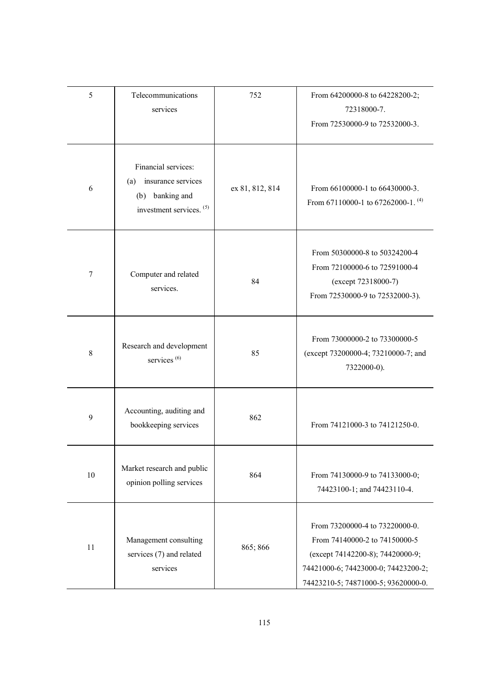| 5           | Telecommunications<br>services                                                                                | 752             | From 64200000-8 to 64228200-2;<br>72318000-7.<br>From 72530000-9 to 72532000-3.                                                                                                   |
|-------------|---------------------------------------------------------------------------------------------------------------|-----------------|-----------------------------------------------------------------------------------------------------------------------------------------------------------------------------------|
| 6           | Financial services:<br>insurance services<br>(a)<br>banking and<br>(b)<br>investment services. <sup>(5)</sup> | ex 81, 812, 814 | From 66100000-1 to 66430000-3.<br>From 67110000-1 to 67262000-1. $(4)$                                                                                                            |
| 7           | Computer and related<br>services.                                                                             | 84              | From 50300000-8 to 50324200-4<br>From 72100000-6 to 72591000-4<br>(except 72318000-7)<br>From 72530000-9 to 72532000-3).                                                          |
| $\,$ 8 $\,$ | Research and development<br>services <sup>(6)</sup>                                                           | 85              | From 73000000-2 to 73300000-5<br>(except 73200000-4; 73210000-7; and<br>7322000-0).                                                                                               |
| 9           | Accounting, auditing and<br>bookkeeping services                                                              | 862             | From 74121000-3 to 74121250-0.                                                                                                                                                    |
| 10          | Market research and public<br>opinion polling services                                                        | 864             | From 74130000-9 to 74133000-0;<br>74423100-1; and 74423110-4.                                                                                                                     |
| 11          | Management consulting<br>services (7) and related<br>services                                                 | 865; 866        | From 73200000-4 to 73220000-0.<br>From 74140000-2 to 74150000-5<br>(except 74142200-8); 74420000-9;<br>74421000-6; 74423000-0; 74423200-2;<br>74423210-5; 74871000-5; 93620000-0. |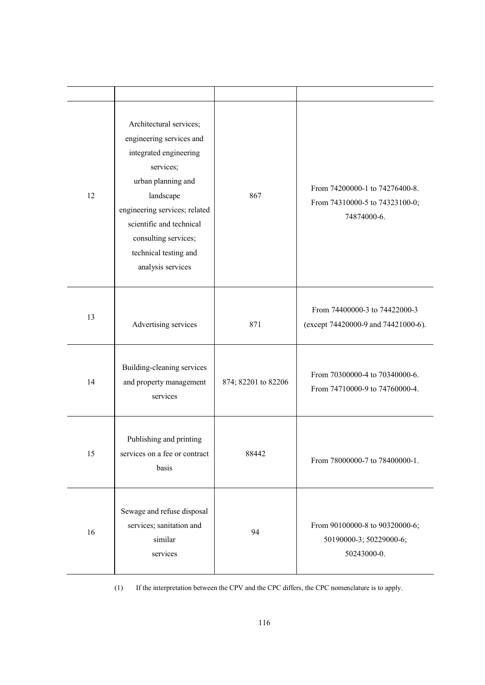| 12 | Architectural services;<br>engineering services and<br>integrated engineering<br>services;<br>urban planning and<br>landscape<br>engineering services; related<br>scientific and technical<br>consulting services;<br>technical testing and<br>analysis services | 867                 | From 74200000-1 to 74276400-8.<br>From 74310000-5 to 74323100-0;<br>74874000-6. |
|----|------------------------------------------------------------------------------------------------------------------------------------------------------------------------------------------------------------------------------------------------------------------|---------------------|---------------------------------------------------------------------------------|
| 13 | Advertising services                                                                                                                                                                                                                                             | 871                 | From 74400000-3 to 74422000-3<br>(except 74420000-9 and 74421000-6).            |
| 14 | Building-cleaning services<br>and property management<br>services                                                                                                                                                                                                | 874; 82201 to 82206 | From 70300000-4 to 70340000-6.<br>From 74710000-9 to 74760000-4.                |
| 15 | Publishing and printing<br>services on a fee or contract<br>basis                                                                                                                                                                                                | 88442               | From 78000000-7 to 78400000-1.                                                  |
| 16 | Sewage and refuse disposal<br>services; sanitation and<br>similar<br>services                                                                                                                                                                                    | 94                  | From 90100000-8 to 90320000-6;<br>50190000-3; 50229000-6;<br>50243000-0.        |

(1) If the interpretation between the CPV and the CPC differs, the CPC nomenclature is to apply.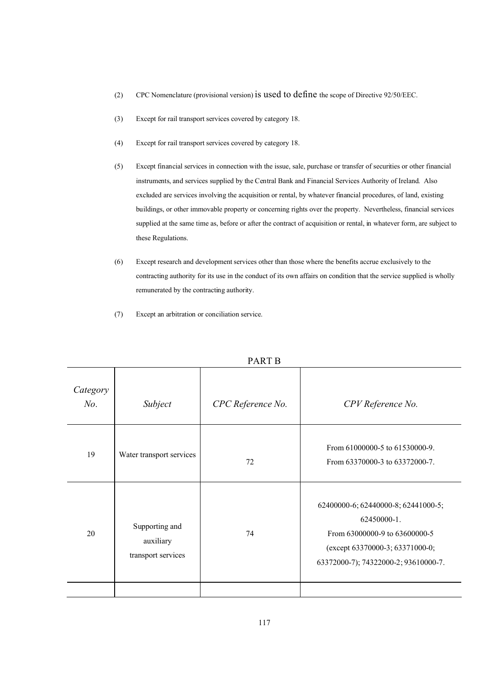- (2) CPC Nomenclature (provisional version) is used to define the scope of Directive 92/50/EEC.
- (3) Except for rail transport services covered by category 18.
- (4) Except for rail transport services covered by category 18.
- (5) Except financial services in connection with the issue, sale, purchase or transfer of securities or other financial instruments, and services supplied by the Central Bank and Financial Services Authority of Ireland. Also excluded are services involving the acquisition or rental, by whatever financial procedures, of land, existing buildings, or other immovable property or concerning rights over the property. Nevertheless, financial services supplied at the same time as, before or after the contract of acquisition or rental, in whatever form, are subject to these Regulations.
- (6) Except research and development services other than those where the benefits accrue exclusively to the contracting authority for its use in the conduct of its own affairs on condition that the service supplied is wholly remunerated by the contracting authority.
- (7) Except an arbitration or conciliation service.

|                    | $1$ $\Lambda$ IV $1$ D                            |                   |                                                                                                                                                                |  |
|--------------------|---------------------------------------------------|-------------------|----------------------------------------------------------------------------------------------------------------------------------------------------------------|--|
| Category<br>$No$ . | Subject                                           | CPC Reference No. | CPV Reference No.                                                                                                                                              |  |
| 19                 | Water transport services                          | 72                | From 61000000-5 to 61530000-9.<br>From 63370000-3 to 63372000-7.                                                                                               |  |
| 20                 | Supporting and<br>auxiliary<br>transport services | 74                | 62400000-6; 62440000-8; 62441000-5;<br>62450000-1.<br>From 63000000-9 to 63600000-5<br>(except 63370000-3; 63371000-0;<br>63372000-7); 74322000-2; 93610000-7. |  |
|                    |                                                   |                   |                                                                                                                                                                |  |

PART B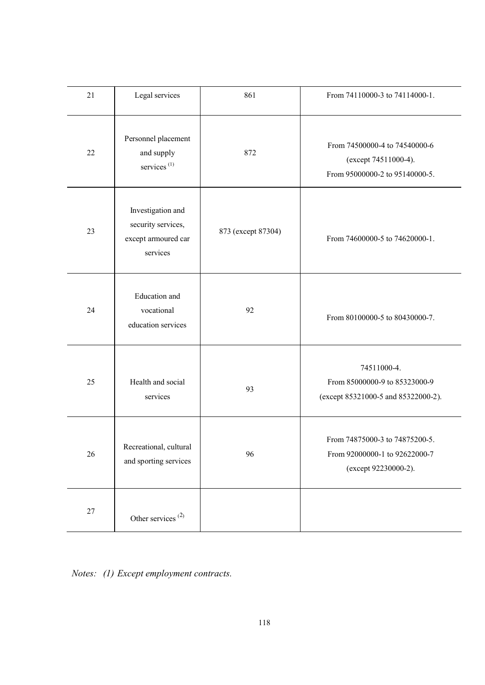| 21     | Legal services                                                             | 861                | From 74110000-3 to 74114000-1.                                                          |
|--------|----------------------------------------------------------------------------|--------------------|-----------------------------------------------------------------------------------------|
| 22     | Personnel placement<br>and supply<br>services <sup>(1)</sup>               | 872                | From 74500000-4 to 74540000-6<br>(except 74511000-4).<br>From 95000000-2 to 95140000-5. |
| 23     | Investigation and<br>security services,<br>except armoured car<br>services | 873 (except 87304) | From 74600000-5 to 74620000-1.                                                          |
| 24     | Education and<br>vocational<br>education services                          | 92                 | From 80100000-5 to 80430000-7.                                                          |
| 25     | Health and social<br>services                                              | 93                 | 74511000-4.<br>From 85000000-9 to 85323000-9<br>(except 85321000-5 and 85322000-2).     |
| 26     | Recreational, cultural<br>and sporting services                            | 96                 | From 74875000-3 to 74875200-5.<br>From 92000000-1 to 92622000-7<br>(except 92230000-2). |
| $27\,$ | Other services $^{(2)}$                                                    |                    |                                                                                         |

*Notes: (1) Except employment contracts.*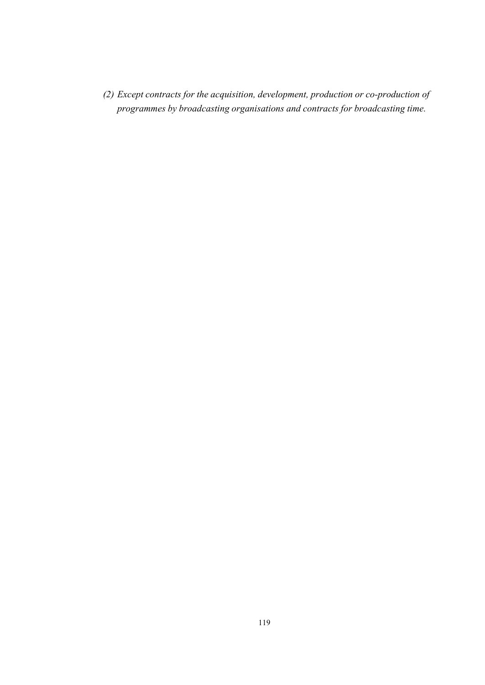*(2) Except contracts for the acquisition, development, production or co-production of programmes by broadcasting organisations and contracts for broadcasting time.*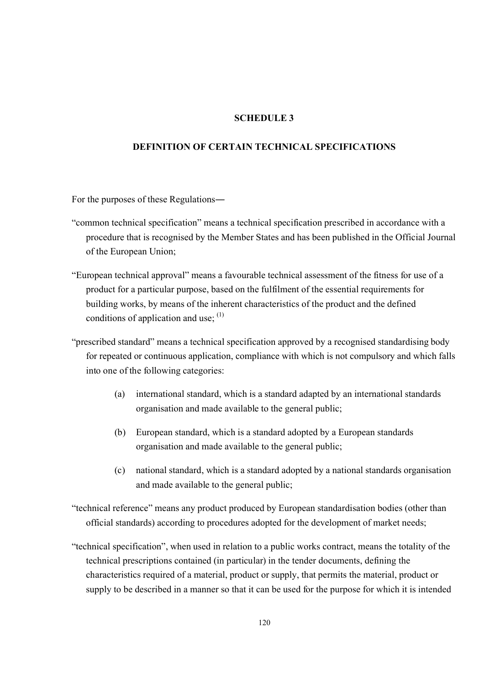### **SCHEDULE 3**

### **DEFINITION OF CERTAIN TECHNICAL SPECIFICATIONS**

For the purposes of these Regulations―

- "common technical specification" means a technical specification prescribed in accordance with a procedure that is recognised by the Member States and has been published in the Official Journal of the European Union;
- "European technical approval" means a favourable technical assessment of the fitness for use of a product for a particular purpose, based on the fulfilment of the essential requirements for building works, by means of the inherent characteristics of the product and the defined conditions of application and use;  $(1)$
- "prescribed standard" means a technical specification approved by a recognised standardising body for repeated or continuous application, compliance with which is not compulsory and which falls into one of the following categories:
	- (a) international standard, which is a standard adapted by an international standards organisation and made available to the general public;
	- (b) European standard, which is a standard adopted by a European standards organisation and made available to the general public;
	- (c) national standard, which is a standard adopted by a national standards organisation and made available to the general public;
- "technical reference" means any product produced by European standardisation bodies (other than official standards) according to procedures adopted for the development of market needs;
- "technical specification", when used in relation to a public works contract, means the totality of the technical prescriptions contained (in particular) in the tender documents, defining the characteristics required of a material, product or supply, that permits the material, product or supply to be described in a manner so that it can be used for the purpose for which it is intended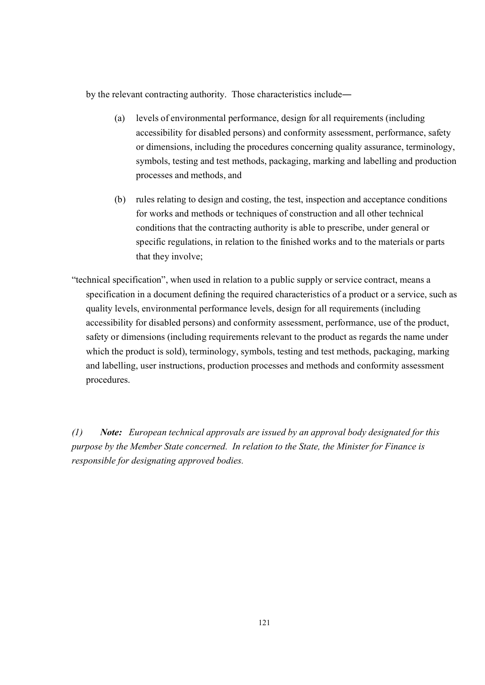by the relevant contracting authority. Those characteristics include―

- (a) levels of environmental performance, design for all requirements (including accessibility for disabled persons) and conformity assessment, performance, safety or dimensions, including the procedures concerning quality assurance, terminology, symbols, testing and test methods, packaging, marking and labelling and production processes and methods, and
- (b) rules relating to design and costing, the test, inspection and acceptance conditions for works and methods or techniques of construction and all other technical conditions that the contracting authority is able to prescribe, under general or specific regulations, in relation to the finished works and to the materials or parts that they involve;
- "technical specification", when used in relation to a public supply or service contract, means a specification in a document defining the required characteristics of a product or a service, such as quality levels, environmental performance levels, design for all requirements (including accessibility for disabled persons) and conformity assessment, performance, use of the product, safety or dimensions (including requirements relevant to the product as regards the name under which the product is sold), terminology, symbols, testing and test methods, packaging, marking and labelling, user instructions, production processes and methods and conformity assessment procedures.

*(1) Note: European technical approvals are issued by an approval body designated for this purpose by the Member State concerned. In relation to the State, the Minister for Finance is responsible for designating approved bodies.*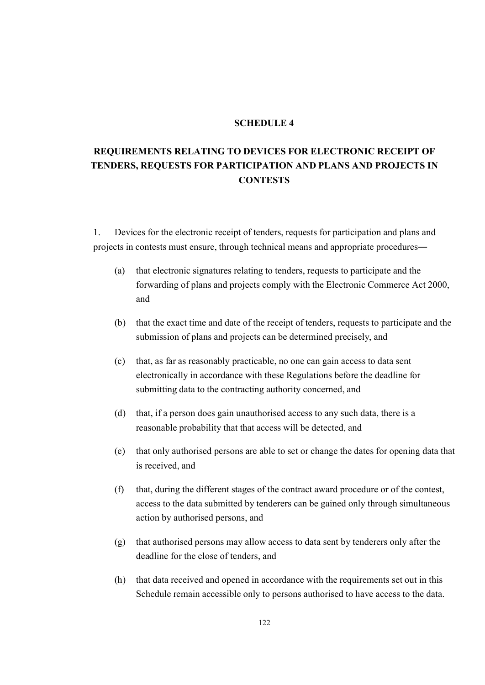#### **SCHEDULE 4**

# **REQUIREMENTS RELATING TO DEVICES FOR ELECTRONIC RECEIPT OF TENDERS, REQUESTS FOR PARTICIPATION AND PLANS AND PROJECTS IN CONTESTS**

1. Devices for the electronic receipt of tenders, requests for participation and plans and projects in contests must ensure, through technical means and appropriate procedures―

- (a) that electronic signatures relating to tenders, requests to participate and the forwarding of plans and projects comply with the Electronic Commerce Act 2000, and
- (b) that the exact time and date of the receipt of tenders, requests to participate and the submission of plans and projects can be determined precisely, and
- (c) that, as far as reasonably practicable, no one can gain access to data sent electronically in accordance with these Regulations before the deadline for submitting data to the contracting authority concerned, and
- (d) that, if a person does gain unauthorised access to any such data, there is a reasonable probability that that access will be detected, and
- (e) that only authorised persons are able to set or change the dates for opening data that is received, and
- (f) that, during the different stages of the contract award procedure or of the contest, access to the data submitted by tenderers can be gained only through simultaneous action by authorised persons, and
- (g) that authorised persons may allow access to data sent by tenderers only after the deadline for the close of tenders, and
- (h) that data received and opened in accordance with the requirements set out in this Schedule remain accessible only to persons authorised to have access to the data.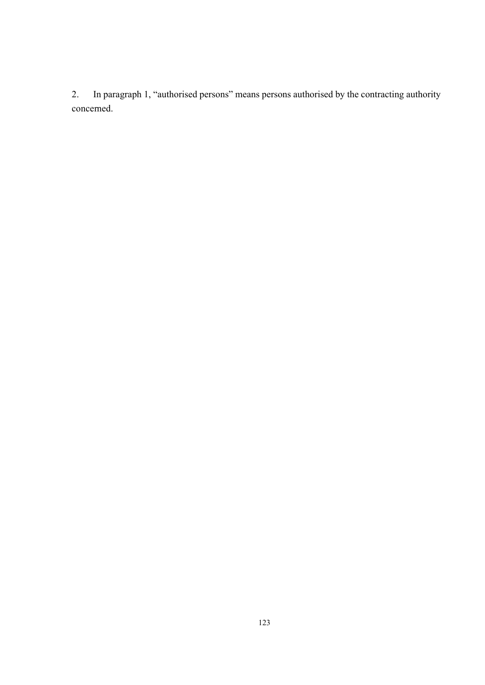2. In paragraph 1, "authorised persons" means persons authorised by the contracting authority concerned.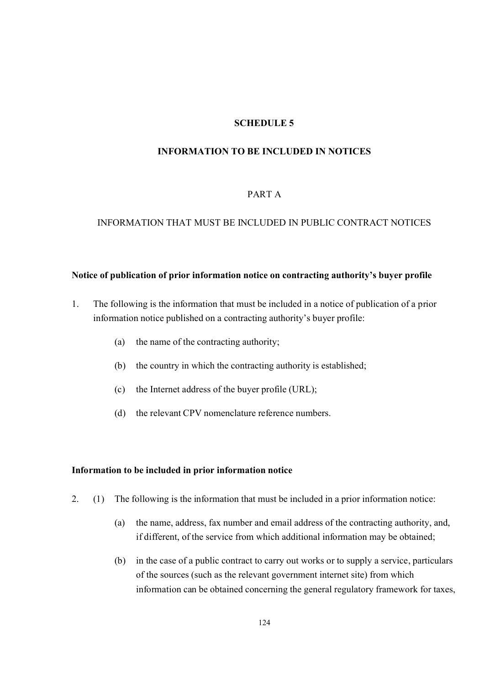### **SCHEDULE 5**

### **INFORMATION TO BE INCLUDED IN NOTICES**

#### PART A

### INFORMATION THAT MUST BE INCLUDED IN PUBLIC CONTRACT NOTICES

#### **Notice of publication of prior information notice on contracting authority's buyer profile**

- 1. The following is the information that must be included in a notice of publication of a prior information notice published on a contracting authority's buyer profile:
	- (a) the name of the contracting authority;
	- (b) the country in which the contracting authority is established;
	- (c) the Internet address of the buyer profile (URL);
	- (d) the relevant CPV nomenclature reference numbers.

#### **Information to be included in prior information notice**

- 2. (1) The following is the information that must be included in a prior information notice:
	- (a) the name, address, fax number and email address of the contracting authority, and, if different, of the service from which additional information may be obtained;
	- (b) in the case of a public contract to carry out works or to supply a service, particulars of the sources (such as the relevant government internet site) from which information can be obtained concerning the general regulatory framework for taxes,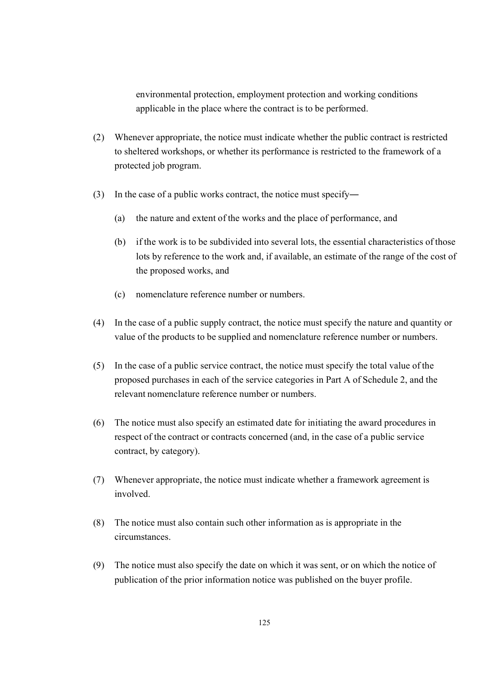environmental protection, employment protection and working conditions applicable in the place where the contract is to be performed.

- (2) Whenever appropriate, the notice must indicate whether the public contract is restricted to sheltered workshops, or whether its performance is restricted to the framework of a protected job program.
- (3) In the case of a public works contract, the notice must specify―
	- (a) the nature and extent of the works and the place of performance, and
	- (b) if the work is to be subdivided into several lots, the essential characteristics of those lots by reference to the work and, if available, an estimate of the range of the cost of the proposed works, and
	- (c) nomenclature reference number or numbers.
- (4) In the case of a public supply contract, the notice must specify the nature and quantity or value of the products to be supplied and nomenclature reference number or numbers.
- (5) In the case of a public service contract, the notice must specify the total value of the proposed purchases in each of the service categories in Part A of Schedule 2, and the relevant nomenclature reference number or numbers.
- (6) The notice must also specify an estimated date for initiating the award procedures in respect of the contract or contracts concerned (and, in the case of a public service contract, by category).
- (7) Whenever appropriate, the notice must indicate whether a framework agreement is involved.
- (8) The notice must also contain such other information as is appropriate in the circumstances.
- (9) The notice must also specify the date on which it was sent, or on which the notice of publication of the prior information notice was published on the buyer profile.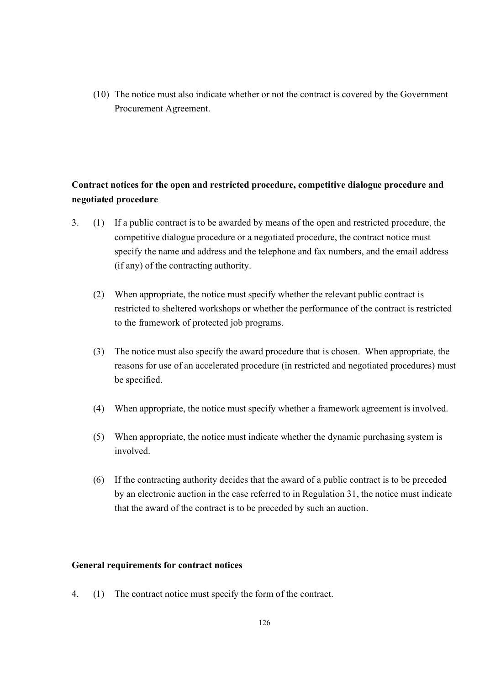(10) The notice must also indicate whether or not the contract is covered by the Government Procurement Agreement.

## **Contract notices for the open and restricted procedure, competitive dialogue procedure and negotiated procedure**

- 3. (1) If a public contract is to be awarded by means of the open and restricted procedure, the competitive dialogue procedure or a negotiated procedure, the contract notice must specify the name and address and the telephone and fax numbers, and the email address (if any) of the contracting authority.
	- (2) When appropriate, the notice must specify whether the relevant public contract is restricted to sheltered workshops or whether the performance of the contract is restricted to the framework of protected job programs.
	- (3) The notice must also specify the award procedure that is chosen. When appropriate, the reasons for use of an accelerated procedure (in restricted and negotiated procedures) must be specified.
	- (4) When appropriate, the notice must specify whether a framework agreement is involved.
	- (5) When appropriate, the notice must indicate whether the dynamic purchasing system is involved.
	- (6) If the contracting authority decides that the award of a public contract is to be preceded by an electronic auction in the case referred to in Regulation 31, the notice must indicate that the award of the contract is to be preceded by such an auction.

### **General requirements for contract notices**

4. (1) The contract notice must specify the form of the contract.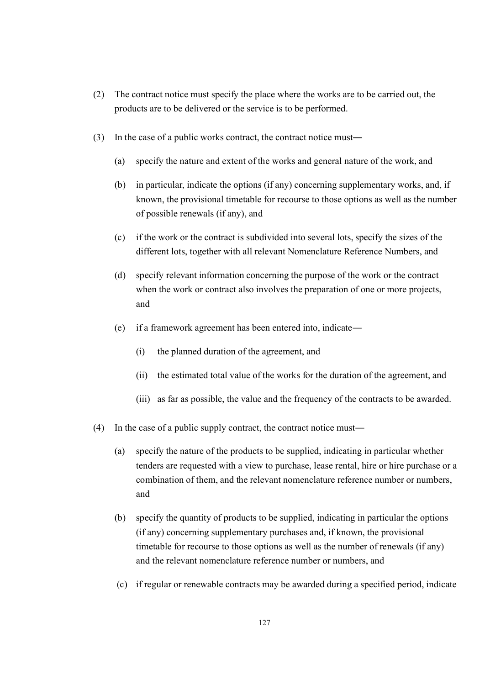- (2) The contract notice must specify the place where the works are to be carried out, the products are to be delivered or the service is to be performed.
- (3) In the case of a public works contract, the contract notice must―
	- (a) specify the nature and extent of the works and general nature of the work, and
	- (b) in particular, indicate the options (if any) concerning supplementary works, and, if known, the provisional timetable for recourse to those options as well as the number of possible renewals (if any), and
	- (c) if the work or the contract is subdivided into several lots, specify the sizes of the different lots, together with all relevant Nomenclature Reference Numbers, and
	- (d) specify relevant information concerning the purpose of the work or the contract when the work or contract also involves the preparation of one or more projects, and
	- (e) if a framework agreement has been entered into, indicate―
		- (i) the planned duration of the agreement, and
		- (ii) the estimated total value of the works for the duration of the agreement, and
		- (iii) as far as possible, the value and the frequency of the contracts to be awarded.
- (4) In the case of a public supply contract, the contract notice must―
	- (a) specify the nature of the products to be supplied, indicating in particular whether tenders are requested with a view to purchase, lease rental, hire or hire purchase or a combination of them, and the relevant nomenclature reference number or numbers, and
	- (b) specify the quantity of products to be supplied, indicating in particular the options (if any) concerning supplementary purchases and, if known, the provisional timetable for recourse to those options as well as the number of renewals (if any) and the relevant nomenclature reference number or numbers, and
	- (c) if regular or renewable contracts may be awarded during a specified period, indicate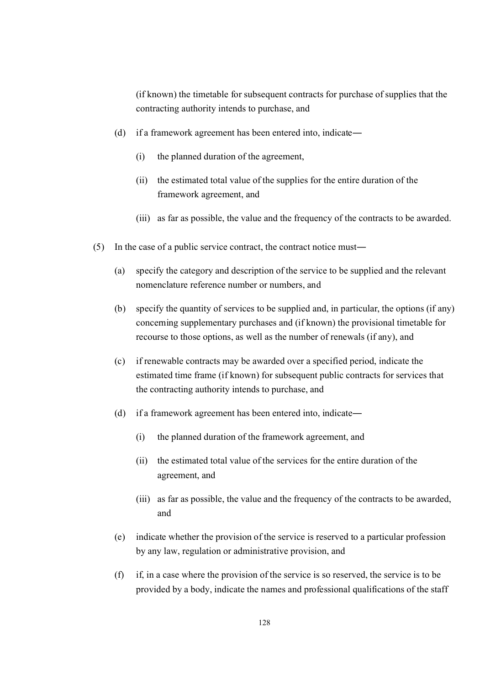(if known) the timetable for subsequent contracts for purchase of supplies that the contracting authority intends to purchase, and

- (d) if a framework agreement has been entered into, indicate―
	- (i) the planned duration of the agreement,
	- (ii) the estimated total value of the supplies for the entire duration of the framework agreement, and
	- (iii) as far as possible, the value and the frequency of the contracts to be awarded.
- (5) In the case of a public service contract, the contract notice must―
	- (a) specify the category and description of the service to be supplied and the relevant nomenclature reference number or numbers, and
	- (b) specify the quantity of services to be supplied and, in particular, the options (if any) concerning supplementary purchases and (if known) the provisional timetable for recourse to those options, as well as the number of renewals (if any), and
	- (c) if renewable contracts may be awarded over a specified period, indicate the estimated time frame (if known) for subsequent public contracts for services that the contracting authority intends to purchase, and
	- (d) if a framework agreement has been entered into, indicate―
		- (i) the planned duration of the framework agreement, and
		- (ii) the estimated total value of the services for the entire duration of the agreement, and
		- (iii) as far as possible, the value and the frequency of the contracts to be awarded, and
	- (e) indicate whether the provision of the service is reserved to a particular profession by any law, regulation or administrative provision, and
	- (f) if, in a case where the provision of the service is so reserved, the service is to be provided by a body, indicate the names and professional qualifications of the staff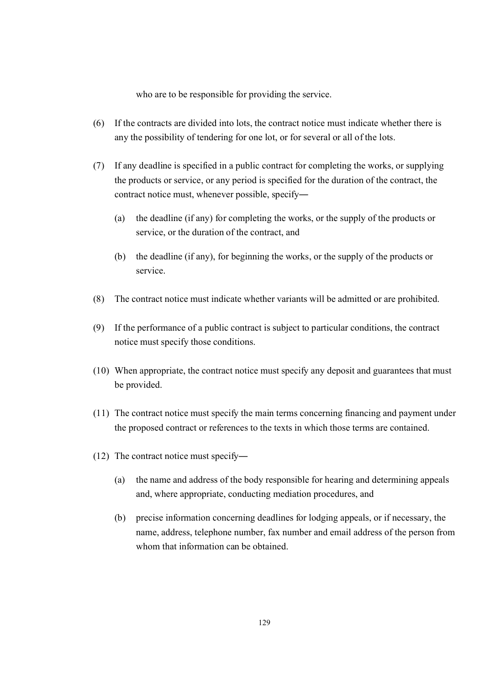who are to be responsible for providing the service.

- (6) If the contracts are divided into lots, the contract notice must indicate whether there is any the possibility of tendering for one lot, or for several or all of the lots.
- (7) If any deadline is specified in a public contract for completing the works, or supplying the products or service, or any period is specified for the duration of the contract, the contract notice must, whenever possible, specify―
	- (a) the deadline (if any) for completing the works, or the supply of the products or service, or the duration of the contract, and
	- (b) the deadline (if any), for beginning the works, or the supply of the products or service.
- (8) The contract notice must indicate whether variants will be admitted or are prohibited.
- (9) If the performance of a public contract is subject to particular conditions, the contract notice must specify those conditions.
- (10) When appropriate, the contract notice must specify any deposit and guarantees that must be provided.
- (11) The contract notice must specify the main terms concerning financing and payment under the proposed contract or references to the texts in which those terms are contained.
- (12) The contract notice must specify―
	- (a) the name and address of the body responsible for hearing and determining appeals and, where appropriate, conducting mediation procedures, and
	- (b) precise information concerning deadlines for lodging appeals, or if necessary, the name, address, telephone number, fax number and email address of the person from whom that information can be obtained.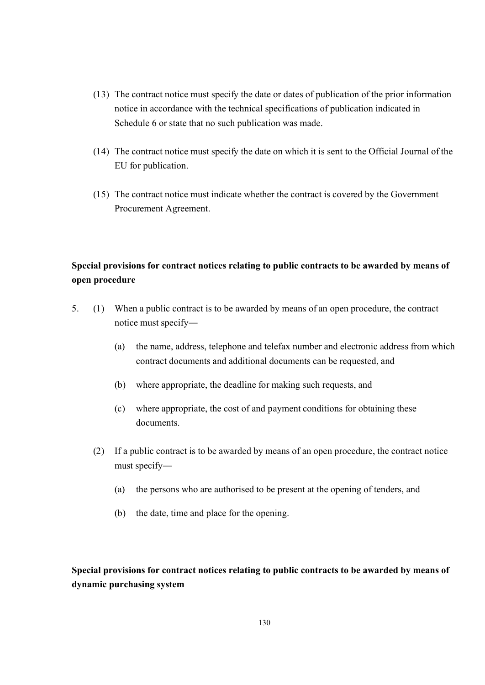- (13) The contract notice must specify the date or dates of publication of the prior information notice in accordance with the technical specifications of publication indicated in Schedule 6 or state that no such publication was made.
- (14) The contract notice must specify the date on which it is sent to the Official Journal of the EU for publication.
- (15) The contract notice must indicate whether the contract is covered by the Government Procurement Agreement.

# **Special provisions for contract notices relating to public contracts to be awarded by means of open procedure**

- 5. (1) When a public contract is to be awarded by means of an open procedure, the contract notice must specify―
	- (a) the name, address, telephone and telefax number and electronic address from which contract documents and additional documents can be requested, and
	- (b) where appropriate, the deadline for making such requests, and
	- (c) where appropriate, the cost of and payment conditions for obtaining these documents.
	- (2) If a public contract is to be awarded by means of an open procedure, the contract notice must specify―
		- (a) the persons who are authorised to be present at the opening of tenders, and
		- (b) the date, time and place for the opening.

**Special provisions for contract notices relating to public contracts to be awarded by means of dynamic purchasing system**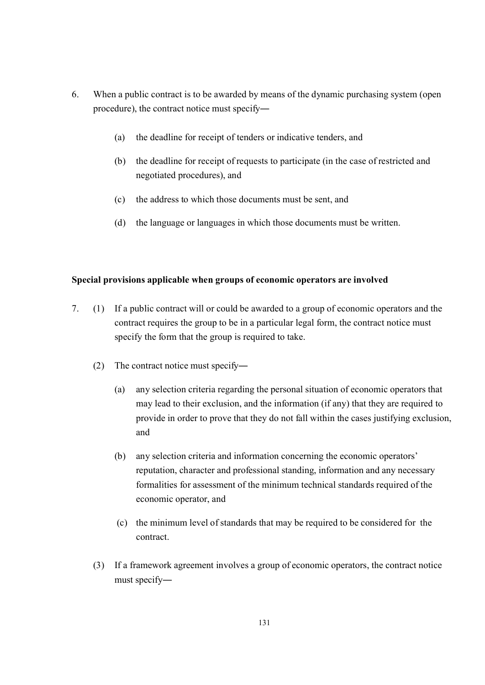- 6. When a public contract is to be awarded by means of the dynamic purchasing system (open procedure), the contract notice must specify―
	- (a) the deadline for receipt of tenders or indicative tenders, and
	- (b) the deadline for receipt of requests to participate (in the case of restricted and negotiated procedures), and
	- (c) the address to which those documents must be sent, and
	- (d) the language or languages in which those documents must be written.

### **Special provisions applicable when groups of economic operators are involved**

- 7. (1) If a public contract will or could be awarded to a group of economic operators and the contract requires the group to be in a particular legal form, the contract notice must specify the form that the group is required to take.
	- (2) The contract notice must specify―
		- (a) any selection criteria regarding the personal situation of economic operators that may lead to their exclusion, and the information (if any) that they are required to provide in order to prove that they do not fall within the cases justifying exclusion, and
		- (b) any selection criteria and information concerning the economic operators' reputation, character and professional standing, information and any necessary formalities for assessment of the minimum technical standards required of the economic operator, and
		- (c) the minimum level of standards that may be required to be considered for the contract.
	- (3) If a framework agreement involves a group of economic operators, the contract notice must specify―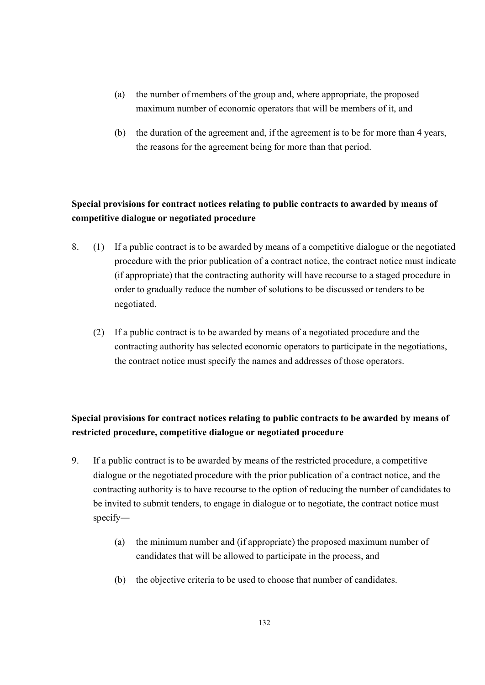- (a) the number of members of the group and, where appropriate, the proposed maximum number of economic operators that will be members of it, and
- (b) the duration of the agreement and, if the agreement is to be for more than 4 years, the reasons for the agreement being for more than that period.

# **Special provisions for contract notices relating to public contracts to awarded by means of competitive dialogue or negotiated procedure**

- 8. (1) If a public contract is to be awarded by means of a competitive dialogue or the negotiated procedure with the prior publication of a contract notice, the contract notice must indicate (if appropriate) that the contracting authority will have recourse to a staged procedure in order to gradually reduce the number of solutions to be discussed or tenders to be negotiated.
	- (2) If a public contract is to be awarded by means of a negotiated procedure and the contracting authority has selected economic operators to participate in the negotiations, the contract notice must specify the names and addresses of those operators.

# **Special provisions for contract notices relating to public contracts to be awarded by means of restricted procedure, competitive dialogue or negotiated procedure**

- 9. If a public contract is to be awarded by means of the restricted procedure, a competitive dialogue or the negotiated procedure with the prior publication of a contract notice, and the contracting authority is to have recourse to the option of reducing the number of candidates to be invited to submit tenders, to engage in dialogue or to negotiate, the contract notice must specify―
	- (a) the minimum number and (if appropriate) the proposed maximum number of candidates that will be allowed to participate in the process, and
	- (b) the objective criteria to be used to choose that number of candidates.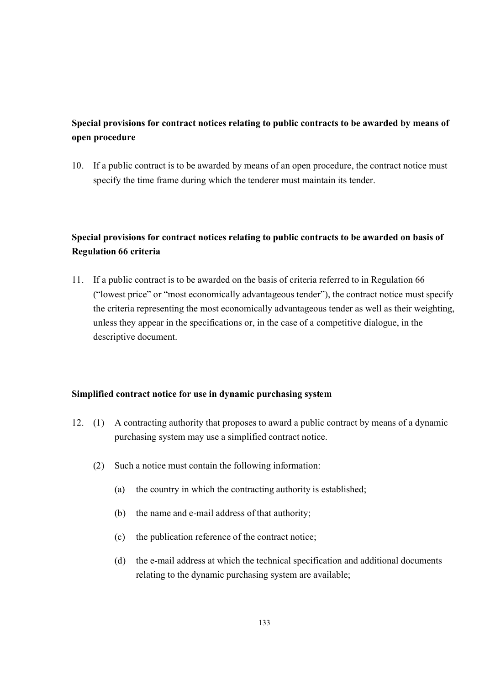# **Special provisions for contract notices relating to public contracts to be awarded by means of open procedure**

10. If a public contract is to be awarded by means of an open procedure, the contract notice must specify the time frame during which the tenderer must maintain its tender.

# **Special provisions for contract notices relating to public contracts to be awarded on basis of Regulation 66 criteria**

11. If a public contract is to be awarded on the basis of criteria referred to in Regulation 66 ("lowest price" or "most economically advantageous tender"), the contract notice must specify the criteria representing the most economically advantageous tender as well as their weighting, unless they appear in the specifications or, in the case of a competitive dialogue, in the descriptive document.

### **Simplified contract notice for use in dynamic purchasing system**

- 12. (1) A contracting authority that proposes to award a public contract by means of a dynamic purchasing system may use a simplified contract notice.
	- (2) Such a notice must contain the following information:
		- (a) the country in which the contracting authority is established;
		- (b) the name and e-mail address of that authority;
		- (c) the publication reference of the contract notice;
		- (d) the e-mail address at which the technical specification and additional documents relating to the dynamic purchasing system are available;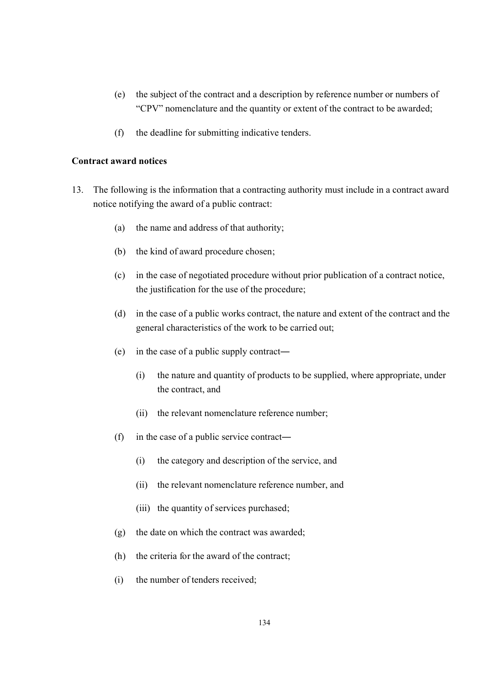- (e) the subject of the contract and a description by reference number or numbers of "CPV" nomenclature and the quantity or extent of the contract to be awarded;
- (f) the deadline for submitting indicative tenders.

#### **Contract award notices**

- 13. The following is the information that a contracting authority must include in a contract award notice notifying the award of a public contract:
	- (a) the name and address of that authority;
	- (b) the kind of award procedure chosen;
	- (c) in the case of negotiated procedure without prior publication of a contract notice, the justification for the use of the procedure;
	- (d) in the case of a public works contract, the nature and extent of the contract and the general characteristics of the work to be carried out;
	- (e) in the case of a public supply contract―
		- (i) the nature and quantity of products to be supplied, where appropriate, under the contract, and
		- (ii) the relevant nomenclature reference number;
	- (f) in the case of a public service contract―
		- (i) the category and description of the service, and
		- (ii) the relevant nomenclature reference number, and
		- (iii) the quantity of services purchased;
	- (g) the date on which the contract was awarded;
	- (h) the criteria for the award of the contract;
	- (i) the number of tenders received;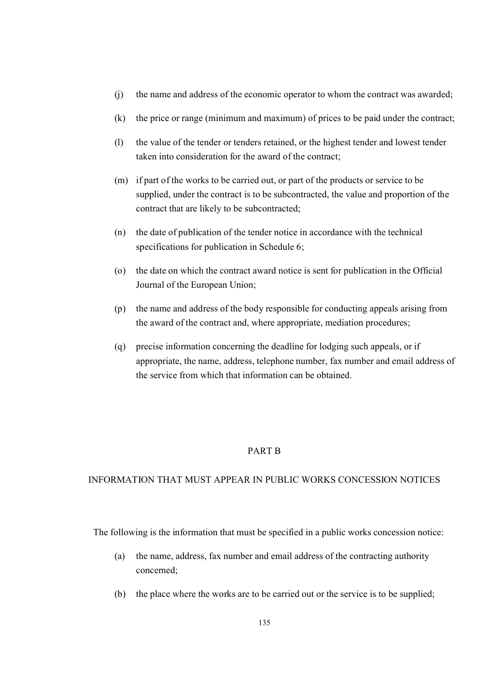- (j) the name and address of the economic operator to whom the contract was awarded;
- (k) the price or range (minimum and maximum) of prices to be paid under the contract;
- (l) the value of the tender or tenders retained, or the highest tender and lowest tender taken into consideration for the award of the contract;
- (m) if part of the works to be carried out, or part of the products or service to be supplied, under the contract is to be subcontracted, the value and proportion of the contract that are likely to be subcontracted;
- (n) the date of publication of the tender notice in accordance with the technical specifications for publication in Schedule 6;
- (o) the date on which the contract award notice is sent for publication in the Official Journal of the European Union;
- (p) the name and address of the body responsible for conducting appeals arising from the award of the contract and, where appropriate, mediation procedures;
- (q) precise information concerning the deadline for lodging such appeals, or if appropriate, the name, address, telephone number, fax number and email address of the service from which that information can be obtained.

### PART B

### INFORMATION THAT MUST APPEAR IN PUBLIC WORKS CONCESSION NOTICES

The following is the information that must be specified in a public works concession notice:

- (a) the name, address, fax number and email address of the contracting authority concerned;
- (b) the place where the works are to be carried out or the service is to be supplied;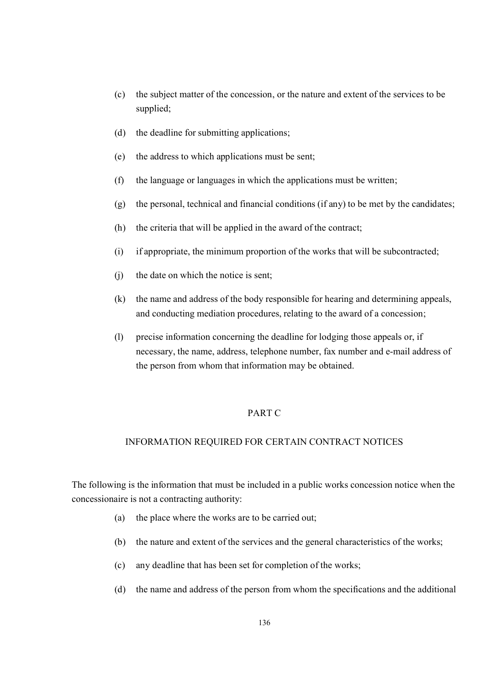- (c) the subject matter of the concession, or the nature and extent of the services to be supplied;
- (d) the deadline for submitting applications;
- (e) the address to which applications must be sent;
- (f) the language or languages in which the applications must be written;
- (g) the personal, technical and financial conditions (if any) to be met by the candidates;
- (h) the criteria that will be applied in the award of the contract;
- (i) if appropriate, the minimum proportion of the works that will be subcontracted;
- (j) the date on which the notice is sent;
- (k) the name and address of the body responsible for hearing and determining appeals, and conducting mediation procedures, relating to the award of a concession;
- (l) precise information concerning the deadline for lodging those appeals or, if necessary, the name, address, telephone number, fax number and e-mail address of the person from whom that information may be obtained.

### PART C

### INFORMATION REQUIRED FOR CERTAIN CONTRACT NOTICES

The following is the information that must be included in a public works concession notice when the concessionaire is not a contracting authority:

- (a) the place where the works are to be carried out;
- (b) the nature and extent of the services and the general characteristics of the works;
- (c) any deadline that has been set for completion of the works;
- (d) the name and address of the person from whom the specifications and the additional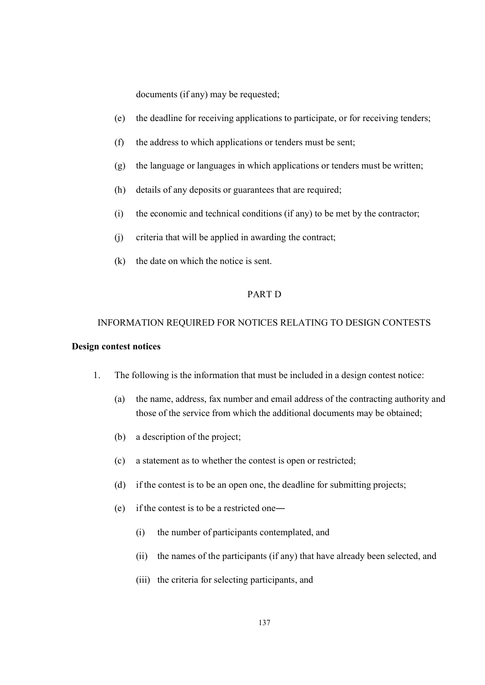documents (if any) may be requested;

- (e) the deadline for receiving applications to participate, or for receiving tenders;
- (f) the address to which applications or tenders must be sent;
- (g) the language or languages in which applications or tenders must be written;
- (h) details of any deposits or guarantees that are required;
- (i) the economic and technical conditions (if any) to be met by the contractor;
- (j) criteria that will be applied in awarding the contract;
- (k) the date on which the notice is sent.

### PART D

# INFORMATION REQUIRED FOR NOTICES RELATING TO DESIGN CONTESTS

### **Design contest notices**

- 1. The following is the information that must be included in a design contest notice:
	- (a) the name, address, fax number and email address of the contracting authority and those of the service from which the additional documents may be obtained;
	- (b) a description of the project;
	- (c) a statement as to whether the contest is open or restricted;
	- (d) if the contest is to be an open one, the deadline for submitting projects;
	- (e) if the contest is to be a restricted one―
		- (i) the number of participants contemplated, and
		- (ii) the names of the participants (if any) that have already been selected, and
		- (iii) the criteria for selecting participants, and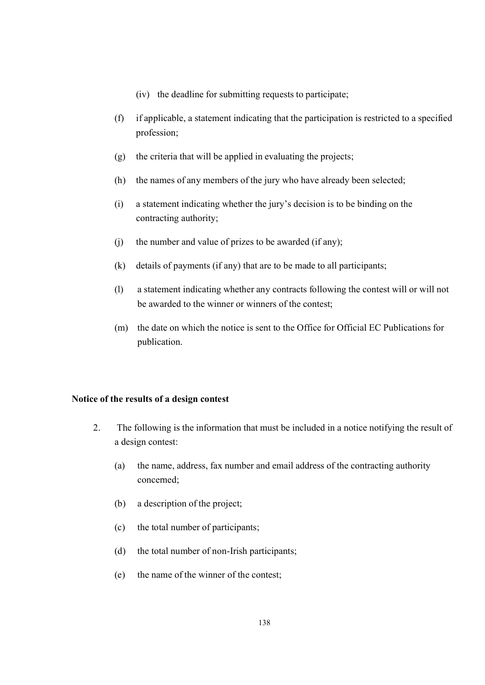- (iv) the deadline for submitting requests to participate;
- (f) if applicable, a statement indicating that the participation is restricted to a specified profession;
- (g) the criteria that will be applied in evaluating the projects;
- (h) the names of any members of the jury who have already been selected;
- (i) a statement indicating whether the jury's decision is to be binding on the contracting authority;
- (j) the number and value of prizes to be awarded (if any);
- (k) details of payments (if any) that are to be made to all participants;
- (l) a statement indicating whether any contracts following the contest will or will not be awarded to the winner or winners of the contest;
- (m) the date on which the notice is sent to the Office for Official EC Publications for publication.

### **Notice of the results of a design contest**

- 2. The following is the information that must be included in a notice notifying the result of a design contest:
	- (a) the name, address, fax number and email address of the contracting authority concerned;
	- (b) a description of the project;
	- (c) the total number of participants;
	- (d) the total number of non-Irish participants;
	- (e) the name of the winner of the contest;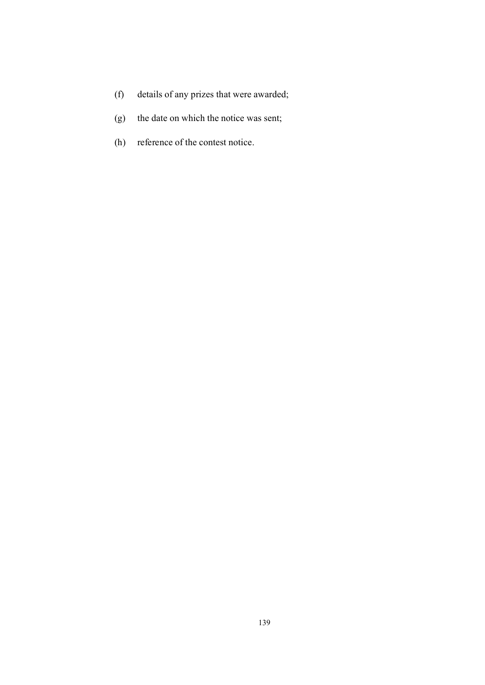- (f) details of any prizes that were awarded;
- (g) the date on which the notice was sent;
- (h) reference of the contest notice.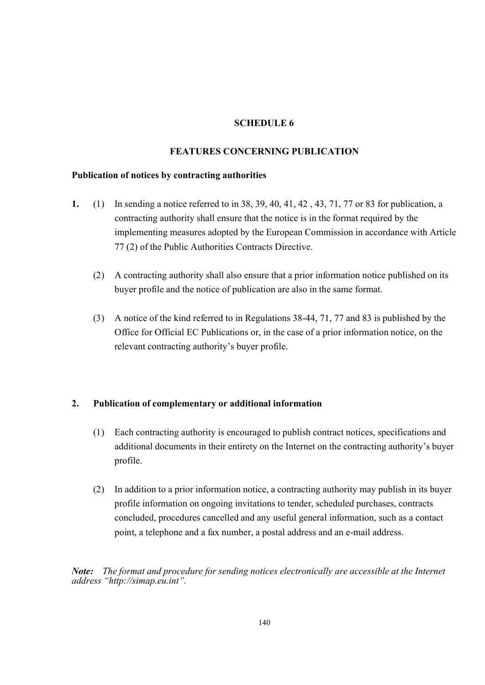### **SCHEDULE 6**

### **FEATURES CONCERNING PUBLICATION**

### **Publication of notices by contracting authorities**

- **1.** (1) In sending a notice referred to in 38, 39, 40, 41, 42 , 43, 71, 77 or 83 for publication, a contracting authority shall ensure that the notice is in the format required by the implementing measures adopted by the European Commission in accordance with Article 77 (2) of the Public Authorities Contracts Directive.
	- (2) A contracting authority shall also ensure that a prior information notice published on its buyer profile and the notice of publication are also in the same format.
	- (3) A notice of the kind referred to in Regulations 38-44, 71, 77 and 83 is published by the Office for Official EC Publications or, in the case of a prior information notice, on the relevant contracting authority's buyer profile.

### **2. Publication of complementary or additional information**

- (1) Each contracting authority is encouraged to publish contract notices, specifications and additional documents in their entirety on the Internet on the contracting authority's buyer profile.
- (2) In addition to a prior information notice, a contracting authority may publish in its buyer profile information on ongoing invitations to tender, scheduled purchases, contracts concluded, procedures cancelled and any useful general information, such as a contact point, a telephone and a fax number, a postal address and an e-mail address.

*Note: The format and procedure for sending notices electronically are accessible at the Internet address "[http://simap.eu.int".](>)*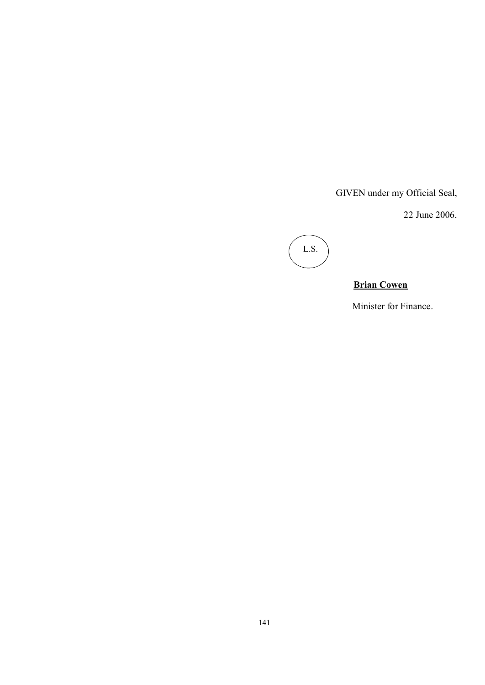GIVEN under my Official Seal,

22 June 2006.



## **Brian Cowen**

Minister for Finance.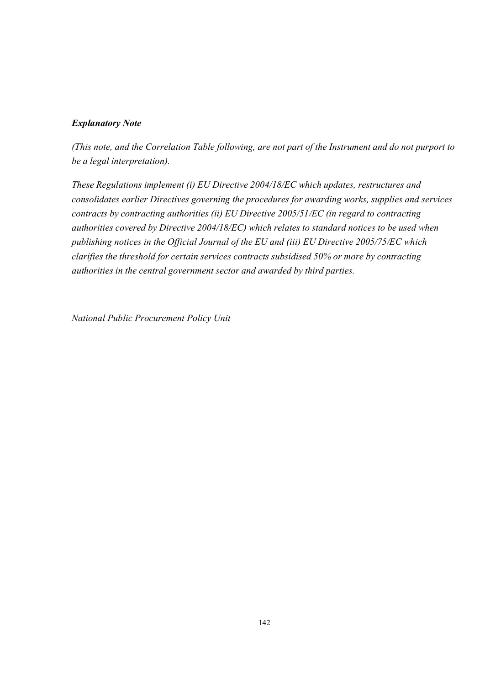### *Explanatory Note*

*(This note, and the Correlation Table following, are not part of the Instrument and do not purport to be a legal interpretation).*

*These Regulations implement (i) EU Directive 2004/18/EC which updates, restructures and consolidates earlier Directives governing the procedures for awarding works, supplies and services contracts by contracting authorities (ii) EU Directive 2005/51/EC (in regard to contracting authorities covered by Directive 2004/18/EC) which relates to standard notices to be used when publishing notices in the Official Journal of the EU and (iii) EU Directive 2005/75/EC which clarifies the threshold for certain services contracts subsidised 50% or more by contracting authorities in the central government sector and awarded by third parties.* 

*National Public Procurement Policy Unit*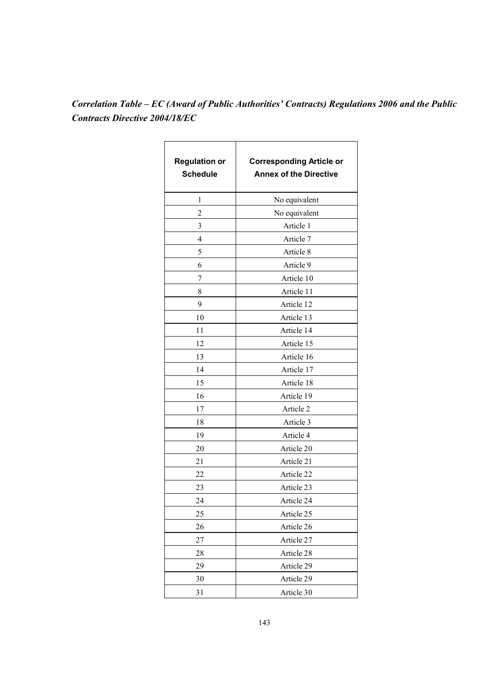# *Correlation Table – EC (Award of Public Authorities' Contracts) Regulations 2006 and the Public Contracts Directive 2004/18/EC*

| <b>Regulation or</b><br><b>Schedule</b> | <b>Corresponding Article or</b><br><b>Annex of the Directive</b> |
|-----------------------------------------|------------------------------------------------------------------|
| 1                                       | No equivalent                                                    |
| 2                                       | No equivalent                                                    |
| 3                                       | Article 1                                                        |
| 4                                       | Article 7                                                        |
| 5                                       | Article 8                                                        |
| 6                                       | Article 9                                                        |
| 7                                       | Article 10                                                       |
| 8                                       | Article 11                                                       |
| 9                                       | Article 12                                                       |
| 10                                      | Article 13                                                       |
| 11                                      | Article 14                                                       |
| 12                                      | Article 15                                                       |
| 13                                      | Article 16                                                       |
| 14                                      | Article 17                                                       |
| 15                                      | Article 18                                                       |
| 16                                      | Article 19                                                       |
| 17                                      | Article 2                                                        |
| 18                                      | Article 3                                                        |
| 19                                      | Article 4                                                        |
| 20                                      | Article 20                                                       |
| 21                                      | Article 21                                                       |
| 22                                      | Article 22                                                       |
| 23                                      | Article 23                                                       |
| 24                                      | Article 24                                                       |
| 25                                      | Article 25                                                       |
| 26                                      | Article 26                                                       |
| 27                                      | Article 27                                                       |
| 28                                      | Article 28                                                       |
| 29                                      | Article 29                                                       |
| 30                                      | Article 29                                                       |
| 31                                      | Article 30                                                       |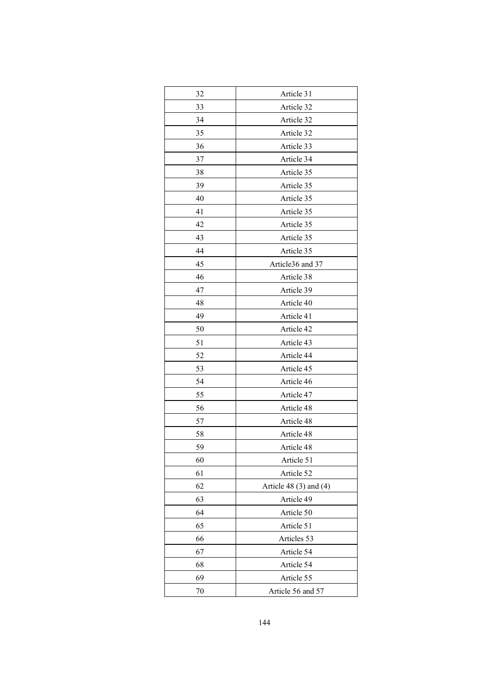| 32 | Article 31                 |
|----|----------------------------|
| 33 | Article 32                 |
| 34 | Article 32                 |
| 35 | Article 32                 |
| 36 | Article 33                 |
| 37 | Article 34                 |
| 38 | Article 35                 |
| 39 | Article 35                 |
| 40 | Article 35                 |
| 41 | Article 35                 |
| 42 | Article 35                 |
| 43 | Article 35                 |
| 44 | Article 35                 |
| 45 | Article36 and 37           |
| 46 | Article 38                 |
| 47 | Article 39                 |
| 48 | Article 40                 |
| 49 | Article 41                 |
| 50 | Article 42                 |
| 51 | Article 43                 |
| 52 | Article 44                 |
| 53 | Article 45                 |
| 54 | Article 46                 |
| 55 | Article 47                 |
| 56 | Article 48                 |
| 57 | Article 48                 |
| 58 | Article 48                 |
| 59 | Article 48                 |
| 60 | Article 51                 |
| 61 | Article 52                 |
| 62 | Article 48 $(3)$ and $(4)$ |
| 63 | Article 49                 |
| 64 | Article 50                 |
| 65 | Article 51                 |
| 66 | Articles 53                |
| 67 | Article 54                 |
| 68 | Article 54                 |
| 69 | Article 55                 |
| 70 | Article 56 and 57          |